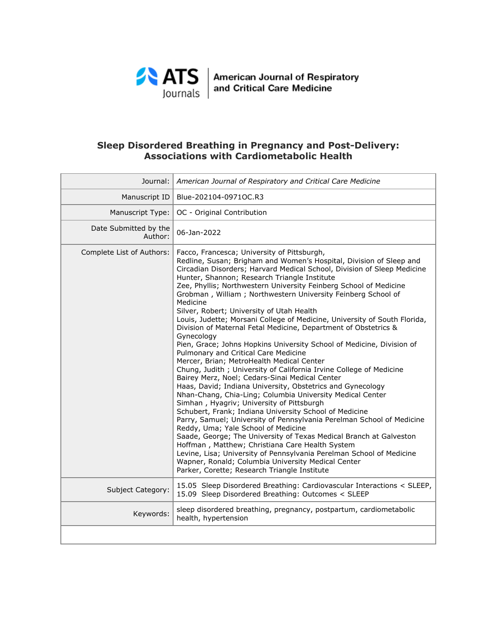

ATS | American Journal of Respiratory<br>| ournals | and Critical Care Medicine

# **Sleep Disordered Breathing in Pregnancy and Post-Delivery: Associations with Cardiometabolic Health**

| Journal:                         | American Journal of Respiratory and Critical Care Medicine                                                                                                                                                                                                                                                                                                                                                                                                                                                                                                                                                                                                                                                                                                                                                                                                                                                                                                                                                                                                                                                                                                                                                                                                                                                                                                                                                                                                                                                                                                |
|----------------------------------|-----------------------------------------------------------------------------------------------------------------------------------------------------------------------------------------------------------------------------------------------------------------------------------------------------------------------------------------------------------------------------------------------------------------------------------------------------------------------------------------------------------------------------------------------------------------------------------------------------------------------------------------------------------------------------------------------------------------------------------------------------------------------------------------------------------------------------------------------------------------------------------------------------------------------------------------------------------------------------------------------------------------------------------------------------------------------------------------------------------------------------------------------------------------------------------------------------------------------------------------------------------------------------------------------------------------------------------------------------------------------------------------------------------------------------------------------------------------------------------------------------------------------------------------------------------|
| Manuscript ID                    | Blue-202104-0971OC.R3                                                                                                                                                                                                                                                                                                                                                                                                                                                                                                                                                                                                                                                                                                                                                                                                                                                                                                                                                                                                                                                                                                                                                                                                                                                                                                                                                                                                                                                                                                                                     |
| Manuscript Type:                 | OC - Original Contribution                                                                                                                                                                                                                                                                                                                                                                                                                                                                                                                                                                                                                                                                                                                                                                                                                                                                                                                                                                                                                                                                                                                                                                                                                                                                                                                                                                                                                                                                                                                                |
| Date Submitted by the<br>Author: | 06-Jan-2022                                                                                                                                                                                                                                                                                                                                                                                                                                                                                                                                                                                                                                                                                                                                                                                                                                                                                                                                                                                                                                                                                                                                                                                                                                                                                                                                                                                                                                                                                                                                               |
| Complete List of Authors:        | Facco, Francesca; University of Pittsburgh,<br>Redline, Susan; Brigham and Women's Hospital, Division of Sleep and<br>Circadian Disorders; Harvard Medical School, Division of Sleep Medicine<br>Hunter, Shannon; Research Triangle Institute<br>Zee, Phyllis; Northwestern University Feinberg School of Medicine<br>Grobman, William; Northwestern University Feinberg School of<br>Medicine<br>Silver, Robert; University of Utah Health<br>Louis, Judette; Morsani College of Medicine, University of South Florida,<br>Division of Maternal Fetal Medicine, Department of Obstetrics &<br>Gynecology<br>Pien, Grace; Johns Hopkins University School of Medicine, Division of<br>Pulmonary and Critical Care Medicine<br>Mercer, Brian; MetroHealth Medical Center<br>Chung, Judith ; University of California Irvine College of Medicine<br>Bairey Merz, Noel; Cedars-Sinai Medical Center<br>Haas, David; Indiana University, Obstetrics and Gynecology<br>Nhan-Chang, Chia-Ling; Columbia University Medical Center<br>Simhan, Hyagriv; University of Pittsburgh<br>Schubert, Frank; Indiana University School of Medicine<br>Parry, Samuel; University of Pennsylvania Perelman School of Medicine<br>Reddy, Uma; Yale School of Medicine<br>Saade, George; The University of Texas Medical Branch at Galveston<br>Hoffman, Matthew; Christiana Care Health System<br>Levine, Lisa; University of Pennsylvania Perelman School of Medicine<br>Wapner, Ronald; Columbia University Medical Center<br>Parker, Corette; Research Triangle Institute |
| Subject Category:                | 15.05 Sleep Disordered Breathing: Cardiovascular Interactions < SLEEP,<br>15.09 Sleep Disordered Breathing: Outcomes < SLEEP                                                                                                                                                                                                                                                                                                                                                                                                                                                                                                                                                                                                                                                                                                                                                                                                                                                                                                                                                                                                                                                                                                                                                                                                                                                                                                                                                                                                                              |
| Keywords:                        | sleep disordered breathing, pregnancy, postpartum, cardiometabolic<br>health, hypertension                                                                                                                                                                                                                                                                                                                                                                                                                                                                                                                                                                                                                                                                                                                                                                                                                                                                                                                                                                                                                                                                                                                                                                                                                                                                                                                                                                                                                                                                |
|                                  |                                                                                                                                                                                                                                                                                                                                                                                                                                                                                                                                                                                                                                                                                                                                                                                                                                                                                                                                                                                                                                                                                                                                                                                                                                                                                                                                                                                                                                                                                                                                                           |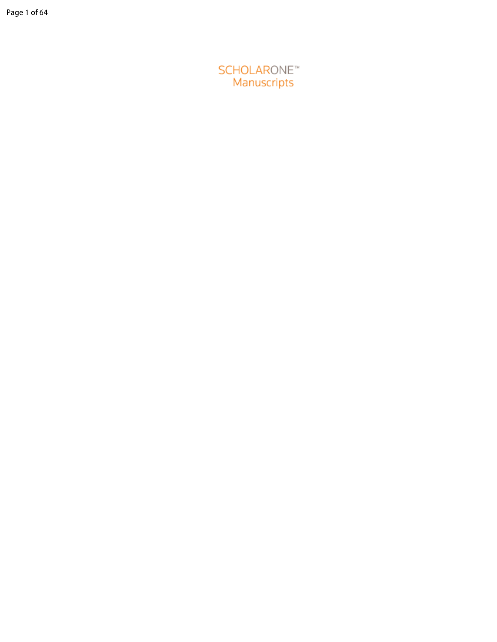SCHOLARONE<sup>"</sup><br>Manuscripts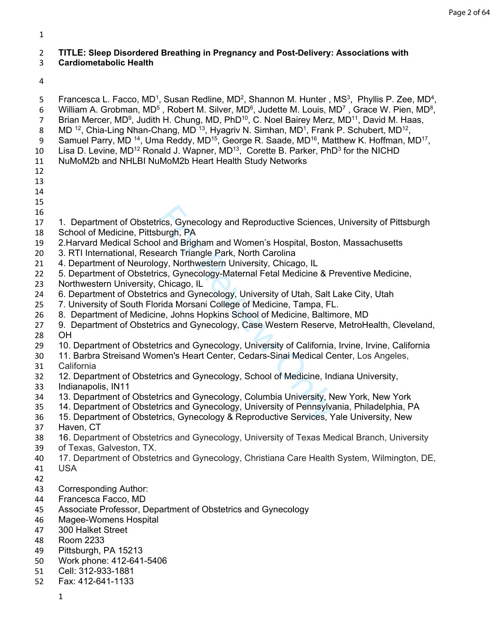## **TITLE: Sleep Disordered Breathing in Pregnancy and Post-Delivery: Associations with**

### **Cardiometabolic Health**

5 Francesca L. Facco, MD<sup>1</sup>, Susan Redline, MD<sup>2</sup>, Shannon M. Hunter, MS<sup>3</sup>, Phyllis P. Zee, MD<sup>4</sup>,

6 William A. Grobman, MD<sup>5</sup>, Robert M. Silver, MD<sup>6</sup>, Judette M. Louis, MD<sup>7</sup>, Grace W. Pien, MD<sup>8</sup>,

- 7 Brian Mercer, MD<sup>9</sup>, Judith H. Chung, MD, PhD<sup>10</sup>, C. Noel Bairey Merz, MD<sup>11</sup>, David M. Haas,
- 8 MD <sup>12</sup>, Chia-Ling Nhan-Chang, MD <sup>13</sup>, Hyagriv N. Simhan, MD<sup>1</sup>, Frank P. Schubert, MD<sup>12</sup>, 9 Samuel Parry, MD <sup>14</sup>, Uma Reddy, MD<sup>15</sup>, George R. Saade, MD<sup>16</sup>, Matthew K. Hoffman, MD<sup>17</sup>,
- 10 Lisa D. Levine, MD<sup>12</sup> Ronald J. Wapner, MD<sup>13</sup>, Corette B. Parker, PhD<sup>3</sup> for the NICHD
- NuMoM2b and NHLBI NuMoM2b Heart Health Study Networks
- 
- 
- 
- 
- 
- 1. Department of Obstetrics, Gynecology and Reproductive Sciences, University of Pittsburgh
- School of Medicine, Pittsburgh, PA
- 2.Harvard Medical School and Brigham and Women's Hospital, Boston, Massachusetts
- 3. RTI International, Research Triangle Park, North Carolina
- 4. Department of Neurology, Northwestern University, Chicago, IL
- 5. Department of Obstetrics, Gynecology-Maternal Fetal Medicine & Preventive Medicine,
- Northwestern University, Chicago, IL
- 6. Department of Obstetrics and Gynecology, University of Utah, Salt Lake City, Utah
- 7. University of South Florida Morsani College of Medicine, Tampa, FL.
- 8. Department of Medicine, Johns Hopkins School of Medicine, Baltimore, MD
- rics, Gynecology and Reproductive Sciences<br>
burgh, PA<br>
I and Brigham and Women's Hospital, Bostol<br>
aarch Triangle Park, North Carolina<br>
gy, Northwestern University, Chicago, IL<br>
cs, Gynecology-Maternal Fetal Medicine & P<br> 9. Department of Obstetrics and Gynecology, Case Western Reserve, MetroHealth, Cleveland, OH
- 10. Department of Obstetrics and Gynecology, University of California, Irvine, Irvine, California
- 11. Barbra Streisand Women's Heart Center, Cedars-Sinai Medical Center, Los Angeles, California
- 12. Department of Obstetrics and Gynecology, School of Medicine, Indiana University,
- Indianapolis, IN11
- 13. Department of Obstetrics and Gynecology, Columbia University, New York, New York
- 14. Department of Obstetrics and Gynecology, University of Pennsylvania, Philadelphia, PA
- 15. Department of Obstetrics, Gynecology & Reproductive Services, Yale University, New
- Haven, CT
- 16. Department of Obstetrics and Gynecology, University of Texas Medical Branch, University
- of Texas, Galveston, TX.
- 17. Department of Obstetrics and Gynecology, Christiana Care Health System, Wilmington, DE,
- USA
- Corresponding Author:
- Francesca Facco, MD
- Associate Professor, Department of Obstetrics and Gynecology
- Magee-Womens Hospital
- 300 Halket Street
- Room 2233
- Pittsburgh, PA 15213
- Work phone: 412-641-5406
- Cell: 312-933-1881
- Fax: 412-641-1133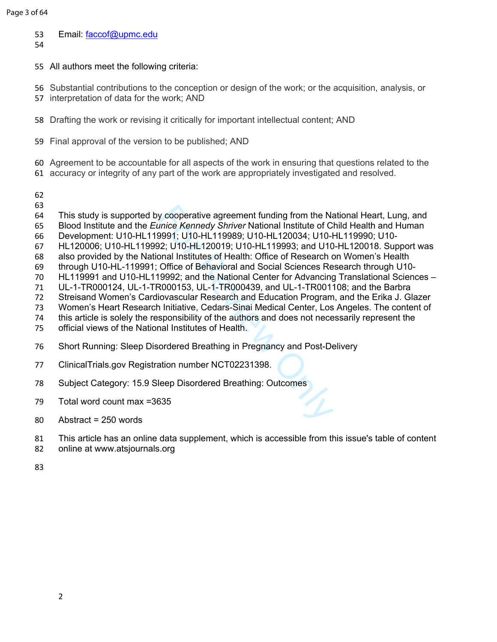- 53 Email: [faccof@upmc.edu](mailto:faccof@upmc.edu)
- 
- All authors meet the following criteria:
- Substantial contributions to the conception or design of the work; or the acquisition, analysis, or
- interpretation of data for the work; AND
- Drafting the work or revising it critically for important intellectual content; AND
- Final approval of the version to be published; AND
- Agreement to be accountable for all aspects of the work in ensuring that questions related to the
- accuracy or integrity of any part of the work are appropriately investigated and resolved.
- 
- 
- v cooperative agreement funding from the Namice Kennedy Shriver National Institute of Classory, U10-HL119989; U10-HL120034; U10-H22: U10-HL120019; U10-HL119993; and U10-<br>Page 1: U10-HL120019; U10-HL119993; and U10-<br>Page 1: This study is supported by cooperative agreement funding from the National Heart, Lung, and
- Blood Institute and the *Eunice Kennedy Shriver* National Institute of Child Health and Human
- Development: U10-HL119991; U10-HL119989; U10-HL120034; U10-HL119990; U10-
- HL120006; U10-HL119992; U10-HL120019; U10-HL119993; and U10-HL120018. Support was
- also provided by the National Institutes of Health: Office of Research on Women's Health
- through U10-HL-119991; Office of Behavioral and Social Sciences Research through U10-
- HL119991 and U10-HL119992; and the National Center for Advancing Translational Sciences –
- UL-1-TR000124, UL-1-TR000153, UL-1-TR000439, and UL-1-TR001108; and the Barbra
- Streisand Women's Cardiovascular Research and Education Program, and the Erika J. Glazer
- Women's Heart Research Initiative, Cedars-Sinai Medical Center, Los Angeles. The content of
- this article is solely the responsibility of the authors and does not necessarily represent the
- official views of the National Institutes of Health.
- Short Running: Sleep Disordered Breathing in Pregnancy and Post-Delivery
- ClinicalTrials.gov Registration number NCT02231398.
- Subject Category: 15.9 Sleep Disordered Breathing: Outcomes
- Total word count max =3635
- Abstract = 250 words
- This article has an online data supplement, which is accessible from this issue's table of content
- online at [www.atsjournals.org](https://www.atsjournals.org/page/ajrccm/www.atsjournals.org)
-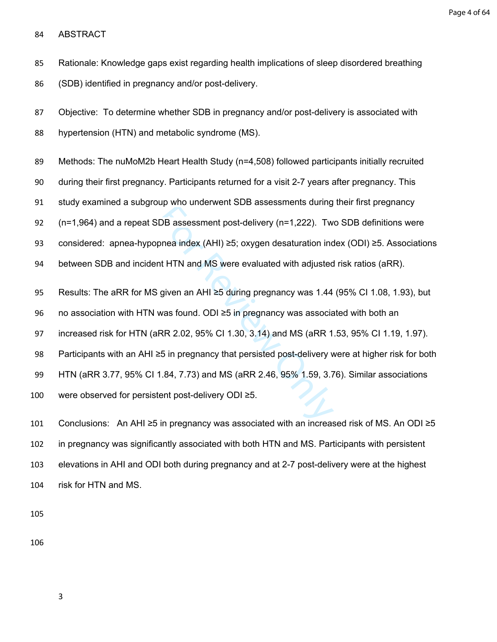Page 4 of 64

ABSTRACT

Rationale: Knowledge gaps exist regarding health implications of sleep disordered breathing

(SDB) identified in pregnancy and/or post-delivery.

 Objective: To determine whether SDB in pregnancy and/or post-delivery is associated with hypertension (HTN) and metabolic syndrome (MS).

Methods: The nuMoM2b Heart Health Study (n=4,508) followed participants initially recruited

during their first pregnancy. Participants returned for a visit 2-7 years after pregnancy. This

study examined a subgroup who underwent SDB assessments during their first pregnancy

(n=1,964) and a repeat SDB assessment post-delivery (n=1,222). Two SDB definitions were

considered: apnea-hypopnea index (AHI) ≥5; oxygen desaturation index (ODI) ≥5. Associations

between SDB and incident HTN and MS were evaluated with adjusted risk ratios (aRR).

95 Results: The aRR for MS given an AHI ≥5 during pregnancy was 1.44 (95% CI 1.08, 1.93), but

no association with HTN was found. ODI ≥5 in pregnancy was associated with both an

increased risk for HTN (aRR 2.02, 95% CI 1.30, 3.14) and MS (aRR 1.53, 95% CI 1.19, 1.97).

Participants with an AHI ≥5 in pregnancy that persisted post-delivery were at higher risk for both

DB assessment post-delivery (n=1,222). Two<br>nea index (AHI)  $\geq$ 5; oxygen desaturation incorder in the HTN and MS were evaluated with adjusted<br>given an AHI  $\geq$ 5 during pregnancy was 1.44<br>was found. ODI  $\geq$ 5 in pregnan HTN (aRR 3.77, 95% CI 1.84, 7.73) and MS (aRR 2.46, 95% 1.59, 3.76). Similar associations

were observed for persistent post-delivery ODI ≥5.

 Conclusions: An AHI ≥5 in pregnancy was associated with an increased risk of MS. An ODI ≥5 in pregnancy was significantly associated with both HTN and MS. Participants with persistent elevations in AHI and ODI both during pregnancy and at 2-7 post-delivery were at the highest risk for HTN and MS.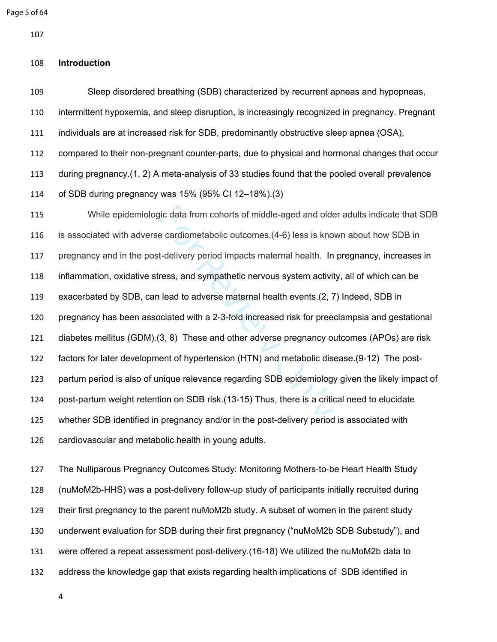Page 5 of 64

#### **Introduction**

 Sleep disordered breathing (SDB) characterized by recurrent apneas and hypopneas, intermittent hypoxemia, and sleep disruption, is increasingly recognized in pregnancy. Pregnant individuals are at increased risk for SDB, predominantly obstructive sleep apnea (OSA), compared to their non-pregnant counter-parts, due to physical and hormonal changes that occur during pregnancy.([1,](#page-17-0) [2](#page-17-1)) A meta-analysis of 33 studies found that the pooled overall prevalence of SDB during pregnancy was 15% (95% CI 12–18%).[\(3](#page-17-2))

gic data from cohorts of middle-aged and olde<br>e cardiometabolic outcomes, (4-6) less is kno<br>t-delivery period impacts maternal health. In<br>ress, and sympathetic nervous system activity<br>allead to adverse maternal health even While epidemiologic data from cohorts of middle-aged and older adults indicate that SDB is associated with adverse cardiometabolic outcomes,(4-6) less is known about how SDB in pregnancy and in the post-delivery period impacts maternal health. In pregnancy, increases in inflammation, oxidative stress, and sympathetic nervous system activity, all of which can be exacerbated by SDB, can lead to adverse maternal health events.(2, [7](#page-17-4)) Indeed, SDB in pregnancy has been associated with a 2-3-fold increased risk for preeclampsia and gestational diabetes mellitus (GDM).(3, 8) These and other adverse pregnancy outcomes (APOs) are risk factors for later development of hypertension (HTN) and metabolic disease.([9-12\)](#page-17-6) The post- partum period is also of unique relevance regarding SDB epidemiology given the likely impact of post-partum weight retention on SDB risk.(13-15) Thus, there is a critical need to elucidate whether SDB identified in pregnancy and/or in the post-delivery period is associated with cardiovascular and metabolic health in young adults.

 The Nulliparous Pregnancy Outcomes Study: Monitoring Mothers ‐to ‐be Heart Health Study (nuMoM2b-HHS) was a post-delivery follow-up study of participants initially recruited during their first pregnancy to the parent nuMoM2b study. A subset of women in the parent study underwent evaluation for SDB during their first pregnancy ("nuMoM2b SDB Substudy"), and were offered a repeat assessment post-delivery.[\(16-18\)](#page-17-8) We utilized the nuMoM2b data to address the knowledge gap that exists regarding health implications of SDB identified in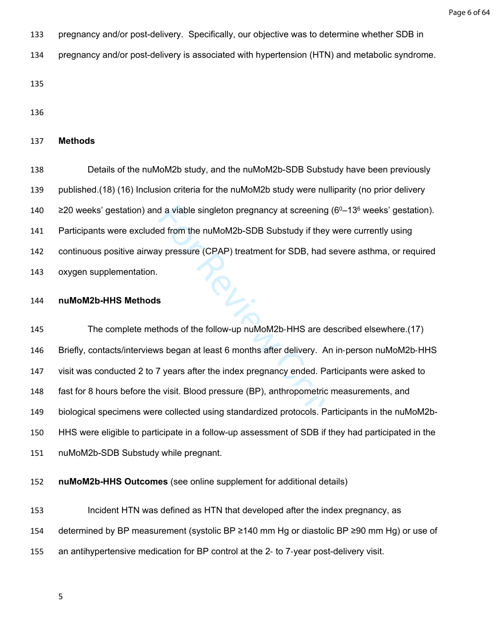- pregnancy and/or post-delivery. Specifically, our objective was to determine whether SDB in
- pregnancy and/or post-delivery is associated with hypertension (HTN) and metabolic syndrome.

#### **Methods**

 Details of the nuMoM2b study, and the nuMoM2b-SDB Substudy have been previously published.([18](#page-17-9)) [\(16\)](#page-17-8) Inclusion criteria for the nuMoM2b study were nulliparity (no prior delivery  $\geq$  20 weeks' gestation) and a viable singleton pregnancy at screening (6<sup>0</sup>–13<sup>6</sup> weeks' gestation). Participants were excluded from the nuMoM2b-SDB Substudy if they were currently using continuous positive airway pressure (CPAP) treatment for SDB, had severe asthma, or required oxygen supplementation.

#### **nuMoM2b-HHS Methods**

d a viable singleton pregnancy at screening (<br>ed from the nuMoM2b-SDB Substudy if they v<br>y pressure (CPAP) treatment for SDB, had s<br>s<br>s<br>s<br>s<br>hhods of the follow-up nuMoM2b-HHS are des<br>rs began at least 6 months after delive 145 The complete methods of the follow-up nuMoM2b-HHS are described elsewhere.[\(17](#page-17-10)) Briefly, contacts/interviews began at least 6 months after delivery. An in‐person nuMoM2b‐HHS visit was conducted 2 to 7 years after the index pregnancy ended. Participants were asked to fast for 8 hours before the visit. Blood pressure (BP), anthropometric measurements, and biological specimens were collected using standardized protocols. Participants in the nuMoM2b- HHS were eligible to participate in a follow-up assessment of SDB if they had participated in the nuMoM2b-SDB Substudy while pregnant.

**nuMoM2b-HHS Outcomes** (see online supplement for additional details)

 Incident HTN was defined as HTN that developed after the index pregnancy, as determined by BP measurement (systolic BP ≥140 mm Hg or diastolic BP ≥90 mm Hg) or use of an antihypertensive medication for BP control at the 2‐ to 7‐year post-delivery visit.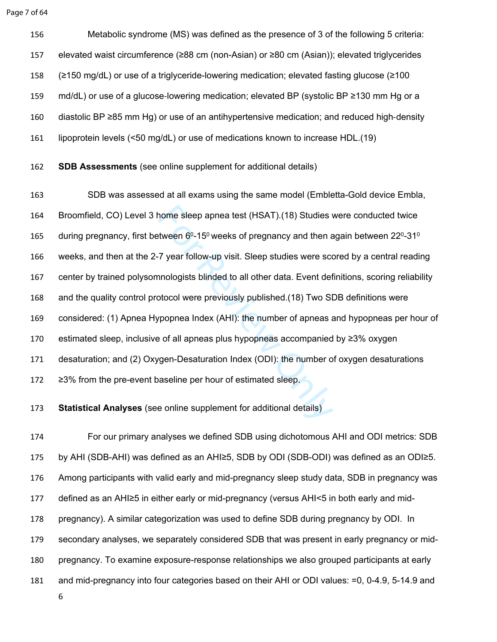Page 7 of 64

 Metabolic syndrome (MS) was defined as the presence of 3 of the following 5 criteria: elevated waist circumference (≥88 cm (non-Asian) or ≥80 cm (Asian)); elevated triglycerides (≥150 mg/dL) or use of a triglyceride-lowering medication; elevated fasting glucose (≥100 159 md/dL) or use of a glucose-lowering medication; elevated BP (systolic BP ≥130 mm Hg or a diastolic BP ≥85 mm Hg) or use of an antihypertensive medication; and reduced high ‐density lipoprotein levels (<50 mg/dL) or use of medications known to increase HDL.([19\)](#page-18-0)

**SDB Assessments** (see online supplement for additional details)

nome sleep apnea test (HSAT).(18) Studies wat<br>tween 6º-15º weeks of pregnancy and then a<br>7 year follow-up visit. Sleep studies were sconnologists blinded to all other data. Event def<br>btocol were previously published.(18) T SDB was assessed at all exams using the same model (Embletta-Gold device Embla, Broomfield, CO) Level 3 home sleep apnea test (HSAT).(18) Studies were conducted twice 165 during pregnancy, first between  $6^0$ -15<sup>0</sup> weeks of pregnancy and then again between 22<sup>0</sup>-31<sup>0</sup> weeks, and then at the 2-7 year follow-up visit. Sleep studies were scored by a central reading center by trained polysomnologists blinded to all other data. Event definitions, scoring reliability and the quality control protocol were previously published.(18) Two SDB definitions were considered: (1) Apnea Hypopnea Index (AHI): the number of apneas and hypopneas per hour of estimated sleep, inclusive of all apneas plus hypopneas accompanied by ≥3% oxygen desaturation; and (2) Oxygen-Desaturation Index (ODI): the number of oxygen desaturations ≥3% from the pre-event baseline per hour of estimated sleep.

**Statistical Analyses** (see online supplement for additional details)

 For our primary analyses we defined SDB using dichotomous AHI and ODI metrics: SDB by AHI (SDB-AHI) was defined as an AHI≥5, SDB by ODI (SDB-ODI) was defined as an ODI≥5. Among participants with valid early and mid-pregnancy sleep study data, SDB in pregnancy was defined as an AHI≥5 in either early or mid-pregnancy (versus AHI<5 in both early and mid- pregnancy). A similar categorization was used to define SDB during pregnancy by ODI. In secondary analyses, we separately considered SDB that was present in early pregnancy or mid- pregnancy. To examine exposure-response relationships we also grouped participants at early and mid-pregnancy into four categories based on their AHI or ODI values: =0, 0-4.9, 5-14.9 and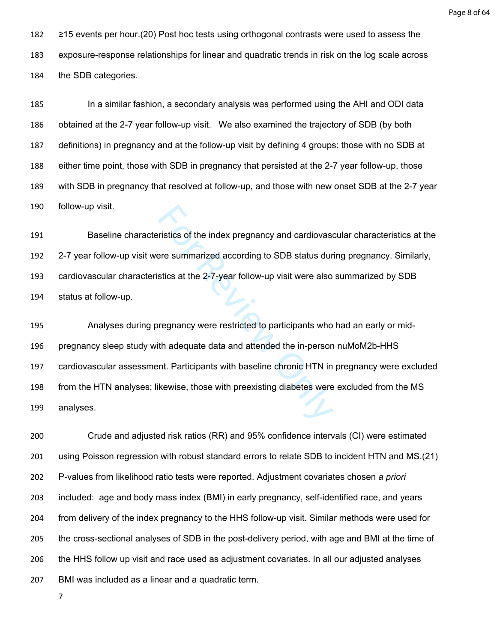Page 8 of 64

 ≥15 events per hour.[\(20\)](#page-18-1) Post hoc tests using orthogonal contrasts were used to assess the exposure-response relationships for linear and quadratic trends in risk on the log scale across the SDB categories.

 In a similar fashion, a secondary analysis was performed using the AHI and ODI data obtained at the 2-7 year follow-up visit. We also examined the trajectory of SDB (by both definitions) in pregnancy and at the follow-up visit by defining 4 groups: those with no SDB at either time point, those with SDB in pregnancy that persisted at the 2-7 year follow-up, those with SDB in pregnancy that resolved at follow-up, and those with new onset SDB at the 2-7 year follow-up visit.

 Baseline characteristics of the index pregnancy and cardiovascular characteristics at the 2-7 year follow-up visit were summarized according to SDB status during pregnancy. Similarly, cardiovascular characteristics at the 2-7-year follow-up visit were also summarized by SDB status at follow-up.

ristics of the index pregnancy and cardiovase<br>re summarized according to SDB status dur<br>stics at the 2-7-year follow-up visit were also<br>regnancy were restricted to participants who<br>th adequate data and attended the in-pers Analyses during pregnancy were restricted to participants who had an early or mid- pregnancy sleep study with adequate data and attended the in-person nuMoM2b-HHS cardiovascular assessment. Participants with baseline chronic HTN in pregnancy were excluded from the HTN analyses; likewise, those with preexisting diabetes were excluded from the MS analyses.

 Crude and adjusted risk ratios (RR) and 95% confidence intervals (CI) were estimated using Poisson regression with robust standard errors to relate SDB to incident HTN and MS.([21](#page-18-2)) P-values from likelihood ratio tests were reported. Adjustment covariates chosen *a priori* included: age and body mass index (BMI) in early pregnancy, self-identified race, and years from delivery of the index pregnancy to the HHS follow-up visit. Similar methods were used for the cross-sectional analyses of SDB in the post-delivery period, with age and BMI at the time of the HHS follow up visit and race used as adjustment covariates. In all our adjusted analyses BMI was included as a linear and a quadratic term.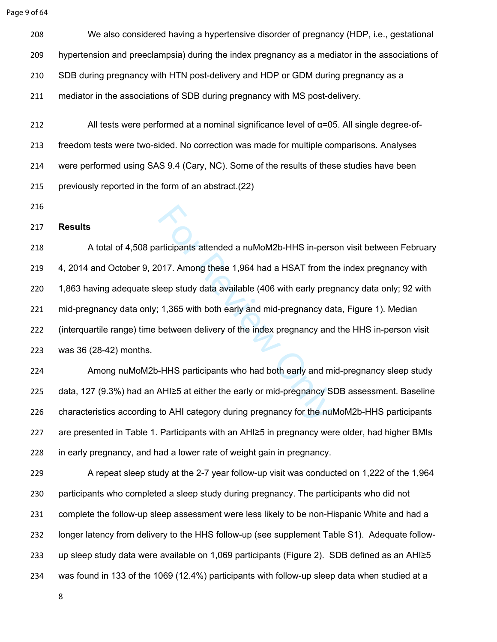Page 9 of 64

 We also considered having a hypertensive disorder of pregnancy (HDP, i.e., gestational hypertension and preeclampsia) during the index pregnancy as a mediator in the associations of SDB during pregnancy with HTN post-delivery and HDP or GDM during pregnancy as a mediator in the associations of SDB during pregnancy with MS post-delivery.

 All tests were performed at a nominal significance level of α=05. All single degree-of- freedom tests were two-sided. No correction was made for multiple comparisons. Analyses were performed using SAS 9.4 (Cary, NC). Some of the results of these studies have been previously reported in the form of an abstract.([22](#page-18-3))

### **Results**

Inticipants attended a nuMoM2b-HHS in-pers<br>
17. Among these 1,964 had a HSAT from the<br>
1,365 with both early and mid-pregnancy da<br>
1,365 with both early and mid-pregnancy da<br>
between delivery of the index pregnancy and<br>
-218 A total of 4,508 participants attended a nuMoM2b-HHS in-person visit between February 4, 2014 and October 9, 2017. Among these 1,964 had a HSAT from the index pregnancy with 1,863 having adequate sleep study data available (406 with early pregnancy data only; 92 with mid-pregnancy data only; 1,365 with both early and mid-pregnancy data, Figure 1). Median (interquartile range) time between delivery of the index pregnancy and the HHS in-person visit was 36 (28-42) months.

 Among nuMoM2b-HHS participants who had both early and mid-pregnancy sleep study data, 127 (9.3%) had an AHI≥5 at either the early or mid-pregnancy SDB assessment. Baseline characteristics according to AHI category during pregnancy for the nuMoM2b-HHS participants are presented in Table 1. Participants with an AHI≥5 in pregnancy were older, had higher BMIs in early pregnancy, and had a lower rate of weight gain in pregnancy.

 A repeat sleep study at the 2-7 year follow-up visit was conducted on 1,222 of the 1,964 participants who completed a sleep study during pregnancy. The participants who did not complete the follow-up sleep assessment were less likely to be non-Hispanic White and had a longer latency from delivery to the HHS follow-up (see supplement Table S1). Adequate follow- up sleep study data were available on 1,069 participants (Figure 2). SDB defined as an AHI≥5 was found in 133 of the 1069 (12.4%) participants with follow-up sleep data when studied at a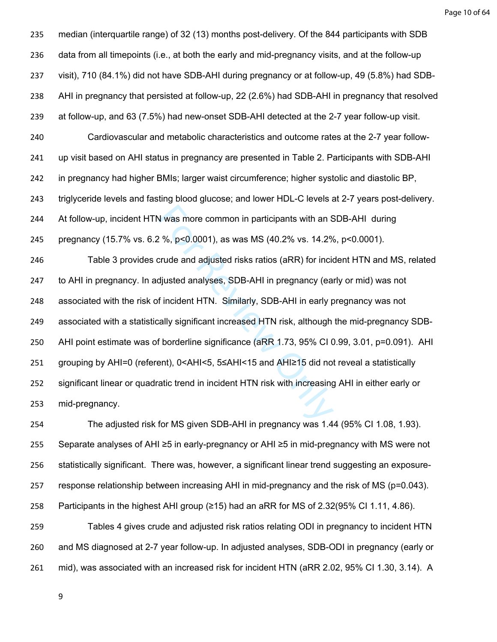Page 10 of 64

N was more common in participants with an S<br>
2 %, p<0.0001), as was MS (40.2% vs. 14.2%<br>
crude and adjusted risks ratios (aRR) for incid<br>
djusted analyses, SDB-AHI in pregnancy (ear<br>
f incident HTN. Similarly, SDB-AHI in median (interquartile range) of 32 (13) months post-delivery. Of the 844 participants with SDB data from all timepoints (i.e., at both the early and mid-pregnancy visits, and at the follow-up visit), 710 (84.1%) did not have SDB-AHI during pregnancy or at follow-up, 49 (5.8%) had SDB- AHI in pregnancy that persisted at follow-up, 22 (2.6%) had SDB-AHI in pregnancy that resolved at follow-up, and 63 (7.5%) had new-onset SDB-AHI detected at the 2-7 year follow-up visit. Cardiovascular and metabolic characteristics and outcome rates at the 2-7 year follow- up visit based on AHI status in pregnancy are presented in Table 2. Participants with SDB-AHI in pregnancy had higher BMIs; larger waist circumference; higher systolic and diastolic BP, triglyceride levels and fasting blood glucose; and lower HDL-C levels at 2-7 years post-delivery. At follow-up, incident HTN was more common in participants with an SDB-AHI during pregnancy (15.7% vs. 6.2 %, p<0.0001), as was MS (40.2% vs. 14.2%, p<0.0001). Table 3 provides crude and adjusted risks ratios (aRR) for incident HTN and MS, related to AHI in pregnancy. In adjusted analyses, SDB-AHI in pregnancy (early or mid) was not associated with the risk of incident HTN. Similarly, SDB-AHI in early pregnancy was not associated with a statistically significant increased HTN risk, although the mid-pregnancy SDB- AHI point estimate was of borderline significance (aRR 1.73, 95% CI 0.99, 3.01, p=0.091). AHI grouping by AHI=0 (referent), 0<AHI<5, 5≤AHI<15 and AHI≥15 did not reveal a statistically significant linear or quadratic trend in incident HTN risk with increasing AHI in either early or mid-pregnancy.

 The adjusted risk for MS given SDB-AHI in pregnancy was 1.44 (95% CI 1.08, 1.93). Separate analyses of AHI ≥5 in early-pregnancy or AHI ≥5 in mid-pregnancy with MS were not statistically significant. There was, however, a significant linear trend suggesting an exposure- response relationship between increasing AHI in mid-pregnancy and the risk of MS (p=0.043). Participants in the highest AHI group (≥15) had an aRR for MS of 2.32(95% CI 1.11, 4.86). Tables 4 gives crude and adjusted risk ratios relating ODI in pregnancy to incident HTN and MS diagnosed at 2-7 year follow-up. In adjusted analyses, SDB-ODI in pregnancy (early or mid), was associated with an increased risk for incident HTN (aRR 2.02, 95% CI 1.30, 3.14). A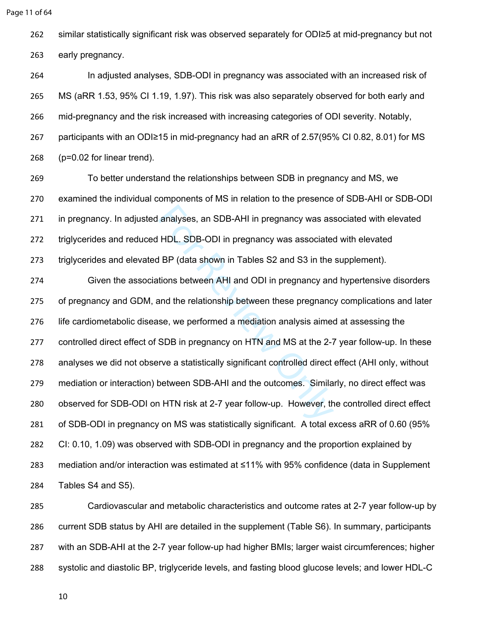```
Page 11 of 64
```
similar statistically significant risk was observed separately for ODI≥5 at mid-pregnancy but not

early pregnancy.

 In adjusted analyses, SDB-ODI in pregnancy was associated with an increased risk of MS (aRR 1.53, 95% CI 1.19, 1.97). This risk was also separately observed for both early and mid-pregnancy and the risk increased with increasing categories of ODI severity. Notably, participants with an ODI≥15 in mid-pregnancy had an aRR of 2.57(95% CI 0.82, 8.01) for MS (p=0.02 for linear trend).

 To better understand the relationships between SDB in pregnancy and MS, we examined the individual components of MS in relation to the presence of SDB-AHI or SDB-ODI in pregnancy. In adjusted analyses, an SDB-AHI in pregnancy was associated with elevated triglycerides and reduced HDL. SDB-ODI in pregnancy was associated with elevated triglycerides and elevated BP (data shown in Tables S2 and S3 in the supplement).

analyses, an SDB-AHI in pregnancy was ass<br>
HDL. SDB-ODI in pregnancy was associated<br>
I BP (data shown in Tables S2 and S3 in the<br>
tions between AHI and ODI in pregnancy and<br>
and the relationship between these pregnanc<br>
se, Given the associations between AHI and ODI in pregnancy and hypertensive disorders of pregnancy and GDM, and the relationship between these pregnancy complications and later life cardiometabolic disease, we performed a mediation analysis aimed at assessing the controlled direct effect of SDB in pregnancy on HTN and MS at the 2-7 year follow-up. In these analyses we did not observe a statistically significant controlled direct effect (AHI only, without mediation or interaction) between SDB-AHI and the outcomes. Similarly, no direct effect was observed for SDB-ODI on HTN risk at 2-7 year follow-up. However, the controlled direct effect of SDB-ODI in pregnancy on MS was statistically significant. A total excess aRR of 0.60 (95% CI: 0.10, 1.09) was observed with SDB-ODI in pregnancy and the proportion explained by mediation and/or interaction was estimated at ≤11% with 95% confidence (data in Supplement Tables S4 and S5).

 Cardiovascular and metabolic characteristics and outcome rates at 2-7 year follow-up by current SDB status by AHI are detailed in the supplement (Table S6). In summary, participants with an SDB-AHI at the 2-7 year follow-up had higher BMIs; larger waist circumferences; higher systolic and diastolic BP, triglyceride levels, and fasting blood glucose levels; and lower HDL-C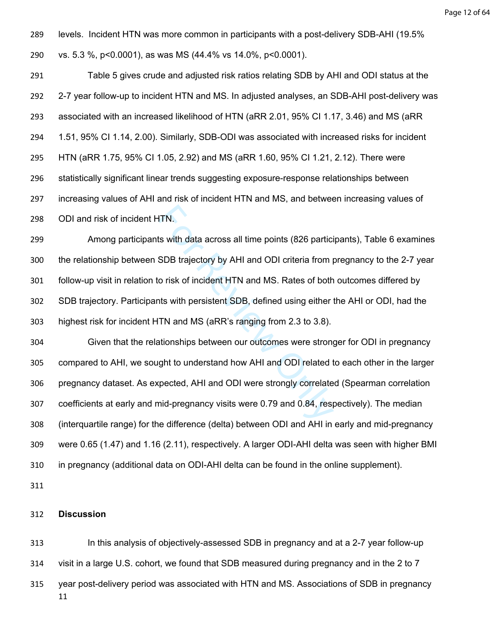levels. Incident HTN was more common in participants with a post-delivery SDB-AHI (19.5% vs. 5.3 %, p<0.0001), as was MS (44.4% vs 14.0%, p<0.0001).

 Table 5 gives crude and adjusted risk ratios relating SDB by AHI and ODI status at the 2-7 year follow-up to incident HTN and MS. In adjusted analyses, an SDB-AHI post-delivery was associated with an increased likelihood of HTN (aRR 2.01, 95% CI 1.17, 3.46) and MS (aRR 1.51, 95% CI 1.14, 2.00). Similarly, SDB-ODI was associated with increased risks for incident HTN (aRR 1.75, 95% CI 1.05, 2.92) and MS (aRR 1.60, 95% CI 1.21, 2.12). There were statistically significant linear trends suggesting exposure-response relationships between increasing values of AHI and risk of incident HTN and MS, and between increasing values of ODI and risk of incident HTN.

FIN.<br>Is with data across all time points (826 partici<br>SDB trajectory by AHI and ODI criteria from p<br>o risk of incident HTN and MS. Rates of both<br>Its with persistent SDB, defined using either<br>TN and MS (aRR's ranging from 2 Among participants with data across all time points (826 participants), Table 6 examines the relationship between SDB trajectory by AHI and ODI criteria from pregnancy to the 2-7 year follow-up visit in relation to risk of incident HTN and MS. Rates of both outcomes differed by SDB trajectory. Participants with persistent SDB, defined using either the AHI or ODI, had the highest risk for incident HTN and MS (aRR's ranging from 2.3 to 3.8).

 Given that the relationships between our outcomes were stronger for ODI in pregnancy compared to AHI, we sought to understand how AHI and ODI related to each other in the larger pregnancy dataset. As expected, AHI and ODI were strongly correlated (Spearman correlation coefficients at early and mid-pregnancy visits were 0.79 and 0.84, respectively). The median (interquartile range) for the difference (delta) between ODI and AHI in early and mid-pregnancy were 0.65 (1.47) and 1.16 (2.11), respectively. A larger ODI-AHI delta was seen with higher BMI in pregnancy (additional data on ODI-AHI delta can be found in the online supplement).

#### **Discussion**

 In this analysis of objectively-assessed SDB in pregnancy and at a 2-7 year follow-up visit in a large U.S. cohort, we found that SDB measured during pregnancy and in the 2 to 7 year post-delivery period was associated with HTN and MS. Associations of SDB in pregnancy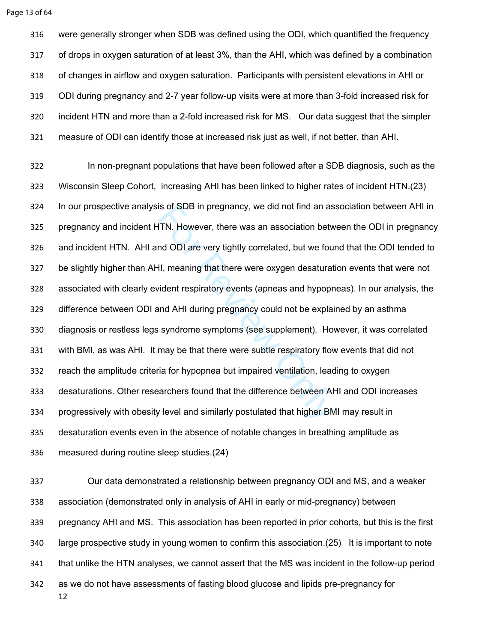were generally stronger when SDB was defined using the ODI, which quantified the frequency of drops in oxygen saturation of at least 3%, than the AHI, which was defined by a combination of changes in airflow and oxygen saturation. Participants with persistent elevations in AHI or ODI during pregnancy and 2-7 year follow-up visits were at more than 3-fold increased risk for incident HTN and more than a 2-fold increased risk for MS. Our data suggest that the simpler measure of ODI can identify those at increased risk just as well, if not better, than AHI.

IS of SDB in pregnancy, we did not find an as<br>ITN. However, there was an association betweend ODI are very tightly correlated, but we fourther<br>II, meaning that there were oxygen desaturat<br>vident respiratory events (apneas In non-pregnant populations that have been followed after a SDB diagnosis, such as the Wisconsin Sleep Cohort, increasing AHI has been linked to higher rates of incident HTN.[\(23](#page-18-4)) In our prospective analysis of SDB in pregnancy, we did not find an association between AHI in pregnancy and incident HTN. However, there was an association between the ODI in pregnancy and incident HTN. AHI and ODI are very tightly correlated, but we found that the ODI tended to be slightly higher than AHI, meaning that there were oxygen desaturation events that were not associated with clearly evident respiratory events (apneas and hypopneas). In our analysis, the difference between ODI and AHI during pregnancy could not be explained by an asthma diagnosis or restless legs syndrome symptoms (see supplement). However, it was correlated with BMI, as was AHI. It may be that there were subtle respiratory flow events that did not reach the amplitude criteria for hypopnea but impaired ventilation, leading to oxygen desaturations. Other researchers found that the difference between AHI and ODI increases progressively with obesity level and similarly postulated that higher BMI may result in desaturation events even in the absence of notable changes in breathing amplitude as measured during routine sleep studies.[\(24\)](#page-18-5)

 Our data demonstrated a relationship between pregnancy ODI and MS, and a weaker association (demonstrated only in analysis of AHI in early or mid-pregnancy) between pregnancy AHI and MS. This association has been reported in prior cohorts, but this is the first large prospective study in young women to confirm this association.([25\)](#page-18-6) It is important to note that unlike the HTN analyses, we cannot assert that the MS was incident in the follow-up period as we do not have assessments of fasting blood glucose and lipids pre-pregnancy for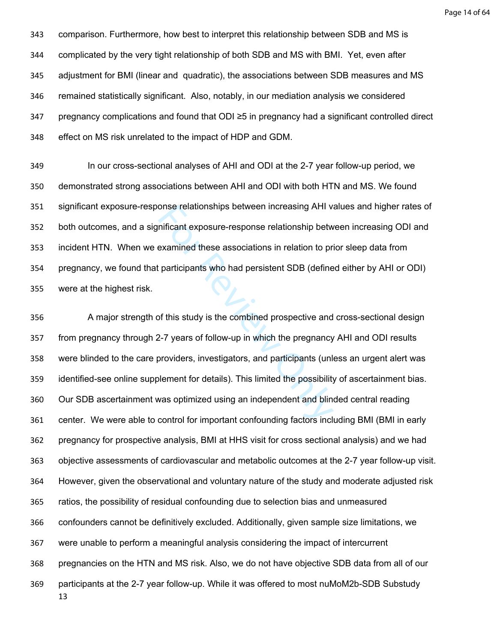Page 14 of 64

 comparison. Furthermore, how best to interpret this relationship between SDB and MS is complicated by the very tight relationship of both SDB and MS with BMI. Yet, even after adjustment for BMI (linear and quadratic), the associations between SDB measures and MS remained statistically significant. Also, notably, in our mediation analysis we considered pregnancy complications and found that ODI ≥5 in pregnancy had a significant controlled direct effect on MS risk unrelated to the impact of HDP and GDM.

 In our cross-sectional analyses of AHI and ODI at the 2-7 year follow-up period, we demonstrated strong associations between AHI and ODI with both HTN and MS. We found significant exposure-response relationships between increasing AHI values and higher rates of both outcomes, and a significant exposure-response relationship between increasing ODI and incident HTN. When we examined these associations in relation to prior sleep data from pregnancy, we found that participants who had persistent SDB (defined either by AHI or ODI) were at the highest risk.

onse relationships between increasing AHI vanificant exposure-response relationship betwexamined these associations in relation to price participants who had persistent SDB (define of this study is the combined prospective A major strength of this study is the combined prospective and cross-sectional design from pregnancy through 2-7 years of follow-up in which the pregnancy AHI and ODI results were blinded to the care providers, investigators, and participants (unless an urgent alert was identified-see online supplement for details). This limited the possibility of ascertainment bias. Our SDB ascertainment was optimized using an independent and blinded central reading center. We were able to control for important confounding factors including BMI (BMI in early pregnancy for prospective analysis, BMI at HHS visit for cross sectional analysis) and we had objective assessments of cardiovascular and metabolic outcomes at the 2-7 year follow-up visit. However, given the observational and voluntary nature of the study and moderate adjusted risk ratios, the possibility of residual confounding due to selection bias and unmeasured confounders cannot be definitively excluded. Additionally, given sample size limitations, we were unable to perform a meaningful analysis considering the impact of intercurrent pregnancies on the HTN and MS risk. Also, we do not have objective SDB data from all of our participants at the 2-7 year follow-up. While it was offered to most nuMoM2b-SDB Substudy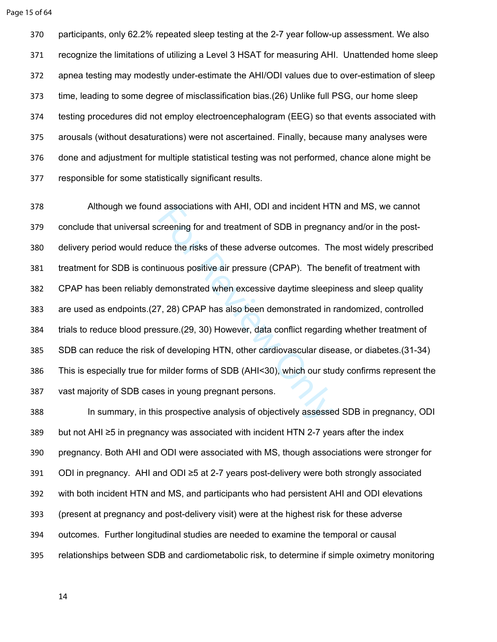participants, only 62.2% repeated sleep testing at the 2-7 year follow-up assessment. We also recognize the limitations of utilizing a Level 3 HSAT for measuring AHI. Unattended home sleep apnea testing may modestly under-estimate the AHI/ODI values due to over-estimation of sleep time, leading to some degree of misclassification bias.([26\)](#page-18-7) Unlike full PSG, our home sleep testing procedures did not employ electroencephalogram (EEG) so that events associated with arousals (without desaturations) were not ascertained. Finally, because many analyses were done and adjustment for multiple statistical testing was not performed, chance alone might be responsible for some statistically significant results.

d associations with AHI, ODI and incident HT<br>creening for and treatment of SDB in pregnar<br>uce the risks of these adverse outcomes. Th<br>inuous positive air pressure (CPAP). The be<br>demonstrated when excessive daytime sleepi<br>7 Although we found associations with AHI, ODI and incident HTN and MS, we cannot conclude that universal screening for and treatment of SDB in pregnancy and/or in the post- delivery period would reduce the risks of these adverse outcomes. The most widely prescribed treatment for SDB is continuous positive air pressure (CPAP). The benefit of treatment with CPAP has been reliably demonstrated when excessive daytime sleepiness and sleep quality are used as endpoints.([27](#page-18-8), 28) CPAP has also been demonstrated in randomized, controlled trials to reduce blood pressure.(29, 30) However, data conflict regarding whether treatment of SDB can reduce the risk of developing HTN, other cardiovascular disease, or diabetes.[\(31-34](#page-18-12)) This is especially true for milder forms of SDB (AHI<30), which our study confirms represent the vast majority of SDB cases in young pregnant persons.

 In summary, in this prospective analysis of objectively assessed SDB in pregnancy, ODI but not AHI ≥5 in pregnancy was associated with incident HTN 2-7 years after the index pregnancy. Both AHI and ODI were associated with MS, though associations were stronger for ODI in pregnancy. AHI and ODI ≥5 at 2-7 years post-delivery were both strongly associated with both incident HTN and MS, and participants who had persistent AHI and ODI elevations (present at pregnancy and post-delivery visit) were at the highest risk for these adverse outcomes. Further longitudinal studies are needed to examine the temporal or causal relationships between SDB and cardiometabolic risk, to determine if simple oximetry monitoring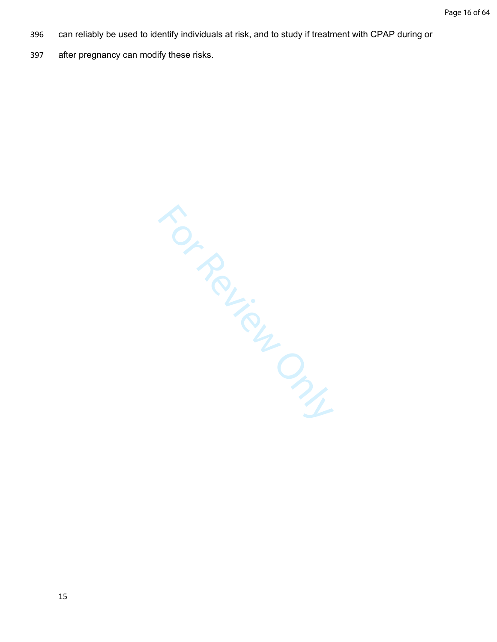- 396 can reliably be used to identify individuals at risk, and to study if treatment with CPAP during or
- 397 after pregnancy can modify these risks.

For Review Only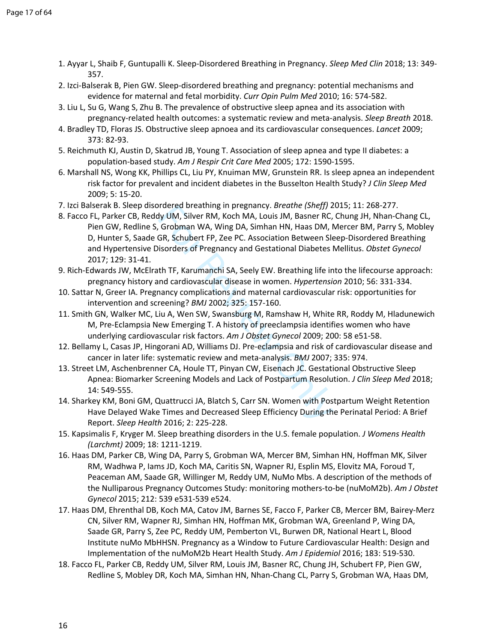- <span id="page-17-0"></span>1. Ayyar L, Shaib F, Guntupalli K. Sleep-Disordered Breathing in Pregnancy. *Sleep Med Clin* 2018; 13: 349- 357.
- <span id="page-17-1"></span>2. Izci-Balserak B, Pien GW. Sleep-disordered breathing and pregnancy: potential mechanisms and evidence for maternal and fetal morbidity. *Curr Opin Pulm Med* 2010; 16: 574-582.
- <span id="page-17-2"></span>3. Liu L, Su G, Wang S, Zhu B. The prevalence of obstructive sleep apnea and its association with pregnancy-related health outcomes: a systematic review and meta-analysis. *Sleep Breath* 2018.
- <span id="page-17-3"></span>4. Bradley TD, Floras JS. Obstructive sleep apnoea and its cardiovascular consequences. *Lancet* 2009; 373: 82-93.
- 5. Reichmuth KJ, Austin D, Skatrud JB, Young T. Association of sleep apnea and type II diabetes: a population-based study. *Am J Respir Crit Care Med* 2005; 172: 1590-1595.
- 6. Marshall NS, Wong KK, Phillips CL, Liu PY, Knuiman MW, Grunstein RR. Is sleep apnea an independent risk factor for prevalent and incident diabetes in the Busselton Health Study? *J Clin Sleep Med*  2009; 5: 15-20.
- <span id="page-17-4"></span>7. Izci Balserak B. Sleep disordered breathing in pregnancy. *Breathe (Sheff)* 2015; 11: 268-277.
- <span id="page-17-5"></span>rial of Bassim pregnancy. *Breatine* (*Sheyir*) 2<br>dy UM, Silver RM, Koch MA, Louis JM, Basner RC,<br>Grobman WA, Wing DA, Simhan HN, Haas DM, N<br>GR, Schubert FP, Zee PC. Association Between Skisorders of Pregnancy and Gestatio 8. Facco FL, Parker CB, Reddy UM, Silver RM, Koch MA, Louis JM, Basner RC, Chung JH, Nhan-Chang CL, Pien GW, Redline S, Grobman WA, Wing DA, Simhan HN, Haas DM, Mercer BM, Parry S, Mobley D, Hunter S, Saade GR, Schubert FP, Zee PC. Association Between Sleep-Disordered Breathing and Hypertensive Disorders of Pregnancy and Gestational Diabetes Mellitus. *Obstet Gynecol*  2017; 129: 31-41.
- <span id="page-17-6"></span>9. Rich-Edwards JW, McElrath TF, Karumanchi SA, Seely EW. Breathing life into the lifecourse approach: pregnancy history and cardiovascular disease in women. *Hypertension* 2010; 56: 331-334.
- 10. Sattar N, Greer IA. Pregnancy complications and maternal cardiovascular risk: opportunities for intervention and screening? *BMJ* 2002; 325: 157-160.
- 11. Smith GN, Walker MC, Liu A, Wen SW, Swansburg M, Ramshaw H, White RR, Roddy M, Hladunewich M, Pre-Eclampsia New Emerging T. A history of preeclampsia identifies women who have underlying cardiovascular risk factors. *Am J Obstet Gynecol* 2009; 200: 58 e51-58.
- 12. Bellamy L, Casas JP, Hingorani AD, Williams DJ. Pre-eclampsia and risk of cardiovascular disease and cancer in later life: systematic review and meta-analysis. *BMJ* 2007; 335: 974.
- <span id="page-17-7"></span>13. Street LM, Aschenbrenner CA, Houle TT, Pinyan CW, Eisenach JC. Gestational Obstructive Sleep Apnea: Biomarker Screening Models and Lack of Postpartum Resolution. *J Clin Sleep Med* 2018; 14: 549-555.
- 14. Sharkey KM, Boni GM, Quattrucci JA, Blatch S, Carr SN. Women with Postpartum Weight Retention Have Delayed Wake Times and Decreased Sleep Efficiency During the Perinatal Period: A Brief Report. *Sleep Health* 2016; 2: 225-228.
- 15. Kapsimalis F, Kryger M. Sleep breathing disorders in the U.S. female population. *J Womens Health (Larchmt)* 2009; 18: 1211-1219.
- <span id="page-17-8"></span>16. Haas DM, Parker CB, Wing DA, Parry S, Grobman WA, Mercer BM, Simhan HN, Hoffman MK, Silver RM, Wadhwa P, Iams JD, Koch MA, Caritis SN, Wapner RJ, Esplin MS, Elovitz MA, Foroud T, Peaceman AM, Saade GR, Willinger M, Reddy UM, NuMo Mbs. A description of the methods of the Nulliparous Pregnancy Outcomes Study: monitoring mothers-to-be (nuMoM2b). *Am J Obstet Gynecol* 2015; 212: 539 e531-539 e524.
- <span id="page-17-10"></span>17. Haas DM, Ehrenthal DB, Koch MA, Catov JM, Barnes SE, Facco F, Parker CB, Mercer BM, Bairey-Merz CN, Silver RM, Wapner RJ, Simhan HN, Hoffman MK, Grobman WA, Greenland P, Wing DA, Saade GR, Parry S, Zee PC, Reddy UM, Pemberton VL, Burwen DR, National Heart L, Blood Institute nuMo MbHHSN. Pregnancy as a Window to Future Cardiovascular Health: Design and Implementation of the nuMoM2b Heart Health Study. *Am J Epidemiol* 2016; 183: 519-530.
- <span id="page-17-9"></span>18. Facco FL, Parker CB, Reddy UM, Silver RM, Louis JM, Basner RC, Chung JH, Schubert FP, Pien GW, Redline S, Mobley DR, Koch MA, Simhan HN, Nhan-Chang CL, Parry S, Grobman WA, Haas DM,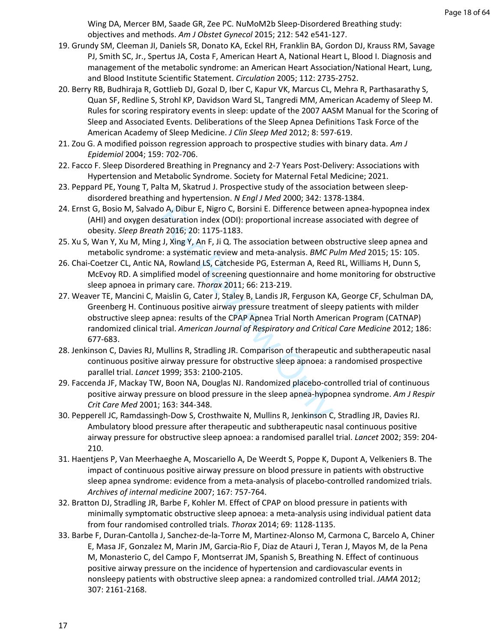Wing DA, Mercer BM, Saade GR, Zee PC. NuMoM2b Sleep-Disordered Breathing study: objectives and methods. *Am J Obstet Gynecol* 2015; 212: 542 e541-127.

- <span id="page-18-0"></span>19. Grundy SM, Cleeman JI, Daniels SR, Donato KA, Eckel RH, Franklin BA, Gordon DJ, Krauss RM, Savage PJ, Smith SC, Jr., Spertus JA, Costa F, American Heart A, National Heart L, Blood I. Diagnosis and management of the metabolic syndrome: an American Heart Association/National Heart, Lung, and Blood Institute Scientific Statement. *Circulation* 2005; 112: 2735-2752.
- <span id="page-18-1"></span>20. Berry RB, Budhiraja R, Gottlieb DJ, Gozal D, Iber C, Kapur VK, Marcus CL, Mehra R, Parthasarathy S, Quan SF, Redline S, Strohl KP, Davidson Ward SL, Tangredi MM, American Academy of Sleep M. Rules for scoring respiratory events in sleep: update of the 2007 AASM Manual for the Scoring of Sleep and Associated Events. Deliberations of the Sleep Apnea Definitions Task Force of the American Academy of Sleep Medicine. *J Clin Sleep Med* 2012; 8: 597-619.
- <span id="page-18-2"></span>21. Zou G. A modified poisson regression approach to prospective studies with binary data. *Am J Epidemiol* 2004; 159: 702-706.
- <span id="page-18-3"></span>22. Facco F. Sleep Disordered Breathing in Pregnancy and 2-7 Years Post-Delivery: Associations with Hypertension and Metabolic Syndrome. Society for Maternal Fetal Medicine; 2021.
- <span id="page-18-4"></span>23. Peppard PE, Young T, Palta M, Skatrud J. Prospective study of the association between sleepdisordered breathing and hypertension. *N Engl J Med* 2000; 342: 1378-1384.
- <span id="page-18-5"></span>24. Ernst G, Bosio M, Salvado A, Dibur E, Nigro C, Borsini E. Difference between apnea-hypopnea index (AHI) and oxygen desaturation index (ODI): proportional increase associated with degree of obesity. *Sleep Breath* 2016; 20: 1175-1183.
- <span id="page-18-6"></span>25. Xu S, Wan Y, Xu M, Ming J, Xing Y, An F, Ji Q. The association between obstructive sleep apnea and metabolic syndrome: a systematic review and meta-analysis. *BMC Pulm Med* 2015; 15: 105.
- <span id="page-18-8"></span><span id="page-18-7"></span>26. Chai-Coetzer CL, Antic NA, Rowland LS, Catcheside PG, Esterman A, Reed RL, Williams H, Dunn S, McEvoy RD. A simplified model of screening questionnaire and home monitoring for obstructive sleep apnoea in primary care. *Thorax* 2011; 66: 213-219.
- lo A, Dibur E, Nigro C, Borsini E. Difference betwe<br>esaturation index (ODI): proportional increase as:<br>th 2016; 20: 1175-1183.<br>g.J, Xing Y, An F, Ji Q. The association between ob<br>e: a systematic review and meta-analysis. 27. Weaver TE, Mancini C, Maislin G, Cater J, Staley B, Landis JR, Ferguson KA, George CF, Schulman DA, Greenberg H. Continuous positive airway pressure treatment of sleepy patients with milder obstructive sleep apnea: results of the CPAP Apnea Trial North American Program (CATNAP) randomized clinical trial. *American Journal of Respiratory and Critical Care Medicine* 2012; 186: 677-683.
- <span id="page-18-9"></span>28. Jenkinson C, Davies RJ, Mullins R, Stradling JR. Comparison of therapeutic and subtherapeutic nasal continuous positive airway pressure for obstructive sleep apnoea: a randomised prospective parallel trial. *Lancet* 1999; 353: 2100-2105.
- <span id="page-18-10"></span>29. Faccenda JF, Mackay TW, Boon NA, Douglas NJ. Randomized placebo-controlled trial of continuous positive airway pressure on blood pressure in the sleep apnea-hypopnea syndrome. *Am J Respir Crit Care Med* 2001; 163: 344-348.
- <span id="page-18-11"></span>30. Pepperell JC, Ramdassingh-Dow S, Crosthwaite N, Mullins R, Jenkinson C, Stradling JR, Davies RJ. Ambulatory blood pressure after therapeutic and subtherapeutic nasal continuous positive airway pressure for obstructive sleep apnoea: a randomised parallel trial. *Lancet* 2002; 359: 204- 210.
- <span id="page-18-12"></span>31. Haentjens P, Van Meerhaeghe A, Moscariello A, De Weerdt S, Poppe K, Dupont A, Velkeniers B. The impact of continuous positive airway pressure on blood pressure in patients with obstructive sleep apnea syndrome: evidence from a meta-analysis of placebo-controlled randomized trials. *Archives of internal medicine* 2007; 167: 757-764.
- 32. Bratton DJ, Stradling JR, Barbe F, Kohler M. Effect of CPAP on blood pressure in patients with minimally symptomatic obstructive sleep apnoea: a meta-analysis using individual patient data from four randomised controlled trials. *Thorax* 2014; 69: 1128-1135.
- 33. Barbe F, Duran-Cantolla J, Sanchez-de-la-Torre M, Martinez-Alonso M, Carmona C, Barcelo A, Chiner E, Masa JF, Gonzalez M, Marin JM, Garcia-Rio F, Diaz de Atauri J, Teran J, Mayos M, de la Pena M, Monasterio C, del Campo F, Montserrat JM, Spanish S, Breathing N. Effect of continuous positive airway pressure on the incidence of hypertension and cardiovascular events in nonsleepy patients with obstructive sleep apnea: a randomized controlled trial. *JAMA* 2012; 307: 2161-2168.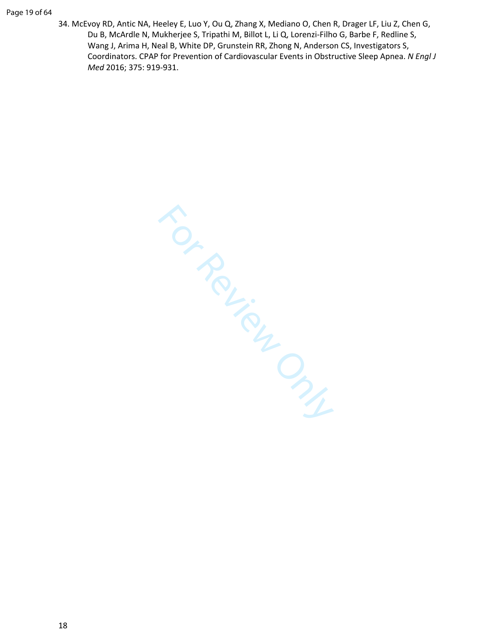34. McEvoy RD, Antic NA, Heeley E, Luo Y, Ou Q, Zhang X, Mediano O, Chen R, Drager LF, Liu Z, Chen G, Du B, McArdle N, Mukherjee S, Tripathi M, Billot L, Li Q, Lorenzi-Filho G, Barbe F, Redline S, Wang J, Arima H, Neal B, White DP, Grunstein RR, Zhong N, Anderson CS, Investigators S, Coordinators. CPAP for Prevention of Cardiovascular Events in Obstructive Sleep Apnea. *N Engl J Med* 2016; 375: 919-931.

For Review Only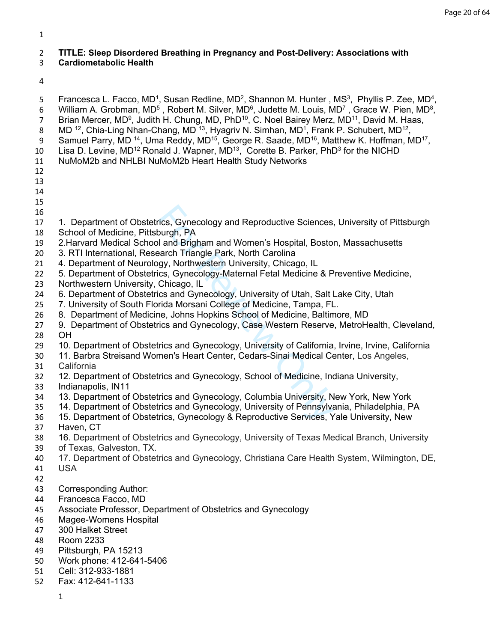# **TITLE: Sleep Disordered Breathing in Pregnancy and Post-Delivery: Associations with**

## **Cardiometabolic Health**

5 Francesca L. Facco, MD<sup>1</sup>, Susan Redline, MD<sup>2</sup>, Shannon M. Hunter, MS<sup>3</sup>, Phyllis P. Zee, MD<sup>4</sup>,

6 William A. Grobman, MD<sup>5</sup>, Robert M. Silver, MD<sup>6</sup>, Judette M. Louis, MD<sup>7</sup>, Grace W. Pien, MD<sup>8</sup>,

- 7 Brian Mercer, MD<sup>9</sup>, Judith H. Chung, MD, PhD<sup>10</sup>, C. Noel Bairey Merz, MD<sup>11</sup>, David M. Haas,
- 8 MD <sup>12</sup>, Chia-Ling Nhan-Chang, MD <sup>13</sup>, Hyagriv N. Simhan, MD<sup>1</sup>, Frank P. Schubert, MD<sup>12</sup>,
- 9 Samuel Parry, MD <sup>14</sup>, Uma Reddy, MD<sup>15</sup>, George R. Saade, MD<sup>16</sup>, Matthew K. Hoffman, MD<sup>17</sup>,
- 10 Lisa D. Levine, MD<sup>12</sup> Ronald J. Wapner, MD<sup>13</sup>, Corette B. Parker, PhD<sup>3</sup> for the NICHD
- NuMoM2b and NHLBI NuMoM2b Heart Health Study Networks
- 
- 
- 
- 
- 
- 1. Department of Obstetrics, Gynecology and Reproductive Sciences, University of Pittsburgh
- School of Medicine, Pittsburgh, PA
- 2.Harvard Medical School and Brigham and Women's Hospital, Boston, Massachusetts
- 3. RTI International, Research Triangle Park, North Carolina
- 4. Department of Neurology, Northwestern University, Chicago, IL
- 5. Department of Obstetrics, Gynecology-Maternal Fetal Medicine & Preventive Medicine,
- Northwestern University, Chicago, IL
- 6. Department of Obstetrics and Gynecology, University of Utah, Salt Lake City, Utah
- 7. University of South Florida Morsani College of Medicine, Tampa, FL.
- 8. Department of Medicine, Johns Hopkins School of Medicine, Baltimore, MD
- rics, Gynecology and Reproductive Sciences<br>
burgh, PA<br>
I and Brigham and Women's Hospital, Bostol<br>
aarch Triangle Park, North Carolina<br>
gy, Northwestern University, Chicago, IL<br>
cs, Gynecology-Maternal Fetal Medicine & P<br> 9. Department of Obstetrics and Gynecology, Case Western Reserve, MetroHealth, Cleveland, OH
- 10. Department of Obstetrics and Gynecology, University of California, Irvine, Irvine, California
- 11. Barbra Streisand Women's Heart Center, Cedars-Sinai Medical Center, Los Angeles, California
- 12. Department of Obstetrics and Gynecology, School of Medicine, Indiana University,
- Indianapolis, IN11
- 13. Department of Obstetrics and Gynecology, Columbia University, New York, New York
- 14. Department of Obstetrics and Gynecology, University of Pennsylvania, Philadelphia, PA
- 15. Department of Obstetrics, Gynecology & Reproductive Services, Yale University, New
- Haven, CT
- 16. Department of Obstetrics and Gynecology, University of Texas Medical Branch, University
- of Texas, Galveston, TX.
- 17. Department of Obstetrics and Gynecology, Christiana Care Health System, Wilmington, DE,
- USA
- Corresponding Author:
- Francesca Facco, MD
- Associate Professor, Department of Obstetrics and Gynecology
- Magee-Womens Hospital
- 300 Halket Street
- Room 2233
- Pittsburgh, PA 15213
- Work phone: 412-641-5406
- Cell: 312-933-1881
- Fax: 412-641-1133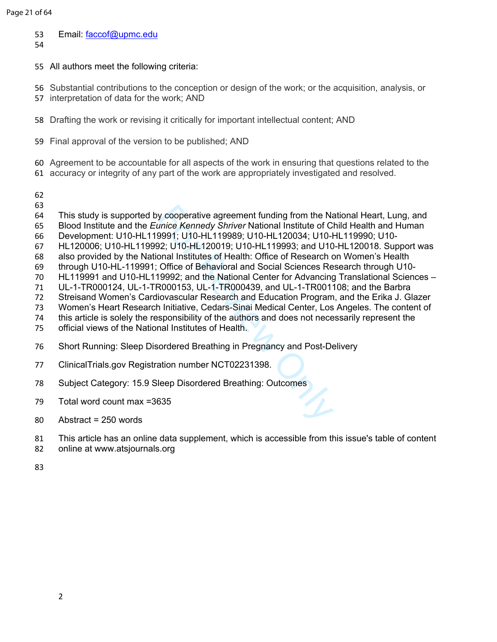- 53 Email: [faccof@upmc.edu](mailto:faccof@upmc.edu)
- 
- All authors meet the following criteria:
- Substantial contributions to the conception or design of the work; or the acquisition, analysis, or
- interpretation of data for the work; AND
- Drafting the work or revising it critically for important intellectual content; AND
- Final approval of the version to be published; AND
- Agreement to be accountable for all aspects of the work in ensuring that questions related to the
- accuracy or integrity of any part of the work are appropriately investigated and resolved.
- 
- 
- v cooperative agreement funding from the Namice Kennedy Shriver National Institute of Classory, U10-HL119989; U10-HL120034; U10-H22: U10-HL120019; U10-HL119993; and U10-<br>Page 1: U10-HL120019; U10-HL119993; and U10-<br>Page 1: This study is supported by cooperative agreement funding from the National Heart, Lung, and
- Blood Institute and the *Eunice Kennedy Shriver* National Institute of Child Health and Human
- Development: U10-HL119991; U10-HL119989; U10-HL120034; U10-HL119990; U10-
- HL120006; U10-HL119992; U10-HL120019; U10-HL119993; and U10-HL120018. Support was
- also provided by the National Institutes of Health: Office of Research on Women's Health
- through U10-HL-119991; Office of Behavioral and Social Sciences Research through U10-
- HL119991 and U10-HL119992; and the National Center for Advancing Translational Sciences –
- UL-1-TR000124, UL-1-TR000153, UL-1-TR000439, and UL-1-TR001108; and the Barbra
- Streisand Women's Cardiovascular Research and Education Program, and the Erika J. Glazer
- Women's Heart Research Initiative, Cedars-Sinai Medical Center, Los Angeles. The content of
- this article is solely the responsibility of the authors and does not necessarily represent the
- official views of the National Institutes of Health.
- Short Running: Sleep Disordered Breathing in Pregnancy and Post-Delivery
- ClinicalTrials.gov Registration number NCT02231398.
- Subject Category: 15.9 Sleep Disordered Breathing: Outcomes
- Total word count max =3635
- Abstract = 250 words
- This article has an online data supplement, which is accessible from this issue's table of content
- online at [www.atsjournals.org](https://www.atsjournals.org/page/ajrccm/www.atsjournals.org)
-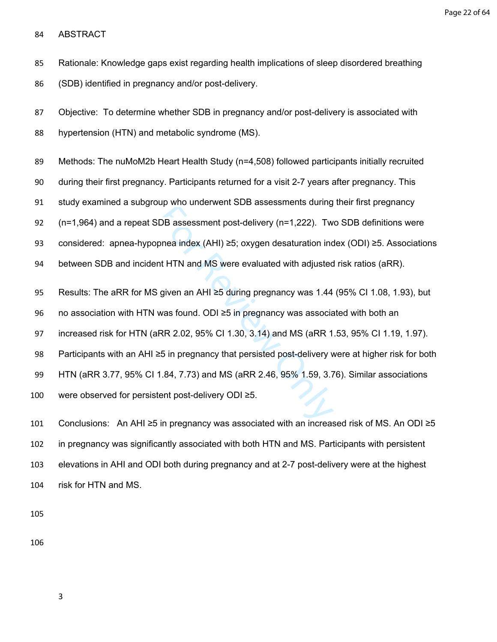Page 22 of 64

ABSTRACT

Rationale: Knowledge gaps exist regarding health implications of sleep disordered breathing

(SDB) identified in pregnancy and/or post-delivery.

 Objective: To determine whether SDB in pregnancy and/or post-delivery is associated with hypertension (HTN) and metabolic syndrome (MS).

Methods: The nuMoM2b Heart Health Study (n=4,508) followed participants initially recruited

during their first pregnancy. Participants returned for a visit 2-7 years after pregnancy. This

study examined a subgroup who underwent SDB assessments during their first pregnancy

(n=1,964) and a repeat SDB assessment post-delivery (n=1,222). Two SDB definitions were

DB assessment post-delivery (n=1,222). Two<br>nea index (AHI)  $\geq$ 5; oxygen desaturation incorder in the HTN and MS were evaluated with adjusted<br>given an AHI  $\geq$ 5 during pregnancy was 1.44<br>was found. ODI  $\geq$ 5 in pregnan considered: apnea-hypopnea index (AHI) ≥5; oxygen desaturation index (ODI) ≥5. Associations

between SDB and incident HTN and MS were evaluated with adjusted risk ratios (aRR).

95 Results: The aRR for MS given an AHI ≥5 during pregnancy was 1.44 (95% CI 1.08, 1.93), but

no association with HTN was found. ODI ≥5 in pregnancy was associated with both an

increased risk for HTN (aRR 2.02, 95% CI 1.30, 3.14) and MS (aRR 1.53, 95% CI 1.19, 1.97).

Participants with an AHI ≥5 in pregnancy that persisted post-delivery were at higher risk for both

HTN (aRR 3.77, 95% CI 1.84, 7.73) and MS (aRR 2.46, 95% 1.59, 3.76). Similar associations

were observed for persistent post-delivery ODI ≥5.

 Conclusions: An AHI ≥5 in pregnancy was associated with an increased risk of MS. An ODI ≥5 in pregnancy was significantly associated with both HTN and MS. Participants with persistent elevations in AHI and ODI both during pregnancy and at 2-7 post-delivery were at the highest risk for HTN and MS.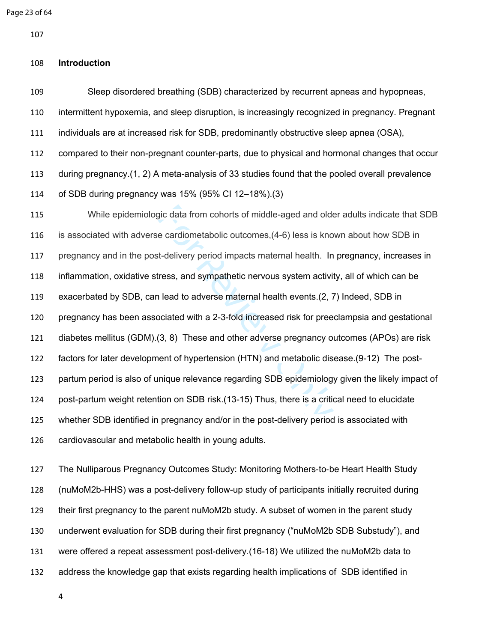```
Page 23 of 64
```
#### **Introduction**

 Sleep disordered breathing (SDB) characterized by recurrent apneas and hypopneas, intermittent hypoxemia, and sleep disruption, is increasingly recognized in pregnancy. Pregnant individuals are at increased risk for SDB, predominantly obstructive sleep apnea (OSA), compared to their non-pregnant counter-parts, due to physical and hormonal changes that occur during pregnancy.([1,](#page-35-0) [2](#page-35-1)) A meta-analysis of 33 studies found that the pooled overall prevalence of SDB during pregnancy was 15% (95% CI 12–18%).[\(3](#page-35-2)) While epidemiologic data from cohorts of middle-aged and older adults indicate that SDB

gic data from cohorts of middle-aged and olde<br>e cardiometabolic outcomes, (4-6) less is kno<br>t-delivery period impacts maternal health. In<br>ress, and sympathetic nervous system activity<br>allead to adverse maternal health even is associated with adverse cardiometabolic outcomes,(4-6) less is known about how SDB in pregnancy and in the post-delivery period impacts maternal health. In pregnancy, increases in inflammation, oxidative stress, and sympathetic nervous system activity, all of which can be exacerbated by SDB, can lead to adverse maternal health events.(2, [7](#page-35-4)) Indeed, SDB in pregnancy has been associated with a 2-3-fold increased risk for preeclampsia and gestational diabetes mellitus (GDM).(3, 8) These and other adverse pregnancy outcomes (APOs) are risk factors for later development of hypertension (HTN) and metabolic disease.([9-12\)](#page-35-6) The post- partum period is also of unique relevance regarding SDB epidemiology given the likely impact of post-partum weight retention on SDB risk.(13-15) Thus, there is a critical need to elucidate whether SDB identified in pregnancy and/or in the post-delivery period is associated with cardiovascular and metabolic health in young adults.

 The Nulliparous Pregnancy Outcomes Study: Monitoring Mothers ‐to ‐be Heart Health Study (nuMoM2b-HHS) was a post-delivery follow-up study of participants initially recruited during their first pregnancy to the parent nuMoM2b study. A subset of women in the parent study underwent evaluation for SDB during their first pregnancy ("nuMoM2b SDB Substudy"), and were offered a repeat assessment post-delivery.[\(16-18\)](#page-35-8) We utilized the nuMoM2b data to address the knowledge gap that exists regarding health implications of SDB identified in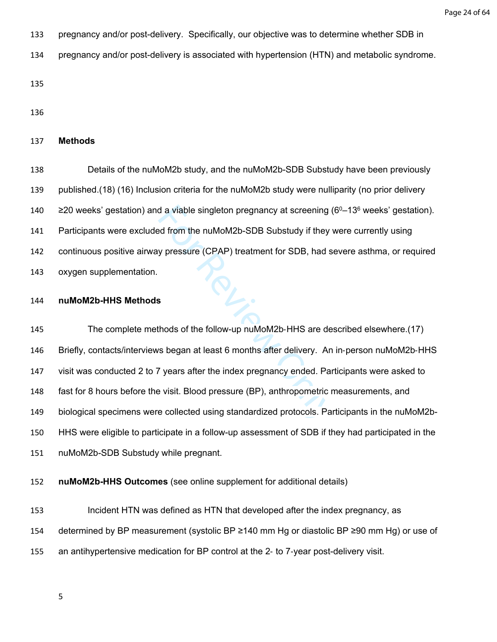- pregnancy and/or post-delivery. Specifically, our objective was to determine whether SDB in
- pregnancy and/or post-delivery is associated with hypertension (HTN) and metabolic syndrome.

#### **Methods**

 Details of the nuMoM2b study, and the nuMoM2b-SDB Substudy have been previously published.([18](#page-35-9)) [\(16\)](#page-35-8) Inclusion criteria for the nuMoM2b study were nulliparity (no prior delivery  $\geq$  20 weeks' gestation) and a viable singleton pregnancy at screening (6<sup>0</sup>–13<sup>6</sup> weeks' gestation). Participants were excluded from the nuMoM2b-SDB Substudy if they were currently using continuous positive airway pressure (CPAP) treatment for SDB, had severe asthma, or required oxygen supplementation.

#### **nuMoM2b-HHS Methods**

d a viable singleton pregnancy at screening (<br>ed from the nuMoM2b-SDB Substudy if they v<br>y pressure (CPAP) treatment for SDB, had s<br>s<br>s<br>s<br>s<br>hhods of the follow-up nuMoM2b-HHS are des<br>rs began at least 6 months after delive 145 The complete methods of the follow-up nuMoM2b-HHS are described elsewhere.[\(17](#page-35-10)) Briefly, contacts/interviews began at least 6 months after delivery. An in‐person nuMoM2b‐HHS visit was conducted 2 to 7 years after the index pregnancy ended. Participants were asked to fast for 8 hours before the visit. Blood pressure (BP), anthropometric measurements, and biological specimens were collected using standardized protocols. Participants in the nuMoM2b- HHS were eligible to participate in a follow-up assessment of SDB if they had participated in the nuMoM2b-SDB Substudy while pregnant.

**nuMoM2b-HHS Outcomes** (see online supplement for additional details)

 Incident HTN was defined as HTN that developed after the index pregnancy, as determined by BP measurement (systolic BP ≥140 mm Hg or diastolic BP ≥90 mm Hg) or use of an antihypertensive medication for BP control at the 2‐ to 7‐year post-delivery visit.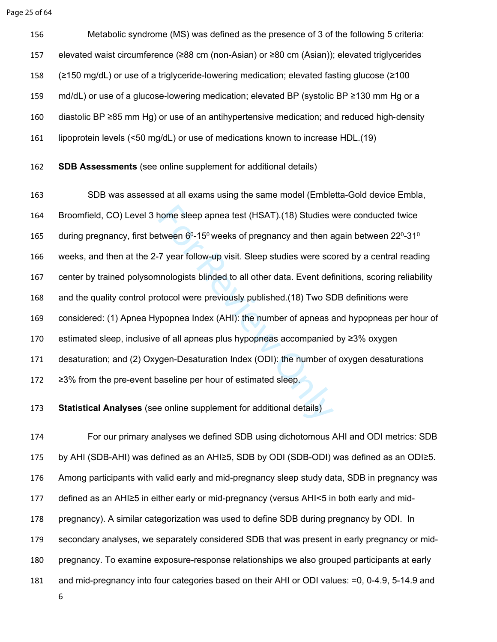Page 25 of 64

 Metabolic syndrome (MS) was defined as the presence of 3 of the following 5 criteria: elevated waist circumference (≥88 cm (non-Asian) or ≥80 cm (Asian)); elevated triglycerides (≥150 mg/dL) or use of a triglyceride-lowering medication; elevated fasting glucose (≥100 159 md/dL) or use of a glucose-lowering medication; elevated BP (systolic BP ≥130 mm Hg or a diastolic BP ≥85 mm Hg) or use of an antihypertensive medication; and reduced high ‐density lipoprotein levels (<50 mg/dL) or use of medications known to increase HDL.([19\)](#page-36-0)

**SDB Assessments** (see online supplement for additional details)

nome sleep apnea test (HSAT).(18) Studies wat<br>tween 6º-15º weeks of pregnancy and then a<br>7 year follow-up visit. Sleep studies were sconnologists blinded to all other data. Event def<br>btocol were previously published.(18) T SDB was assessed at all exams using the same model (Embletta-Gold device Embla, Broomfield, CO) Level 3 home sleep apnea test (HSAT).(18) Studies were conducted twice 165 during pregnancy, first between  $6^0$ -15<sup>0</sup> weeks of pregnancy and then again between 22<sup>0</sup>-31<sup>0</sup> weeks, and then at the 2-7 year follow-up visit. Sleep studies were scored by a central reading center by trained polysomnologists blinded to all other data. Event definitions, scoring reliability and the quality control protocol were previously published.(18) Two SDB definitions were considered: (1) Apnea Hypopnea Index (AHI): the number of apneas and hypopneas per hour of estimated sleep, inclusive of all apneas plus hypopneas accompanied by ≥3% oxygen desaturation; and (2) Oxygen-Desaturation Index (ODI): the number of oxygen desaturations ≥3% from the pre-event baseline per hour of estimated sleep.

**Statistical Analyses** (see online supplement for additional details)

 For our primary analyses we defined SDB using dichotomous AHI and ODI metrics: SDB by AHI (SDB-AHI) was defined as an AHI≥5, SDB by ODI (SDB-ODI) was defined as an ODI≥5. Among participants with valid early and mid-pregnancy sleep study data, SDB in pregnancy was defined as an AHI≥5 in either early or mid-pregnancy (versus AHI<5 in both early and mid- pregnancy). A similar categorization was used to define SDB during pregnancy by ODI. In secondary analyses, we separately considered SDB that was present in early pregnancy or mid- pregnancy. To examine exposure-response relationships we also grouped participants at early and mid-pregnancy into four categories based on their AHI or ODI values: =0, 0-4.9, 5-14.9 and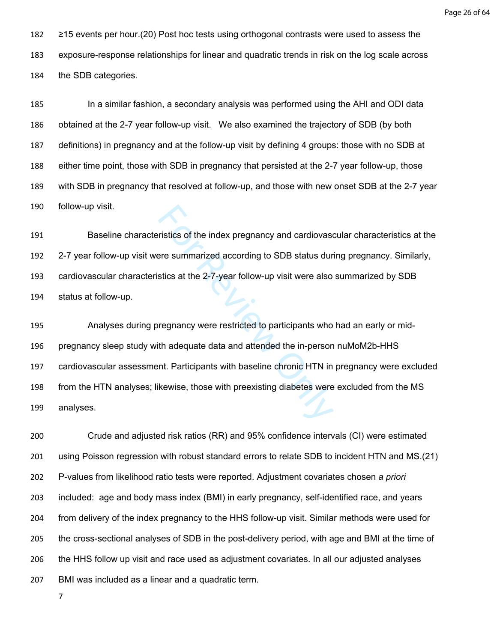Page 26 of 64

 ≥15 events per hour.[\(20\)](#page-36-1) Post hoc tests using orthogonal contrasts were used to assess the exposure-response relationships for linear and quadratic trends in risk on the log scale across the SDB categories.

 In a similar fashion, a secondary analysis was performed using the AHI and ODI data obtained at the 2-7 year follow-up visit. We also examined the trajectory of SDB (by both definitions) in pregnancy and at the follow-up visit by defining 4 groups: those with no SDB at either time point, those with SDB in pregnancy that persisted at the 2-7 year follow-up, those with SDB in pregnancy that resolved at follow-up, and those with new onset SDB at the 2-7 year follow-up visit.

 Baseline characteristics of the index pregnancy and cardiovascular characteristics at the 2-7 year follow-up visit were summarized according to SDB status during pregnancy. Similarly, cardiovascular characteristics at the 2-7-year follow-up visit were also summarized by SDB status at follow-up.

ristics of the index pregnancy and cardiovase<br>re summarized according to SDB status dur<br>stics at the 2-7-year follow-up visit were also<br>regnancy were restricted to participants who<br>th adequate data and attended the in-pers Analyses during pregnancy were restricted to participants who had an early or mid- pregnancy sleep study with adequate data and attended the in-person nuMoM2b-HHS cardiovascular assessment. Participants with baseline chronic HTN in pregnancy were excluded from the HTN analyses; likewise, those with preexisting diabetes were excluded from the MS analyses.

 Crude and adjusted risk ratios (RR) and 95% confidence intervals (CI) were estimated using Poisson regression with robust standard errors to relate SDB to incident HTN and MS.([21](#page-36-2)) P-values from likelihood ratio tests were reported. Adjustment covariates chosen *a priori* included: age and body mass index (BMI) in early pregnancy, self-identified race, and years from delivery of the index pregnancy to the HHS follow-up visit. Similar methods were used for the cross-sectional analyses of SDB in the post-delivery period, with age and BMI at the time of the HHS follow up visit and race used as adjustment covariates. In all our adjusted analyses BMI was included as a linear and a quadratic term.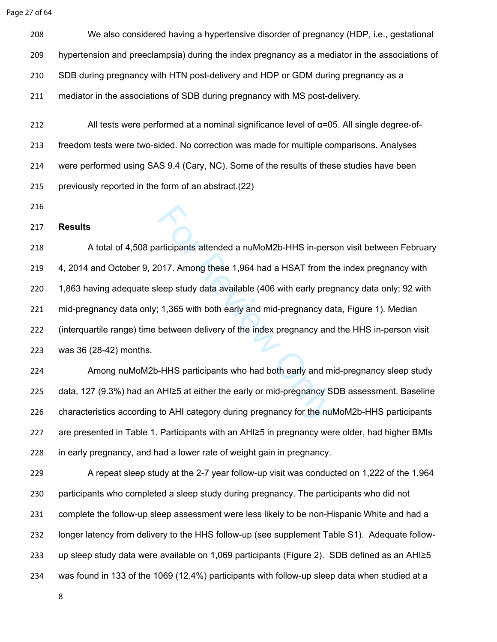Page 27 of 64

 We also considered having a hypertensive disorder of pregnancy (HDP, i.e., gestational hypertension and preeclampsia) during the index pregnancy as a mediator in the associations of SDB during pregnancy with HTN post-delivery and HDP or GDM during pregnancy as a mediator in the associations of SDB during pregnancy with MS post-delivery.

 All tests were performed at a nominal significance level of α=05. All single degree-of- freedom tests were two-sided. No correction was made for multiple comparisons. Analyses were performed using SAS 9.4 (Cary, NC). Some of the results of these studies have been previously reported in the form of an abstract.([22](#page-36-3))

### **Results**

Inticipants attended a nuMoM2b-HHS in-pers<br>
17. Among these 1,964 had a HSAT from the<br>
1,365 with both early and mid-pregnancy da<br>
1,365 with both early and mid-pregnancy da<br>
between delivery of the index pregnancy and<br>
-218 A total of 4,508 participants attended a nuMoM2b-HHS in-person visit between February 4, 2014 and October 9, 2017. Among these 1,964 had a HSAT from the index pregnancy with 1,863 having adequate sleep study data available (406 with early pregnancy data only; 92 with mid-pregnancy data only; 1,365 with both early and mid-pregnancy data, Figure 1). Median (interquartile range) time between delivery of the index pregnancy and the HHS in-person visit was 36 (28-42) months.

 Among nuMoM2b-HHS participants who had both early and mid-pregnancy sleep study data, 127 (9.3%) had an AHI≥5 at either the early or mid-pregnancy SDB assessment. Baseline characteristics according to AHI category during pregnancy for the nuMoM2b-HHS participants are presented in Table 1. Participants with an AHI≥5 in pregnancy were older, had higher BMIs in early pregnancy, and had a lower rate of weight gain in pregnancy.

 A repeat sleep study at the 2-7 year follow-up visit was conducted on 1,222 of the 1,964 participants who completed a sleep study during pregnancy. The participants who did not complete the follow-up sleep assessment were less likely to be non-Hispanic White and had a longer latency from delivery to the HHS follow-up (see supplement Table S1). Adequate follow- up sleep study data were available on 1,069 participants (Figure 2). SDB defined as an AHI≥5 was found in 133 of the 1069 (12.4%) participants with follow-up sleep data when studied at a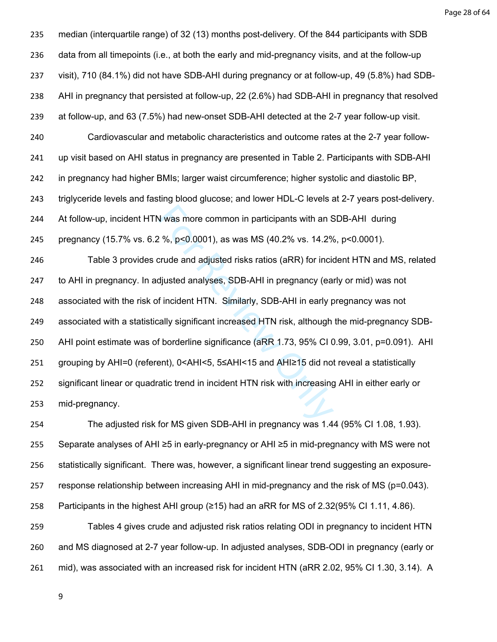Page 28 of 64

N was more common in participants with an S<br>
2 %, p<0.0001), as was MS (40.2% vs. 14.2%<br>
crude and adjusted risks ratios (aRR) for incid<br>
djusted analyses, SDB-AHI in pregnancy (ear<br>
f incident HTN. Similarly, SDB-AHI in median (interquartile range) of 32 (13) months post-delivery. Of the 844 participants with SDB data from all timepoints (i.e., at both the early and mid-pregnancy visits, and at the follow-up visit), 710 (84.1%) did not have SDB-AHI during pregnancy or at follow-up, 49 (5.8%) had SDB- AHI in pregnancy that persisted at follow-up, 22 (2.6%) had SDB-AHI in pregnancy that resolved at follow-up, and 63 (7.5%) had new-onset SDB-AHI detected at the 2-7 year follow-up visit. Cardiovascular and metabolic characteristics and outcome rates at the 2-7 year follow- up visit based on AHI status in pregnancy are presented in Table 2. Participants with SDB-AHI in pregnancy had higher BMIs; larger waist circumference; higher systolic and diastolic BP, triglyceride levels and fasting blood glucose; and lower HDL-C levels at 2-7 years post-delivery. At follow-up, incident HTN was more common in participants with an SDB-AHI during pregnancy (15.7% vs. 6.2 %, p<0.0001), as was MS (40.2% vs. 14.2%, p<0.0001). Table 3 provides crude and adjusted risks ratios (aRR) for incident HTN and MS, related to AHI in pregnancy. In adjusted analyses, SDB-AHI in pregnancy (early or mid) was not associated with the risk of incident HTN. Similarly, SDB-AHI in early pregnancy was not associated with a statistically significant increased HTN risk, although the mid-pregnancy SDB- AHI point estimate was of borderline significance (aRR 1.73, 95% CI 0.99, 3.01, p=0.091). AHI grouping by AHI=0 (referent), 0<AHI<5, 5≤AHI<15 and AHI≥15 did not reveal a statistically significant linear or quadratic trend in incident HTN risk with increasing AHI in either early or mid-pregnancy.

 The adjusted risk for MS given SDB-AHI in pregnancy was 1.44 (95% CI 1.08, 1.93). Separate analyses of AHI ≥5 in early-pregnancy or AHI ≥5 in mid-pregnancy with MS were not statistically significant. There was, however, a significant linear trend suggesting an exposure- response relationship between increasing AHI in mid-pregnancy and the risk of MS (p=0.043). Participants in the highest AHI group (≥15) had an aRR for MS of 2.32(95% CI 1.11, 4.86). Tables 4 gives crude and adjusted risk ratios relating ODI in pregnancy to incident HTN and MS diagnosed at 2-7 year follow-up. In adjusted analyses, SDB-ODI in pregnancy (early or

mid), was associated with an increased risk for incident HTN (aRR 2.02, 95% CI 1.30, 3.14). A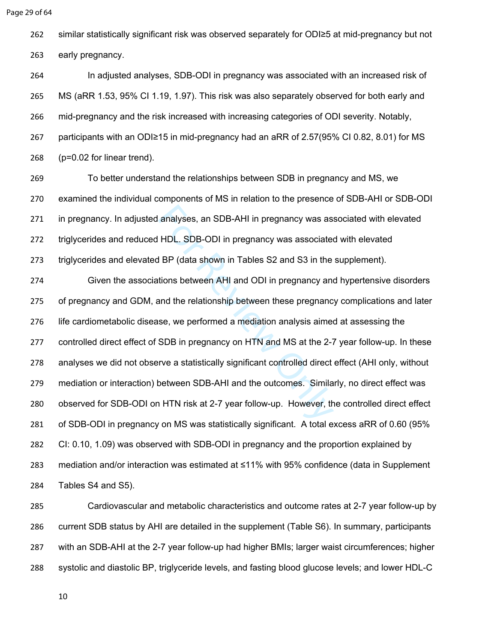```
Page 29 of 64
```
similar statistically significant risk was observed separately for ODI≥5 at mid-pregnancy but not

early pregnancy.

 In adjusted analyses, SDB-ODI in pregnancy was associated with an increased risk of MS (aRR 1.53, 95% CI 1.19, 1.97). This risk was also separately observed for both early and mid-pregnancy and the risk increased with increasing categories of ODI severity. Notably, participants with an ODI≥15 in mid-pregnancy had an aRR of 2.57(95% CI 0.82, 8.01) for MS (p=0.02 for linear trend).

 To better understand the relationships between SDB in pregnancy and MS, we examined the individual components of MS in relation to the presence of SDB-AHI or SDB-ODI in pregnancy. In adjusted analyses, an SDB-AHI in pregnancy was associated with elevated triglycerides and reduced HDL. SDB-ODI in pregnancy was associated with elevated triglycerides and elevated BP (data shown in Tables S2 and S3 in the supplement).

analyses, an SDB-AHI in pregnancy was ass<br>
HDL. SDB-ODI in pregnancy was associated<br>
I BP (data shown in Tables S2 and S3 in the<br>
tions between AHI and ODI in pregnancy and<br>
and the relationship between these pregnanc<br>
se, Given the associations between AHI and ODI in pregnancy and hypertensive disorders of pregnancy and GDM, and the relationship between these pregnancy complications and later life cardiometabolic disease, we performed a mediation analysis aimed at assessing the controlled direct effect of SDB in pregnancy on HTN and MS at the 2-7 year follow-up. In these analyses we did not observe a statistically significant controlled direct effect (AHI only, without mediation or interaction) between SDB-AHI and the outcomes. Similarly, no direct effect was observed for SDB-ODI on HTN risk at 2-7 year follow-up. However, the controlled direct effect of SDB-ODI in pregnancy on MS was statistically significant. A total excess aRR of 0.60 (95% CI: 0.10, 1.09) was observed with SDB-ODI in pregnancy and the proportion explained by mediation and/or interaction was estimated at ≤11% with 95% confidence (data in Supplement Tables S4 and S5).

 Cardiovascular and metabolic characteristics and outcome rates at 2-7 year follow-up by current SDB status by AHI are detailed in the supplement (Table S6). In summary, participants with an SDB-AHI at the 2-7 year follow-up had higher BMIs; larger waist circumferences; higher systolic and diastolic BP, triglyceride levels, and fasting blood glucose levels; and lower HDL-C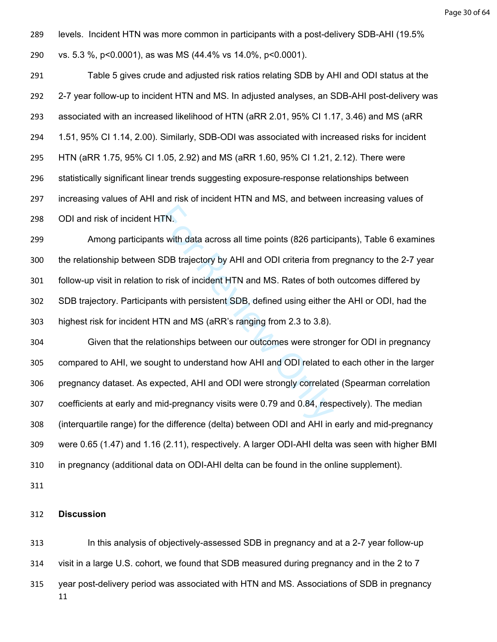levels. Incident HTN was more common in participants with a post-delivery SDB-AHI (19.5% vs. 5.3 %, p<0.0001), as was MS (44.4% vs 14.0%, p<0.0001).

 Table 5 gives crude and adjusted risk ratios relating SDB by AHI and ODI status at the 2-7 year follow-up to incident HTN and MS. In adjusted analyses, an SDB-AHI post-delivery was associated with an increased likelihood of HTN (aRR 2.01, 95% CI 1.17, 3.46) and MS (aRR 1.51, 95% CI 1.14, 2.00). Similarly, SDB-ODI was associated with increased risks for incident HTN (aRR 1.75, 95% CI 1.05, 2.92) and MS (aRR 1.60, 95% CI 1.21, 2.12). There were statistically significant linear trends suggesting exposure-response relationships between increasing values of AHI and risk of incident HTN and MS, and between increasing values of ODI and risk of incident HTN.

 Among participants with data across all time points (826 participants), Table 6 examines the relationship between SDB trajectory by AHI and ODI criteria from pregnancy to the 2-7 year follow-up visit in relation to risk of incident HTN and MS. Rates of both outcomes differed by SDB trajectory. Participants with persistent SDB, defined using either the AHI or ODI, had the highest risk for incident HTN and MS (aRR's ranging from 2.3 to 3.8).

FIN.<br>Is with data across all time points (826 partici<br>SDB trajectory by AHI and ODI criteria from p<br>o risk of incident HTN and MS. Rates of both<br>Its with persistent SDB, defined using either<br>TN and MS (aRR's ranging from 2 Given that the relationships between our outcomes were stronger for ODI in pregnancy compared to AHI, we sought to understand how AHI and ODI related to each other in the larger pregnancy dataset. As expected, AHI and ODI were strongly correlated (Spearman correlation coefficients at early and mid-pregnancy visits were 0.79 and 0.84, respectively). The median (interquartile range) for the difference (delta) between ODI and AHI in early and mid-pregnancy were 0.65 (1.47) and 1.16 (2.11), respectively. A larger ODI-AHI delta was seen with higher BMI in pregnancy (additional data on ODI-AHI delta can be found in the online supplement).

#### **Discussion**

 In this analysis of objectively-assessed SDB in pregnancy and at a 2-7 year follow-up visit in a large U.S. cohort, we found that SDB measured during pregnancy and in the 2 to 7 year post-delivery period was associated with HTN and MS. Associations of SDB in pregnancy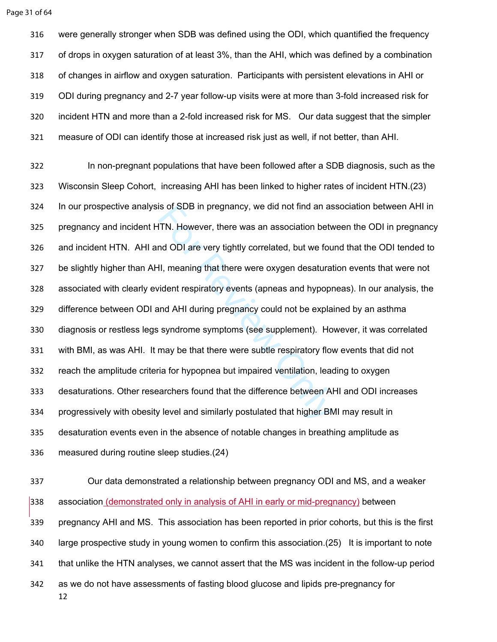were generally stronger when SDB was defined using the ODI, which quantified the frequency of drops in oxygen saturation of at least 3%, than the AHI, which was defined by a combination of changes in airflow and oxygen saturation. Participants with persistent elevations in AHI or ODI during pregnancy and 2-7 year follow-up visits were at more than 3-fold increased risk for incident HTN and more than a 2-fold increased risk for MS. Our data suggest that the simpler measure of ODI can identify those at increased risk just as well, if not better, than AHI.

IS of SDB in pregnancy, we did not find an as<br>ITN. However, there was an association betweend ODI are very tightly correlated, but we fourther<br>II, meaning that there were oxygen desaturat<br>vident respiratory events (apneas In non-pregnant populations that have been followed after a SDB diagnosis, such as the Wisconsin Sleep Cohort, increasing AHI has been linked to higher rates of incident HTN.[\(23](#page-36-4)) In our prospective analysis of SDB in pregnancy, we did not find an association between AHI in pregnancy and incident HTN. However, there was an association between the ODI in pregnancy and incident HTN. AHI and ODI are very tightly correlated, but we found that the ODI tended to be slightly higher than AHI, meaning that there were oxygen desaturation events that were not associated with clearly evident respiratory events (apneas and hypopneas). In our analysis, the difference between ODI and AHI during pregnancy could not be explained by an asthma diagnosis or restless legs syndrome symptoms (see supplement). However, it was correlated with BMI, as was AHI. It may be that there were subtle respiratory flow events that did not reach the amplitude criteria for hypopnea but impaired ventilation, leading to oxygen desaturations. Other researchers found that the difference between AHI and ODI increases progressively with obesity level and similarly postulated that higher BMI may result in desaturation events even in the absence of notable changes in breathing amplitude as measured during routine sleep studies.[\(24\)](#page-36-5)

 Our data demonstrated a relationship between pregnancy ODI and MS, and a weaker association (demonstrated only in analysis of AHI in early or mid-pregnancy) between pregnancy AHI and MS. This association has been reported in prior cohorts, but this is the first large prospective study in young women to confirm this association.([25\)](#page-36-6) It is important to note that unlike the HTN analyses, we cannot assert that the MS was incident in the follow-up period as we do not have assessments of fasting blood glucose and lipids pre-pregnancy for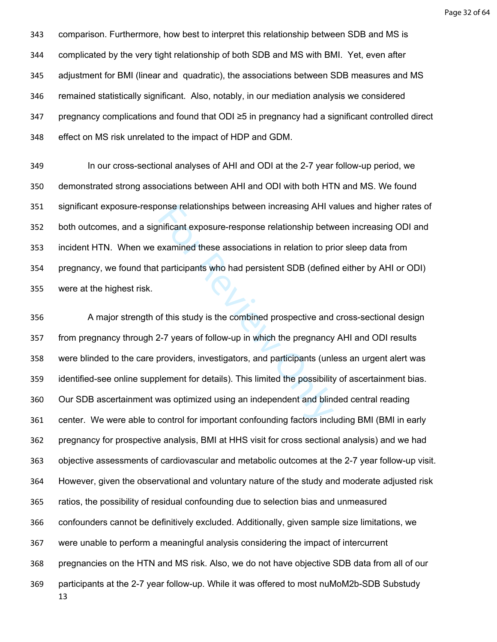Page 32 of 64

 comparison. Furthermore, how best to interpret this relationship between SDB and MS is complicated by the very tight relationship of both SDB and MS with BMI. Yet, even after adjustment for BMI (linear and quadratic), the associations between SDB measures and MS remained statistically significant. Also, notably, in our mediation analysis we considered pregnancy complications and found that ODI ≥5 in pregnancy had a significant controlled direct effect on MS risk unrelated to the impact of HDP and GDM.

 In our cross-sectional analyses of AHI and ODI at the 2-7 year follow-up period, we demonstrated strong associations between AHI and ODI with both HTN and MS. We found significant exposure-response relationships between increasing AHI values and higher rates of both outcomes, and a significant exposure-response relationship between increasing ODI and incident HTN. When we examined these associations in relation to prior sleep data from pregnancy, we found that participants who had persistent SDB (defined either by AHI or ODI) were at the highest risk.

onse relationships between increasing AHI vanificant exposure-response relationship betwexamined these associations in relation to price participants who had persistent SDB (define of this study is the combined prospective A major strength of this study is the combined prospective and cross-sectional design from pregnancy through 2-7 years of follow-up in which the pregnancy AHI and ODI results were blinded to the care providers, investigators, and participants (unless an urgent alert was identified-see online supplement for details). This limited the possibility of ascertainment bias. Our SDB ascertainment was optimized using an independent and blinded central reading center. We were able to control for important confounding factors including BMI (BMI in early pregnancy for prospective analysis, BMI at HHS visit for cross sectional analysis) and we had objective assessments of cardiovascular and metabolic outcomes at the 2-7 year follow-up visit. However, given the observational and voluntary nature of the study and moderate adjusted risk ratios, the possibility of residual confounding due to selection bias and unmeasured confounders cannot be definitively excluded. Additionally, given sample size limitations, we were unable to perform a meaningful analysis considering the impact of intercurrent pregnancies on the HTN and MS risk. Also, we do not have objective SDB data from all of our participants at the 2-7 year follow-up. While it was offered to most nuMoM2b-SDB Substudy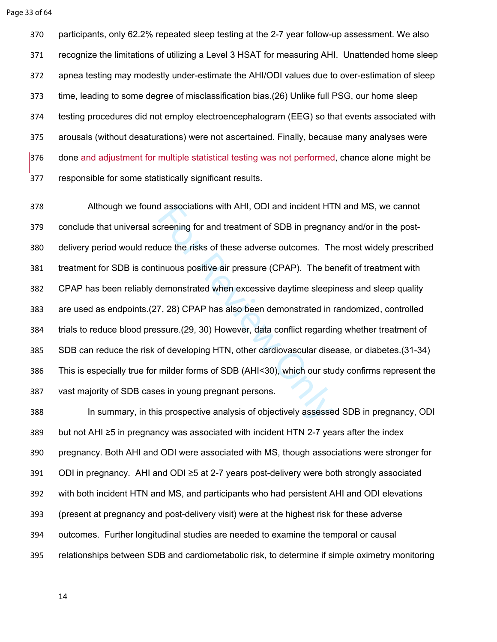participants, only 62.2% repeated sleep testing at the 2-7 year follow-up assessment. We also recognize the limitations of utilizing a Level 3 HSAT for measuring AHI. Unattended home sleep apnea testing may modestly under-estimate the AHI/ODI values due to over-estimation of sleep time, leading to some degree of misclassification bias.([26\)](#page-36-7) Unlike full PSG, our home sleep testing procedures did not employ electroencephalogram (EEG) so that events associated with arousals (without desaturations) were not ascertained. Finally, because many analyses were done and adjustment for multiple statistical testing was not performed, chance alone might be responsible for some statistically significant results.

d associations with AHI, ODI and incident HT<br>creening for and treatment of SDB in pregnar<br>uce the risks of these adverse outcomes. Th<br>inuous positive air pressure (CPAP). The be<br>demonstrated when excessive daytime sleepi<br>7 Although we found associations with AHI, ODI and incident HTN and MS, we cannot conclude that universal screening for and treatment of SDB in pregnancy and/or in the post- delivery period would reduce the risks of these adverse outcomes. The most widely prescribed treatment for SDB is continuous positive air pressure (CPAP). The benefit of treatment with CPAP has been reliably demonstrated when excessive daytime sleepiness and sleep quality are used as endpoints.([27](#page-36-8), 28) CPAP has also been demonstrated in randomized, controlled trials to reduce blood pressure.(29, 30) However, data conflict regarding whether treatment of SDB can reduce the risk of developing HTN, other cardiovascular disease, or diabetes.[\(31-34](#page-36-12)) This is especially true for milder forms of SDB (AHI<30), which our study confirms represent the vast majority of SDB cases in young pregnant persons.

 In summary, in this prospective analysis of objectively assessed SDB in pregnancy, ODI but not AHI ≥5 in pregnancy was associated with incident HTN 2-7 years after the index pregnancy. Both AHI and ODI were associated with MS, though associations were stronger for ODI in pregnancy. AHI and ODI ≥5 at 2-7 years post-delivery were both strongly associated with both incident HTN and MS, and participants who had persistent AHI and ODI elevations (present at pregnancy and post-delivery visit) were at the highest risk for these adverse outcomes. Further longitudinal studies are needed to examine the temporal or causal relationships between SDB and cardiometabolic risk, to determine if simple oximetry monitoring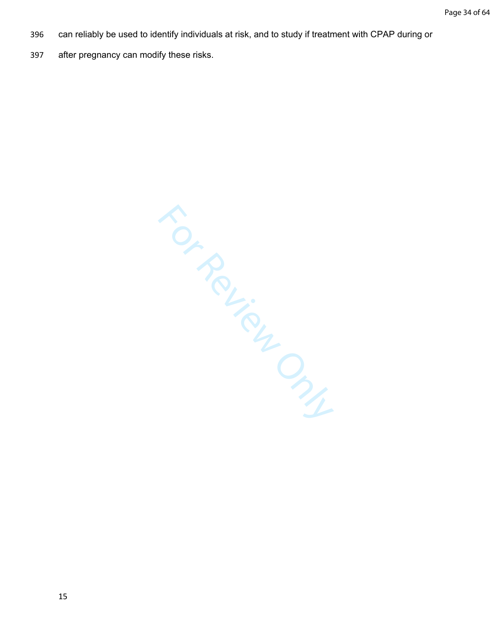- 396 can reliably be used to identify individuals at risk, and to study if treatment with CPAP during or
- 397 after pregnancy can modify these risks.

For Review Only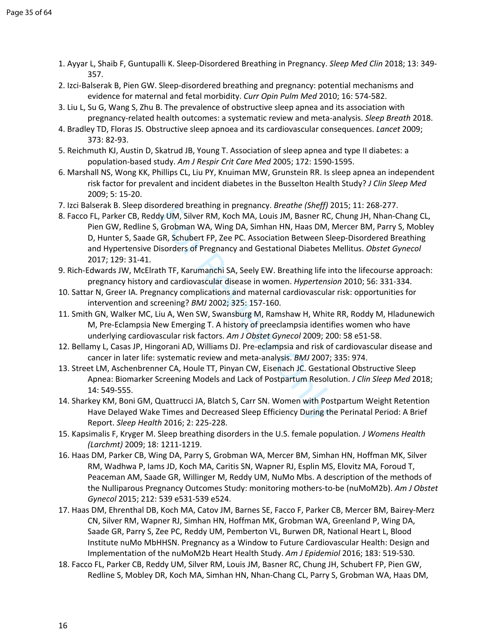- <span id="page-35-0"></span>1. Ayyar L, Shaib F, Guntupalli K. Sleep-Disordered Breathing in Pregnancy. *Sleep Med Clin* 2018; 13: 349- 357.
- <span id="page-35-1"></span>2. Izci-Balserak B, Pien GW. Sleep-disordered breathing and pregnancy: potential mechanisms and evidence for maternal and fetal morbidity. *Curr Opin Pulm Med* 2010; 16: 574-582.
- <span id="page-35-2"></span>3. Liu L, Su G, Wang S, Zhu B. The prevalence of obstructive sleep apnea and its association with pregnancy-related health outcomes: a systematic review and meta-analysis. *Sleep Breath* 2018.
- <span id="page-35-3"></span>4. Bradley TD, Floras JS. Obstructive sleep apnoea and its cardiovascular consequences. *Lancet* 2009; 373: 82-93.
- 5. Reichmuth KJ, Austin D, Skatrud JB, Young T. Association of sleep apnea and type II diabetes: a population-based study. *Am J Respir Crit Care Med* 2005; 172: 1590-1595.
- 6. Marshall NS, Wong KK, Phillips CL, Liu PY, Knuiman MW, Grunstein RR. Is sleep apnea an independent risk factor for prevalent and incident diabetes in the Busselton Health Study? *J Clin Sleep Med*  2009; 5: 15-20.
- <span id="page-35-4"></span>7. Izci Balserak B. Sleep disordered breathing in pregnancy. *Breathe (Sheff)* 2015; 11: 268-277.
- <span id="page-35-5"></span>rial of Bassim pregnancy. *Breatine* (*Sheyir*) 2<br>dy UM, Silver RM, Koch MA, Louis JM, Basner RC,<br>Grobman WA, Wing DA, Simhan HN, Haas DM, N<br>GR, Schubert FP, Zee PC. Association Between Skisorders of Pregnancy and Gestatio 8. Facco FL, Parker CB, Reddy UM, Silver RM, Koch MA, Louis JM, Basner RC, Chung JH, Nhan-Chang CL, Pien GW, Redline S, Grobman WA, Wing DA, Simhan HN, Haas DM, Mercer BM, Parry S, Mobley D, Hunter S, Saade GR, Schubert FP, Zee PC. Association Between Sleep-Disordered Breathing and Hypertensive Disorders of Pregnancy and Gestational Diabetes Mellitus. *Obstet Gynecol*  2017; 129: 31-41.
- <span id="page-35-6"></span>9. Rich-Edwards JW, McElrath TF, Karumanchi SA, Seely EW. Breathing life into the lifecourse approach: pregnancy history and cardiovascular disease in women. *Hypertension* 2010; 56: 331-334.
- 10. Sattar N, Greer IA. Pregnancy complications and maternal cardiovascular risk: opportunities for intervention and screening? *BMJ* 2002; 325: 157-160.
- 11. Smith GN, Walker MC, Liu A, Wen SW, Swansburg M, Ramshaw H, White RR, Roddy M, Hladunewich M, Pre-Eclampsia New Emerging T. A history of preeclampsia identifies women who have underlying cardiovascular risk factors. *Am J Obstet Gynecol* 2009; 200: 58 e51-58.
- 12. Bellamy L, Casas JP, Hingorani AD, Williams DJ. Pre-eclampsia and risk of cardiovascular disease and cancer in later life: systematic review and meta-analysis. *BMJ* 2007; 335: 974.
- <span id="page-35-7"></span>13. Street LM, Aschenbrenner CA, Houle TT, Pinyan CW, Eisenach JC. Gestational Obstructive Sleep Apnea: Biomarker Screening Models and Lack of Postpartum Resolution. *J Clin Sleep Med* 2018; 14: 549-555.
- 14. Sharkey KM, Boni GM, Quattrucci JA, Blatch S, Carr SN. Women with Postpartum Weight Retention Have Delayed Wake Times and Decreased Sleep Efficiency During the Perinatal Period: A Brief Report. *Sleep Health* 2016; 2: 225-228.
- 15. Kapsimalis F, Kryger M. Sleep breathing disorders in the U.S. female population. *J Womens Health (Larchmt)* 2009; 18: 1211-1219.
- <span id="page-35-8"></span>16. Haas DM, Parker CB, Wing DA, Parry S, Grobman WA, Mercer BM, Simhan HN, Hoffman MK, Silver RM, Wadhwa P, Iams JD, Koch MA, Caritis SN, Wapner RJ, Esplin MS, Elovitz MA, Foroud T, Peaceman AM, Saade GR, Willinger M, Reddy UM, NuMo Mbs. A description of the methods of the Nulliparous Pregnancy Outcomes Study: monitoring mothers-to-be (nuMoM2b). *Am J Obstet Gynecol* 2015; 212: 539 e531-539 e524.
- <span id="page-35-10"></span>17. Haas DM, Ehrenthal DB, Koch MA, Catov JM, Barnes SE, Facco F, Parker CB, Mercer BM, Bairey-Merz CN, Silver RM, Wapner RJ, Simhan HN, Hoffman MK, Grobman WA, Greenland P, Wing DA, Saade GR, Parry S, Zee PC, Reddy UM, Pemberton VL, Burwen DR, National Heart L, Blood Institute nuMo MbHHSN. Pregnancy as a Window to Future Cardiovascular Health: Design and Implementation of the nuMoM2b Heart Health Study. *Am J Epidemiol* 2016; 183: 519-530.
- <span id="page-35-9"></span>18. Facco FL, Parker CB, Reddy UM, Silver RM, Louis JM, Basner RC, Chung JH, Schubert FP, Pien GW, Redline S, Mobley DR, Koch MA, Simhan HN, Nhan-Chang CL, Parry S, Grobman WA, Haas DM,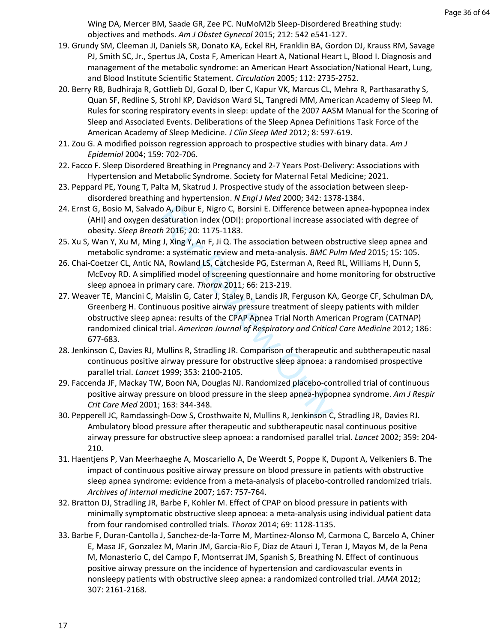Wing DA, Mercer BM, Saade GR, Zee PC. NuMoM2b Sleep-Disordered Breathing study: objectives and methods. *Am J Obstet Gynecol* 2015; 212: 542 e541-127.

- <span id="page-36-0"></span>19. Grundy SM, Cleeman JI, Daniels SR, Donato KA, Eckel RH, Franklin BA, Gordon DJ, Krauss RM, Savage PJ, Smith SC, Jr., Spertus JA, Costa F, American Heart A, National Heart L, Blood I. Diagnosis and management of the metabolic syndrome: an American Heart Association/National Heart, Lung, and Blood Institute Scientific Statement. *Circulation* 2005; 112: 2735-2752.
- <span id="page-36-1"></span>20. Berry RB, Budhiraja R, Gottlieb DJ, Gozal D, Iber C, Kapur VK, Marcus CL, Mehra R, Parthasarathy S, Quan SF, Redline S, Strohl KP, Davidson Ward SL, Tangredi MM, American Academy of Sleep M. Rules for scoring respiratory events in sleep: update of the 2007 AASM Manual for the Scoring of Sleep and Associated Events. Deliberations of the Sleep Apnea Definitions Task Force of the American Academy of Sleep Medicine. *J Clin Sleep Med* 2012; 8: 597-619.
- <span id="page-36-2"></span>21. Zou G. A modified poisson regression approach to prospective studies with binary data. *Am J Epidemiol* 2004; 159: 702-706.
- <span id="page-36-3"></span>22. Facco F. Sleep Disordered Breathing in Pregnancy and 2-7 Years Post-Delivery: Associations with Hypertension and Metabolic Syndrome. Society for Maternal Fetal Medicine; 2021.
- <span id="page-36-4"></span>23. Peppard PE, Young T, Palta M, Skatrud J. Prospective study of the association between sleepdisordered breathing and hypertension. *N Engl J Med* 2000; 342: 1378-1384.
- <span id="page-36-5"></span>24. Ernst G, Bosio M, Salvado A, Dibur E, Nigro C, Borsini E. Difference between apnea-hypopnea index (AHI) and oxygen desaturation index (ODI): proportional increase associated with degree of obesity. *Sleep Breath* 2016; 20: 1175-1183.
- <span id="page-36-6"></span>25. Xu S, Wan Y, Xu M, Ming J, Xing Y, An F, Ji Q. The association between obstructive sleep apnea and metabolic syndrome: a systematic review and meta-analysis. *BMC Pulm Med* 2015; 15: 105.
- <span id="page-36-8"></span><span id="page-36-7"></span>26. Chai-Coetzer CL, Antic NA, Rowland LS, Catcheside PG, Esterman A, Reed RL, Williams H, Dunn S, McEvoy RD. A simplified model of screening questionnaire and home monitoring for obstructive sleep apnoea in primary care. *Thorax* 2011; 66: 213-219.
- lo A, Dibur E, Nigro C, Borsini E. Difference betwe<br>esaturation index (ODI): proportional increase as:<br>th 2016; 20: 1175-1183.<br>g.J, Xing Y, An F, Ji Q. The association between ob<br>e: a systematic review and meta-analysis. 27. Weaver TE, Mancini C, Maislin G, Cater J, Staley B, Landis JR, Ferguson KA, George CF, Schulman DA, Greenberg H. Continuous positive airway pressure treatment of sleepy patients with milder obstructive sleep apnea: results of the CPAP Apnea Trial North American Program (CATNAP) randomized clinical trial. *American Journal of Respiratory and Critical Care Medicine* 2012; 186: 677-683.
- <span id="page-36-9"></span>28. Jenkinson C, Davies RJ, Mullins R, Stradling JR. Comparison of therapeutic and subtherapeutic nasal continuous positive airway pressure for obstructive sleep apnoea: a randomised prospective parallel trial. *Lancet* 1999; 353: 2100-2105.
- <span id="page-36-10"></span>29. Faccenda JF, Mackay TW, Boon NA, Douglas NJ. Randomized placebo-controlled trial of continuous positive airway pressure on blood pressure in the sleep apnea-hypopnea syndrome. *Am J Respir Crit Care Med* 2001; 163: 344-348.
- <span id="page-36-11"></span>30. Pepperell JC, Ramdassingh-Dow S, Crosthwaite N, Mullins R, Jenkinson C, Stradling JR, Davies RJ. Ambulatory blood pressure after therapeutic and subtherapeutic nasal continuous positive airway pressure for obstructive sleep apnoea: a randomised parallel trial. *Lancet* 2002; 359: 204- 210.
- <span id="page-36-12"></span>31. Haentjens P, Van Meerhaeghe A, Moscariello A, De Weerdt S, Poppe K, Dupont A, Velkeniers B. The impact of continuous positive airway pressure on blood pressure in patients with obstructive sleep apnea syndrome: evidence from a meta-analysis of placebo-controlled randomized trials. *Archives of internal medicine* 2007; 167: 757-764.
- 32. Bratton DJ, Stradling JR, Barbe F, Kohler M. Effect of CPAP on blood pressure in patients with minimally symptomatic obstructive sleep apnoea: a meta-analysis using individual patient data from four randomised controlled trials. *Thorax* 2014; 69: 1128-1135.
- 33. Barbe F, Duran-Cantolla J, Sanchez-de-la-Torre M, Martinez-Alonso M, Carmona C, Barcelo A, Chiner E, Masa JF, Gonzalez M, Marin JM, Garcia-Rio F, Diaz de Atauri J, Teran J, Mayos M, de la Pena M, Monasterio C, del Campo F, Montserrat JM, Spanish S, Breathing N. Effect of continuous positive airway pressure on the incidence of hypertension and cardiovascular events in nonsleepy patients with obstructive sleep apnea: a randomized controlled trial. *JAMA* 2012; 307: 2161-2168.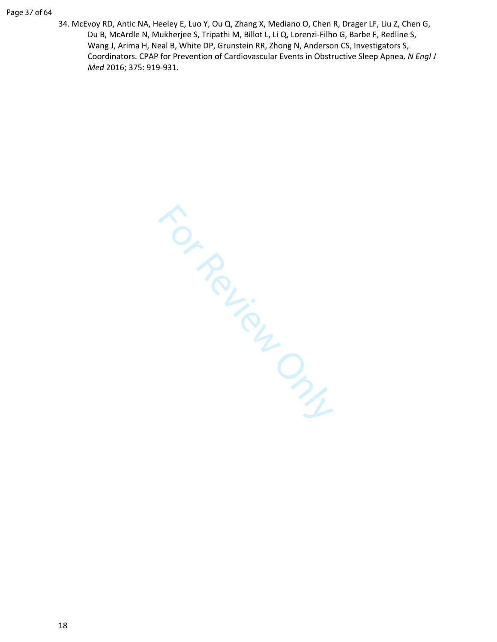34. McEvoy RD, Antic NA, Heeley E, Luo Y, Ou Q, Zhang X, Mediano O, Chen R, Drager LF, Liu Z, Chen G, Du B, McArdle N, Mukherjee S, Tripathi M, Billot L, Li Q, Lorenzi-Filho G, Barbe F, Redline S, Wang J, Arima H, Neal B, White DP, Grunstein RR, Zhong N, Anderson CS, Investigators S, Coordinators. CPAP for Prevention of Cardiovascular Events in Obstructive Sleep Apnea. *N Engl J Med* 2016; 375: 919-931.

For Review Only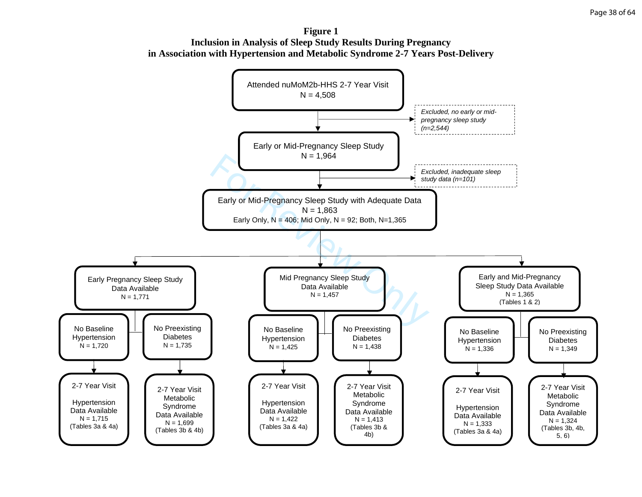**Figure 1 Inclusion in Analysis of Sleep Study Results During Pregnancy in Association with Hypertension and Metabolic Syndrome 2-7 Years Post-Delivery** 

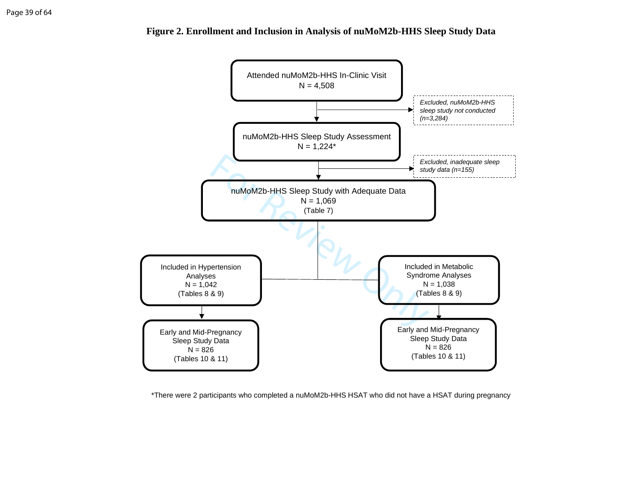

**Figure 2. Enrollment and Inclusion in Analysis of nuMoM2b-HHS Sleep Study Data**

\*There were 2 participants who completed a nuMoM2b-HHS HSAT who did not have a HSAT during pregnancy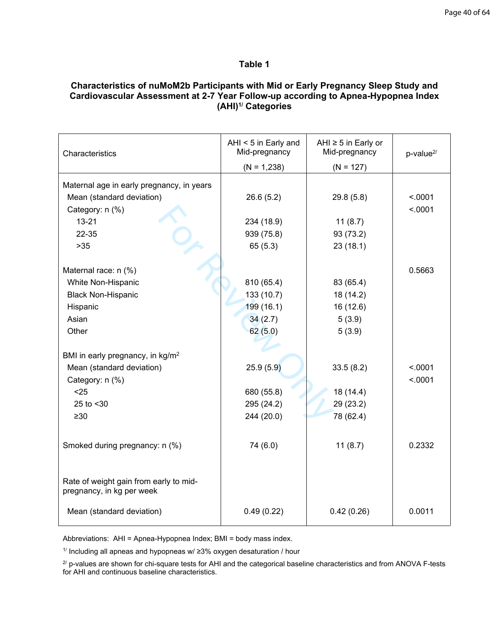## **Table 1**

### **Characteristics of nuMoM2b Participants with Mid or Early Pregnancy Sleep Study and Cardiovascular Assessment at 2-7 Year Follow-up according to Apnea-Hypopnea Index (AHI)1/ Categories**

| Characteristics                                                     | AHI < 5 in Early and<br>Mid-pregnancy | AHI $\geq$ 5 in Early or<br>Mid-pregnancy | p-value <sup>2/</sup> |
|---------------------------------------------------------------------|---------------------------------------|-------------------------------------------|-----------------------|
|                                                                     | $(N = 1,238)$                         | $(N = 127)$                               |                       |
| Maternal age in early pregnancy, in years                           |                                       |                                           |                       |
| Mean (standard deviation)                                           | 26.6(5.2)                             | 29.8(5.8)                                 | < .0001               |
| Category: n (%)                                                     |                                       |                                           | < .0001               |
| $13 - 21$                                                           | 234 (18.9)                            | 11(8.7)                                   |                       |
| 22-35                                                               | 939 (75.8)                            | 93 (73.2)                                 |                       |
| $>35$                                                               | 65(5.3)                               | 23(18.1)                                  |                       |
|                                                                     |                                       |                                           |                       |
| Maternal race: n (%)                                                |                                       |                                           | 0.5663                |
| White Non-Hispanic                                                  | 810 (65.4)                            | 83 (65.4)                                 |                       |
| <b>Black Non-Hispanic</b>                                           | 133 (10.7)                            | 18 (14.2)                                 |                       |
| Hispanic                                                            | 199 (16.1)                            | 16 (12.6)                                 |                       |
| Asian                                                               | 34(2.7)                               | 5(3.9)                                    |                       |
| Other                                                               | 62(5.0)                               | 5(3.9)                                    |                       |
|                                                                     |                                       |                                           |                       |
| BMI in early pregnancy, in kg/m <sup>2</sup>                        |                                       |                                           |                       |
| Mean (standard deviation)                                           | 25.9(5.9)                             | 33.5(8.2)                                 | < .0001               |
| Category: n (%)                                                     |                                       |                                           | < .0001               |
| $25$                                                                | 680 (55.8)                            | 18 (14.4)                                 |                       |
| 25 to <30                                                           | 295 (24.2)                            | 29 (23.2)                                 |                       |
| $\geq 30$                                                           | 244 (20.0)                            | 78 (62.4)                                 |                       |
|                                                                     |                                       |                                           |                       |
| Smoked during pregnancy: n (%)                                      | 74 (6.0)                              | 11(8.7)                                   | 0.2332                |
|                                                                     |                                       |                                           |                       |
|                                                                     |                                       |                                           |                       |
| Rate of weight gain from early to mid-<br>pregnancy, in kg per week |                                       |                                           |                       |
| Mean (standard deviation)                                           | 0.49(0.22)                            | 0.42(0.26)                                | 0.0011                |
|                                                                     |                                       |                                           |                       |

Abbreviations: AHI = Apnea-Hypopnea Index; BMI = body mass index.

1/ Including all apneas and hypopneas w/ ≥3% oxygen desaturation / hour

 $^{27}$  p-values are shown for chi-square tests for AHI and the categorical baseline characteristics and from ANOVA F-tests for AHI and continuous baseline characteristics.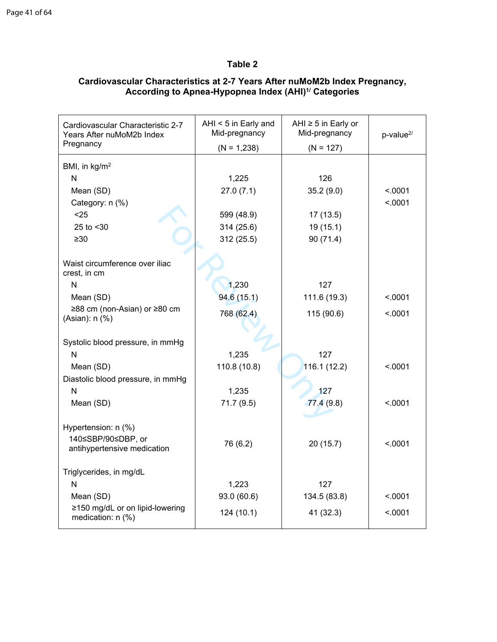# **Table 2**

| Cardiovascular Characteristic 2-7<br>Years After nuMoM2b Index<br>Pregnancy | AHI < 5 in Early and<br>Mid-pregnancy<br>$(N = 1,238)$ | AHI $\ge$ 5 in Early or<br>Mid-pregnancy<br>$(N = 127)$ | $p$ -value $^{2/}$ |
|-----------------------------------------------------------------------------|--------------------------------------------------------|---------------------------------------------------------|--------------------|
|                                                                             |                                                        |                                                         |                    |
| BMI, in kg/m <sup>2</sup>                                                   |                                                        |                                                         |                    |
| N                                                                           | 1,225                                                  | 126                                                     |                    |
| Mean (SD)                                                                   | 27.0(7.1)                                              | 35.2(9.0)                                               | < .0001            |
| Category: n (%)                                                             |                                                        |                                                         | < .0001            |
| $25$                                                                        | 599 (48.9)                                             | 17(13.5)                                                |                    |
| 25 to <30                                                                   | 314 (25.6)                                             | 19(15.1)                                                |                    |
| $\geq 30$                                                                   | 312 (25.5)                                             | 90 (71.4)                                               |                    |
| Waist circumference over iliac<br>crest, in cm                              |                                                        |                                                         |                    |
| N                                                                           | 1,230                                                  | 127                                                     |                    |
| Mean (SD)                                                                   | 94.6 (15.1)                                            | 111.6 (19.3)                                            | < 0001             |
| ≥88 cm (non-Asian) or ≥80 cm                                                | 768 (62.4)                                             | 115 (90.6)                                              | < .0001            |
| (Asian): n (%)                                                              |                                                        |                                                         |                    |
| Systolic blood pressure, in mmHg                                            |                                                        |                                                         |                    |
| N                                                                           | 1,235                                                  | 127                                                     |                    |
| Mean (SD)                                                                   | 110.8 (10.8)                                           | 116.1(12.2)                                             | < 0.001            |
| Diastolic blood pressure, in mmHg                                           |                                                        |                                                         |                    |
| N                                                                           | 1,235                                                  | 127                                                     |                    |
|                                                                             |                                                        |                                                         | < 0.001            |
| Mean (SD)                                                                   | 71.7 (9.5)                                             | 77.4(9.8)                                               |                    |
| Hypertension: n (%)<br>140≤SBP/90≤DBP, or                                   |                                                        |                                                         |                    |
| antihypertensive medication                                                 | 76 (6.2)                                               | 20(15.7)                                                | < .0001            |
|                                                                             |                                                        |                                                         |                    |
| Triglycerides, in mg/dL                                                     |                                                        |                                                         |                    |
| N                                                                           | 1,223                                                  | 127                                                     |                    |
| Mean (SD)                                                                   | 93.0 (60.6)                                            | 134.5 (83.8)                                            | < 0.001            |
| ≥150 mg/dL or on lipid-lowering<br>medication: n (%)                        | 124 (10.1)                                             | 41 (32.3)                                               | < .0001            |

### **Cardiovascular Characteristics at 2-7 Years After nuMoM2b Index Pregnancy, According to Apnea-Hypopnea Index (AHI)1/ Categories**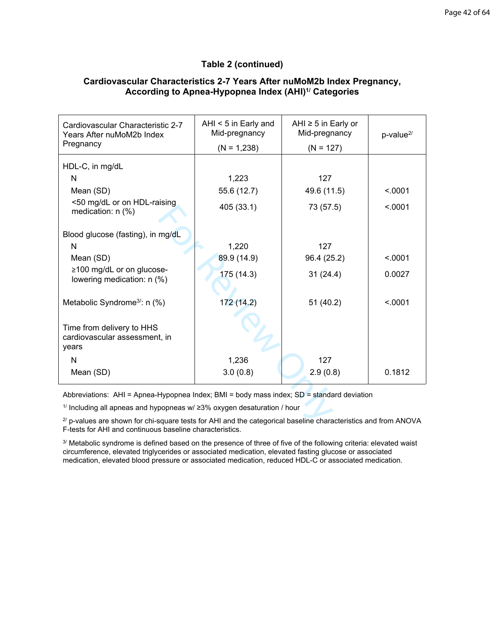### **Table 2 (continued)**

| Cardiovascular Characteristic 2-7<br>Years After nuMoM2b Index<br>Pregnancy                                                                                                       | AHI $<$ 5 in Early and<br>Mid-pregnancy<br>$(N = 1,238)$ | AHI $\ge$ 5 in Early or<br>Mid-pregnancy<br>$(N = 127)$ | $p$ -value $^{2/}$ |
|-----------------------------------------------------------------------------------------------------------------------------------------------------------------------------------|----------------------------------------------------------|---------------------------------------------------------|--------------------|
|                                                                                                                                                                                   |                                                          |                                                         |                    |
| HDL-C, in mg/dL                                                                                                                                                                   |                                                          |                                                         |                    |
| N                                                                                                                                                                                 | 1,223                                                    | 127                                                     |                    |
| Mean (SD)                                                                                                                                                                         | 55.6 (12.7)                                              | 49.6 (11.5)                                             | < .0001            |
| <50 mg/dL or on HDL-raising<br>medication: $n$ (%)                                                                                                                                | 405 (33.1)                                               | 73 (57.5)                                               | < .0001            |
| Blood glucose (fasting), in mg/dL                                                                                                                                                 |                                                          |                                                         |                    |
| N                                                                                                                                                                                 | 1,220                                                    | 127                                                     |                    |
| Mean (SD)                                                                                                                                                                         | 89.9 (14.9)                                              | 96.4 (25.2)                                             | < .0001            |
| ≥100 mg/dL or on glucose-<br>lowering medication: n (%)                                                                                                                           | 175 (14.3)                                               | 31(24.4)                                                | 0.0027             |
| Metabolic Syndrome <sup>3</sup> : n (%)                                                                                                                                           | 172 (14.2)                                               | 51(40.2)                                                | < .0001            |
| Time from delivery to HHS<br>cardiovascular assessment, in<br>years                                                                                                               |                                                          |                                                         |                    |
| N                                                                                                                                                                                 | 1,236                                                    | 127                                                     |                    |
| Mean (SD)                                                                                                                                                                         | 3.0(0.8)                                                 | 2.9(0.8)                                                | 0.1812             |
| Abbreviations: AHI = Apnea-Hypopnea Index; BMI = body mass index; SD = standard deviation                                                                                         |                                                          |                                                         |                    |
| $1/$ Including all apneas and hypopneas w/ $\geq$ 3% oxygen desaturation / hour                                                                                                   |                                                          |                                                         |                    |
| $2^{2}$ p-values are shown for chi-square tests for AHI and the categorical baseline characteristics and from ANOVA<br>an Allith and a continuous contractions above changed at a |                                                          |                                                         |                    |

### **Cardiovascular Characteristics 2-7 Years After nuMoM2b Index Pregnancy, According to Apnea-Hypopnea Index (AHI)1/ Categories**

 $2^{7}$  p-values are shown for chi-square tests for AHI and the categorical baseline characteristics and from ANOVA F-tests for AHI and continuous baseline characteristics.

3/ Metabolic syndrome is defined based on the presence of three of five of the following criteria: elevated waist circumference, elevated triglycerides or associated medication, elevated fasting glucose or associated medication, elevated blood pressure or associated medication, reduced HDL-C or associated medication.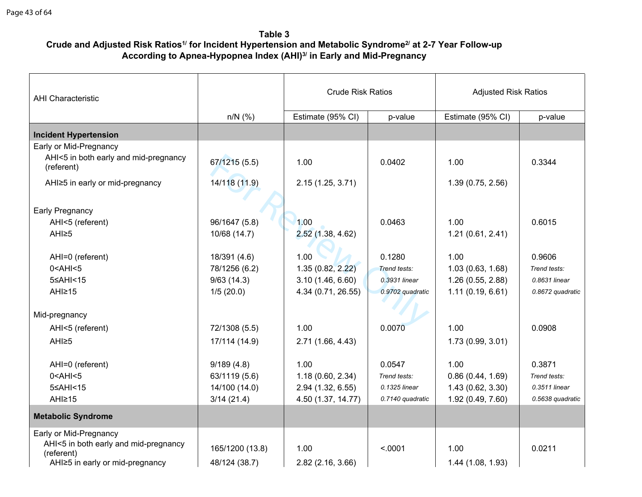# **Table 3 Crude and Adjusted Risk Ratios1/ for Incident Hypertension and Metabolic Syndrome2/ at 2-7 Year Follow-up According to Apnea-Hypopnea Index (AHI)3/ in Early and Mid-Pregnancy**

| <b>AHI Characteristic</b>                           | <b>Crude Risk Ratios</b><br><b>Adjusted Risk Ratios</b> |                    |                  |                   |                  |
|-----------------------------------------------------|---------------------------------------------------------|--------------------|------------------|-------------------|------------------|
|                                                     | $n/N$ (%)                                               | Estimate (95% CI)  | p-value          | Estimate (95% CI) | p-value          |
| <b>Incident Hypertension</b>                        |                                                         |                    |                  |                   |                  |
| Early or Mid-Pregnancy                              |                                                         |                    |                  |                   |                  |
| AHI<5 in both early and mid-pregnancy<br>(referent) | 67/1215 (5.5)                                           | 1.00               | 0.0402           | 1.00              | 0.3344           |
| AHI≥5 in early or mid-pregnancy                     | 14/118 (11.9)                                           | 2.15(1.25, 3.71)   |                  | 1.39(0.75, 2.56)  |                  |
| Early Pregnancy                                     |                                                         |                    |                  |                   |                  |
| AHI<5 (referent)                                    | 96/1647 (5.8)                                           | 1.00               | 0.0463           | 1.00              | 0.6015           |
| AHI≥5                                               | 10/68 (14.7)                                            | 2.52(1.38, 4.62)   |                  | 1.21(0.61, 2.41)  |                  |
| AHI=0 (referent)                                    | 18/391 (4.6)                                            | 1.00               | 0.1280           | 1.00              | 0.9606           |
| $0$ < AHI < $5$                                     | 78/1256 (6.2)                                           | 1.35(0.82, 2.22)   | Trend tests:     | 1.03(0.63, 1.68)  | Trend tests:     |
| 5≤AHI<15                                            | 9/63(14.3)                                              | 3.10(1.46, 6.60)   | 0.3931 linear    | 1.26 (0.55, 2.88) | 0.8631 linear    |
| AHI≥15                                              | 1/5(20.0)                                               | 4.34 (0.71, 26.55) | 0.9702 quadratic | 1.11(0.19, 6.61)  | 0.8672 quadratic |
| Mid-pregnancy                                       |                                                         |                    |                  |                   |                  |
| AHI<5 (referent)                                    | 72/1308 (5.5)                                           | 1.00               | 0.0070           | 1.00              | 0.0908           |
| AHI≥5                                               | 17/114 (14.9)                                           | 2.71 (1.66, 4.43)  |                  | 1.73 (0.99, 3.01) |                  |
|                                                     |                                                         |                    |                  |                   |                  |
| AHI=0 (referent)                                    | 9/189(4.8)                                              | 1.00               | 0.0547           | 1.00              | 0.3871           |
| $0$ < AHI < $5$                                     | 63/1119 (5.6)                                           | 1.18(0.60, 2.34)   | Trend tests:     | 0.86(0.44, 1.69)  | Trend tests:     |
| 5≤AHI<15                                            | 14/100 (14.0)                                           | 2.94 (1.32, 6.55)  | 0.1325 linear    | 1.43 (0.62, 3.30) | 0.3511 linear    |
| AHI <sub>215</sub>                                  | 3/14(21.4)                                              | 4.50 (1.37, 14.77) | 0.7140 quadratic | 1.92 (0.49, 7.60) | 0.5638 quadratic |
| <b>Metabolic Syndrome</b>                           |                                                         |                    |                  |                   |                  |
| Early or Mid-Pregnancy                              |                                                         |                    |                  |                   |                  |
| AHI<5 in both early and mid-pregnancy               | 165/1200 (13.8)                                         | 1.00               | < .0001          | 1.00              | 0.0211           |
| (referent)<br>AHI≥5 in early or mid-pregnancy       | 48/124 (38.7)                                           | 2.82 (2.16, 3.66)  |                  | 1.44 (1.08, 1.93) |                  |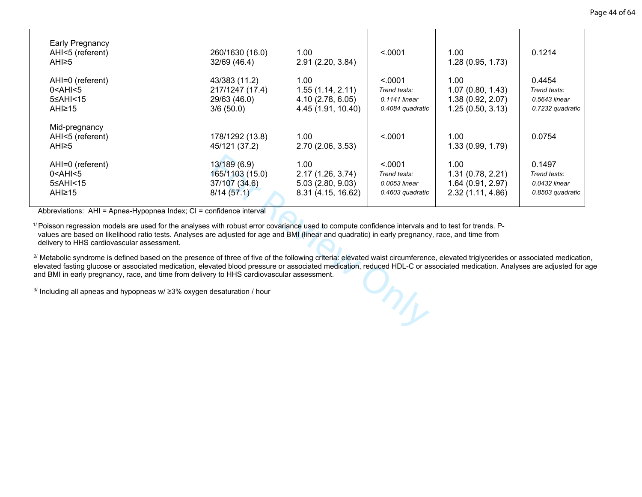| Early Pregnancy<br>AHI<5 (referent)<br>AHI <sub>25</sub>                                                                                                                                                                                                                                                                                                                                                                                        | 260/1630 (16.0)<br>32/69 (46.4)                                | 1.00<br>2.91(2.20, 3.84)                                            | < .0001                                                      | 1.00<br>1.28(0.95, 1.73)                                          | 0.1214                                                      |  |
|-------------------------------------------------------------------------------------------------------------------------------------------------------------------------------------------------------------------------------------------------------------------------------------------------------------------------------------------------------------------------------------------------------------------------------------------------|----------------------------------------------------------------|---------------------------------------------------------------------|--------------------------------------------------------------|-------------------------------------------------------------------|-------------------------------------------------------------|--|
| AHI=0 (referent)<br>0 <ahi<5<br>5≤AHI&lt;15<br/>AHI≥15</ahi<5<br>                                                                                                                                                                                                                                                                                                                                                                               | 43/383 (11.2)<br>217/1247 (17.4)<br>29/63 (46.0)<br>3/6(50.0)  | 1.00<br>1.55(1.14, 2.11)<br>4.10 (2.78, 6.05)<br>4.45 (1.91, 10.40) | < .0001<br>Trend tests:<br>0.1141 linear<br>0.4084 quadratic | 1.00<br>1.07(0.80, 1.43)<br>1.38 (0.92, 2.07)<br>1.25(0.50, 3.13) | 0.4454<br>Trend tests:<br>0.5643 linear<br>0.7232 quadratic |  |
| Mid-pregnancy<br>AHI<5 (referent)<br>AHI≥5                                                                                                                                                                                                                                                                                                                                                                                                      | 178/1292 (13.8)<br>45/121 (37.2)                               | 1.00<br>2.70 (2.06, 3.53)                                           | < .0001                                                      | 1.00<br>1.33 (0.99, 1.79)                                         | 0.0754                                                      |  |
| AHI=0 (referent)<br>0 <ahi<5<br>5≤AHI&lt;15<br/>AHI≥15</ahi<5<br>                                                                                                                                                                                                                                                                                                                                                                               | 13/189 (6.9)<br>165/1103 (15.0)<br>37/107 (34.6)<br>8/14(57.1) | 1.00<br>2.17(1.26, 3.74)<br>5.03(2.80, 9.03)<br>8.31 (4.15, 16.62)  | < .0001<br>Trend tests:<br>0.0053 linear<br>0.4603 quadratic | 1.00<br>1.31(0.78, 2.21)<br>1.64 (0.91, 2.97)<br>2.32(1.11, 4.86) | 0.1497<br>Trend tests:<br>0.0432 linear<br>0.8503 quadratic |  |
| bbreviations: AHI = Apnea-Hypopnea Index; CI = confidence interval<br>oisson regression models are used for the analyses with robust error covariance used to compute confidence intervals and to test for trends. P-<br>alues are based on likelihood ratio tests. Analyses are adjusted for age and BMI (linear and quadratic) in early pregnancy, race, and time from<br>elivery to HHS cardiovascular assessment.                           |                                                                |                                                                     |                                                              |                                                                   |                                                             |  |
| letabolic syndrome is defined based on the presence of three of five of the following criteria: elevated waist circumference, elevated triglycerides or associated medicatio<br>vated fasting glucose or associated medication, elevated blood pressure or associated medication, reduced HDL-C or associated medication. Analyses are adjusted for a<br>BMI in early pregnancy, race, and time from delivery to HHS cardiovascular assessment. |                                                                |                                                                     |                                                              |                                                                   |                                                             |  |
| ncluding all apneas and hypopneas w/ ≥3% oxygen desaturation / hour                                                                                                                                                                                                                                                                                                                                                                             |                                                                |                                                                     | $n_{\rm A}$                                                  |                                                                   |                                                             |  |
|                                                                                                                                                                                                                                                                                                                                                                                                                                                 |                                                                |                                                                     |                                                              |                                                                   |                                                             |  |

 $3/$  Including all apneas and hypopneas w/  $\geq$ 3% oxygen desaturation / hour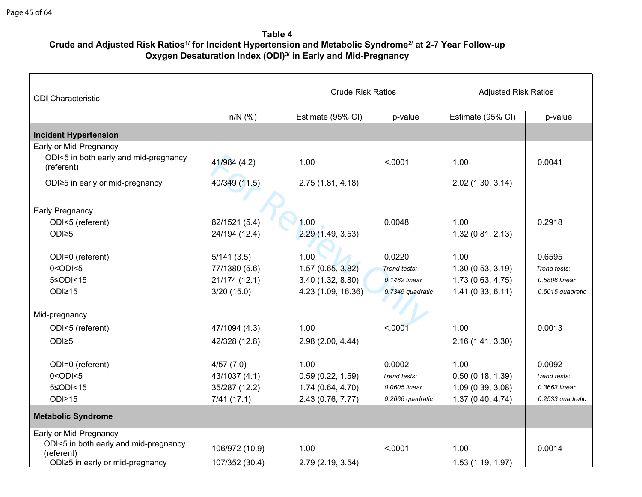# **Table 4 Crude and Adjusted Risk Ratios1/ for Incident Hypertension and Metabolic Syndrome2/ at 2-7 Year Follow-up Oxygen Desaturation Index (ODI)3/ in Early and Mid-Pregnancy**

| <b>ODI</b> Characteristic                           |                | <b>Crude Risk Ratios</b> |                  | <b>Adjusted Risk Ratios</b> |                  |
|-----------------------------------------------------|----------------|--------------------------|------------------|-----------------------------|------------------|
|                                                     | $n/N$ (%)      | Estimate (95% CI)        | p-value          | Estimate (95% CI)           | p-value          |
| <b>Incident Hypertension</b>                        |                |                          |                  |                             |                  |
| Early or Mid-Pregnancy                              |                |                          |                  |                             |                  |
| ODI<5 in both early and mid-pregnancy<br>(referent) | 41/984 (4.2)   | 1.00                     | < .0001          | 1.00                        | 0.0041           |
| ODI≥5 in early or mid-pregnancy                     | 40/349 (11.5)  | 2.75(1.81, 4.18)         |                  | 2.02(1.30, 3.14)            |                  |
| Early Pregnancy                                     |                |                          |                  |                             |                  |
| ODI<5 (referent)                                    | 82/1521 (5.4)  | 1.00                     | 0.0048           | 1.00                        | 0.2918           |
| ODI≥5                                               | 24/194 (12.4)  | 2.29(1.49, 3.53)         |                  | 1.32(0.81, 2.13)            |                  |
| ODI=0 (referent)                                    | 5/141(3.5)     | 1.00                     | 0.0220           | 1.00                        | 0.6595           |
| $0 <$ ODI $< 5$                                     | 77/1380 (5.6)  | 1.57(0.65, 3.82)         | Trend tests:     | 1.30(0.53, 3.19)            | Trend tests:     |
| 5≤ODI<15                                            | 21/174 (12.1)  | 3.40(1.32, 8.80)         | 0.1462 linear    | 1.73(0.63, 4.75)            | 0.5806 linear    |
| ODI≥15                                              | 3/20(15.0)     | 4.23 (1.09, 16.36)       | 0.7345 quadratic | 1.41(0.33, 6.11)            | 0.5015 quadratic |
|                                                     |                |                          |                  |                             |                  |
| Mid-pregnancy                                       |                |                          |                  |                             |                  |
| ODI<5 (referent)                                    | 47/1094 (4.3)  | 1.00                     | < .0001          | 1.00                        | 0.0013           |
| ODI≥5                                               | 42/328 (12.8)  | 2.98(2.00, 4.44)         |                  | 2.16 (1.41, 3.30)           |                  |
| ODI=0 (referent)                                    | 4/57(7.0)      | 1.00                     | 0.0002           | 1.00                        | 0.0092           |
| $0 <$ ODI $<$ 5                                     | 43/1037 (4.1)  | 0.59(0.22, 1.59)         | Trend tests:     | 0.50(0.18, 1.39)            | Trend tests:     |
| 5≤ODI<15                                            | 35/287 (12.2)  | 1.74(0.64, 4.70)         | 0.0605 linear    | 1.09(0.39, 3.08)            | 0.3663 linear    |
| ODI≥15                                              | 7/41(17.1)     | 2.43 (0.76, 7.77)        | 0.2666 quadratic | 1.37(0.40, 4.74)            | 0.2533 quadratic |
| <b>Metabolic Syndrome</b>                           |                |                          |                  |                             |                  |
| Early or Mid-Pregnancy                              |                |                          |                  |                             |                  |
| ODI<5 in both early and mid-pregnancy               | 106/972 (10.9) | 1.00                     | < .0001          | 1.00                        | 0.0014           |
| (referent)<br>ODI≥5 in early or mid-pregnancy       | 107/352 (30.4) | 2.79 (2.19, 3.54)        |                  | 1.53 (1.19, 1.97)           |                  |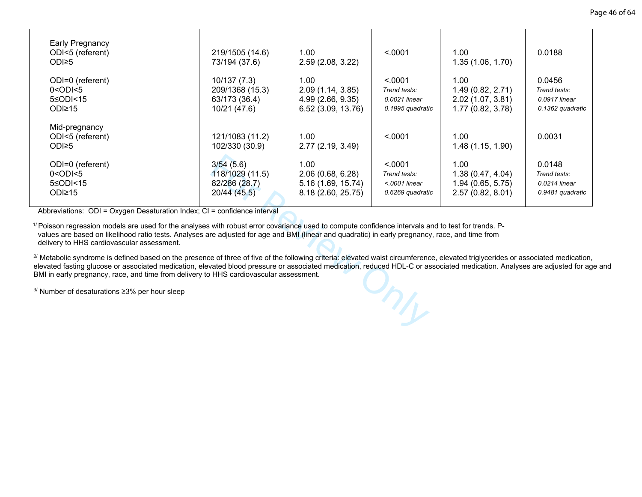| <b>Early Pregnancy</b><br>ODI<5 (referent)<br>ODI≥5                                                                                                                                                                                                                                                                                                                                                                                        | 219/1505 (14.6)<br>73/194 (37.6)                                 | 1.00<br>2.59 (2.08, 3.22)                                            | < .0001                                                        | 1.00<br>1.35(1.06, 1.70)                                            | 0.0188                                                      |  |  |
|--------------------------------------------------------------------------------------------------------------------------------------------------------------------------------------------------------------------------------------------------------------------------------------------------------------------------------------------------------------------------------------------------------------------------------------------|------------------------------------------------------------------|----------------------------------------------------------------------|----------------------------------------------------------------|---------------------------------------------------------------------|-------------------------------------------------------------|--|--|
| ODI=0 (referent)<br>$0 <$ ODI $< 5$<br>5≤ODI<15<br>ODI≥15                                                                                                                                                                                                                                                                                                                                                                                  | 10/137 (7.3)<br>209/1368 (15.3)<br>63/173 (36.4)<br>10/21 (47.6) | 1.00<br>2.09 (1.14, 3.85)<br>4.99 (2.66, 9.35)<br>6.52 (3.09, 13.76) | < .0001<br>Trend tests:<br>0.0021 linear<br>0.1995 quadratic   | 1.00<br>1.49 (0.82, 2.71)<br>2.02 (1.07, 3.81)<br>1.77 (0.82, 3.78) | 0.0456<br>Trend tests:<br>0.0917 linear<br>0.1362 quadratic |  |  |
| Mid-pregnancy<br>ODI<5 (referent)<br>ODI≥5                                                                                                                                                                                                                                                                                                                                                                                                 | 121/1083 (11.2)<br>102/330 (30.9)                                | 1.00<br>2.77 (2.19, 3.49)                                            | < .0001                                                        | 1.00<br>1.48 (1.15, 1.90)                                           | 0.0031                                                      |  |  |
| ODI=0 (referent)<br>$0 <$ ODI $< 5$<br>5≤ODI<15<br>ODI≥15                                                                                                                                                                                                                                                                                                                                                                                  | 3/54(5.6)<br>118/1029 (11.5)<br>82/286 (28.7)<br>20/44 (45.5)    | 1.00<br>2.06(0.68, 6.28)<br>5.16 (1.69, 15.74)<br>8.18 (2.60, 25.75) | < .0001<br>Trend tests:<br>$<$ 0001 linear<br>0.6269 quadratic | 1.00<br>1.38(0.47, 4.04)<br>1.94(0.65, 5.75)<br>2.57(0.82, 8.01)    | 0.0148<br>Trend tests:<br>0.0214 linear<br>0.9481 quadratic |  |  |
| breviations: ODI = Oxygen Desaturation Index; CI = confidence interval<br>isson regression models are used for the analyses with robust error covariance used to compute confidence intervals and to test for trends. P-<br>ues are based on likelihood ratio tests. Analyses are adjusted for age and BMI (linear and quadratic) in early pregnancy, race, and time from<br>livery to HHS cardiovascular assessment.                      |                                                                  |                                                                      |                                                                |                                                                     |                                                             |  |  |
| etabolic syndrome is defined based on the presence of three of five of the following criteria: elevated waist circumference, elevated triglycerides or associated medicatior<br>ated fasting glucose or associated medication, elevated blood pressure or associated medication, reduced HDL-C or associated medication. Analyses are adjusted for a<br>in early pregnancy, race, and time from delivery to HHS cardiovascular assessment. |                                                                  |                                                                      |                                                                |                                                                     |                                                             |  |  |
| umber of desaturations ≥3% per hour sleep                                                                                                                                                                                                                                                                                                                                                                                                  |                                                                  |                                                                      | ML                                                             |                                                                     |                                                             |  |  |
|                                                                                                                                                                                                                                                                                                                                                                                                                                            |                                                                  |                                                                      |                                                                |                                                                     |                                                             |  |  |

<sup>2/</sup> Metabolic syndrome is defined based on the presence of three of five of the following criteria: elevated waist circumference, elevated triglycerides or associated medication, elevated fasting glucose or associated medication, elevated blood pressure or associated medication, reduced HDL-C or associated medication. Analyses are adjusted for age and BMI in early pregnancy, race, and time from delivery to HHS cardiovascular assessment.

3/ Number of desaturations ≥3% per hour sleep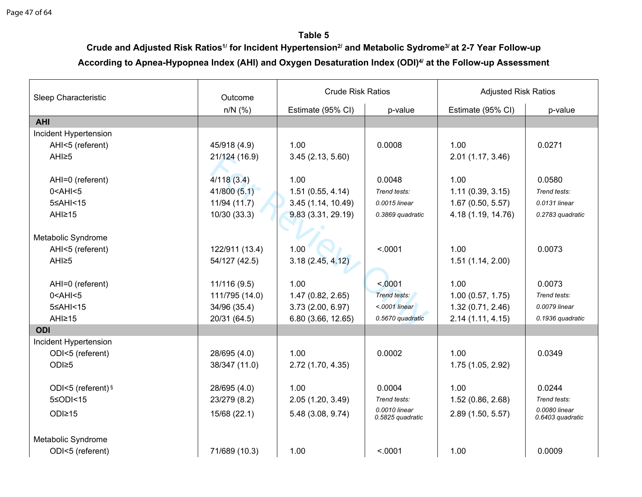**Table 5**

**Crude and Adjusted Risk Ratios1/ for Incident Hypertension2/ and Metabolic Sydrome3/ at 2-7 Year Follow-up According to Apnea-Hypopnea Index (AHI) and Oxygen Desaturation Index (ODI)4/ at the Follow-up Assessment**

| Sleep Characteristic  | Outcome        | <b>Crude Risk Ratios</b> |                                   | <b>Adjusted Risk Ratios</b> |                                   |  |
|-----------------------|----------------|--------------------------|-----------------------------------|-----------------------------|-----------------------------------|--|
|                       | $n/N$ (%)      | Estimate (95% CI)        | p-value                           | Estimate (95% CI)           | p-value                           |  |
| <b>AHI</b>            |                |                          |                                   |                             |                                   |  |
| Incident Hypertension |                |                          |                                   |                             |                                   |  |
| AHI<5 (referent)      | 45/918 (4.9)   | 1.00                     | 0.0008                            | 1.00                        | 0.0271                            |  |
| AHI≥5                 | 21/124 (16.9)  | 3.45(2.13, 5.60)         |                                   | 2.01 (1.17, 3.46)           |                                   |  |
|                       |                |                          |                                   |                             |                                   |  |
| AHI=0 (referent)      | 4/118(3.4)     | 1.00                     | 0.0048                            | 1.00                        | 0.0580                            |  |
| $0$ < AHI < $5$       | 41/800(5.1)    | 1.51(0.55, 4.14)         | Trend tests:                      | 1.11(0.39, 3.15)            | Trend tests:                      |  |
| 5≤AHI<15              | 11/94 (11.7)   | 3.45(1.14, 10.49)        | 0.0015 linear                     | 1.67(0.50, 5.57)            | 0.0131 linear                     |  |
| AHI≥15                | 10/30 (33.3)   | 9.83(3.31, 29.19)        | 0.3869 quadratic                  | 4.18 (1.19, 14.76)          | 0.2783 quadratic                  |  |
|                       |                |                          |                                   |                             |                                   |  |
| Metabolic Syndrome    |                |                          |                                   |                             |                                   |  |
| AHI<5 (referent)      | 122/911 (13.4) | 1.00                     | < .0001                           | 1.00                        | 0.0073                            |  |
| AHI <sub>25</sub>     | 54/127 (42.5)  | 3.18(2.45, 4.12)         |                                   | 1.51(1.14, 2.00)            |                                   |  |
|                       |                |                          |                                   |                             |                                   |  |
| AHI=0 (referent)      | 11/116(9.5)    | 1.00                     | < 0.001                           | 1.00                        | 0.0073                            |  |
| $0$ < AHI < 5         | 111/795 (14.0) | 1.47(0.82, 2.65)         | Trend tests:                      | 1.00(0.57, 1.75)            | Trend tests:                      |  |
| 5≤AHI<15              | 34/96 (35.4)   | 3.73 (2.00, 6.97)        | $< .0001$ linear                  | 1.32 (0.71, 2.46)           | 0.0079 linear                     |  |
| AHI≥15                | 20/31 (64.5)   | 6.80 (3.66, 12.65)       | 0.5670 quadratic                  | 2.14(1.11, 4.15)            | 0.1936 quadratic                  |  |
| <b>ODI</b>            |                |                          |                                   |                             |                                   |  |
| Incident Hypertension |                |                          |                                   |                             |                                   |  |
| ODI<5 (referent)      | 28/695 (4.0)   | 1.00                     | 0.0002                            | 1.00                        | 0.0349                            |  |
| ODI≥5                 | 38/347 (11.0)  | 2.72 (1.70, 4.35)        |                                   | 1.75 (1.05, 2.92)           |                                   |  |
|                       |                |                          |                                   |                             |                                   |  |
| ODI<5 (referent) §    | 28/695 (4.0)   | 1.00                     | 0.0004                            | 1.00                        | 0.0244                            |  |
| 5≤ODI<15              | 23/279 (8.2)   | 2.05(1.20, 3.49)         | Trend tests:                      | 1.52(0.86, 2.68)            | Trend tests:                      |  |
| ODI≥15                | 15/68 (22.1)   | 5.48 (3.08, 9.74)        | 0.0010 linear<br>0.5825 quadratic | 2.89 (1.50, 5.57)           | 0.0080 linear<br>0.6403 quadratic |  |
| Metabolic Syndrome    |                |                          |                                   |                             |                                   |  |
| ODI<5 (referent)      | 71/689 (10.3)  | 1.00                     | < .0001                           | 1.00                        | 0.0009                            |  |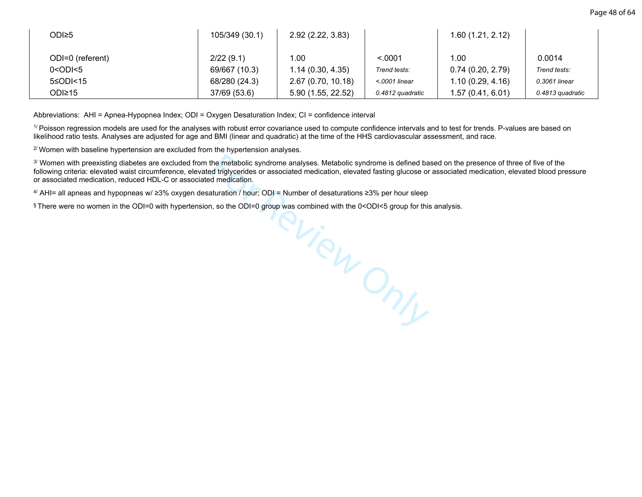| ODI≥5            | 105/349 (30.1) | 2.92 (2.22, 3.83)  |                  | 1.60 (1.21, 2.12) |                  |
|------------------|----------------|--------------------|------------------|-------------------|------------------|
| ODI=0 (referent) | 2/22(9.1)      | 1.00               | < 0001           | 1.00              | 0.0014           |
| $0 <$ ODI $< 5$  | 69/667 (10.3)  | 1.14(0.30, 4.35)   | Trend tests:     | 0.74(0.20, 2.79)  | Trend tests:     |
| 5≤ODI<15         | 68/280 (24.3)  | 2.67 (0.70, 10.18) | $<$ 0001 linear  | 1.10(0.29, 4.16)  | 0.3061 linear    |
| ODI≥15           | 37/69 (53.6)   | 5.90 (1.55, 22.52) | 0.4812 quadratic | 1.57 (0.41, 6.01) | 0.4813 quadratic |

Abbreviations: AHI = Apnea-Hypopnea Index; ODI = Oxygen Desaturation Index; CI = confidence interval

<sup>1/</sup> Poisson regression models are used for the analyses with robust error covariance used to compute confidence intervals and to test for trends. P-values are based on likelihood ratio tests. Analyses are adjusted for age and BMI (linear and quadratic) at the time of the HHS cardiovascular assessment, and race.

 $2/$  Women with baseline hypertension are excluded from the hypertension analyses.

3/ Women with preexisting diabetes are excluded from the metabolic syndrome analyses. Metabolic syndrome is defined based on the presence of three of five of the following criteria: elevated waist circumference, elevated triglycerides or associated medication, elevated fasting glucose or associated medication, elevated blood pressure or associated medication, reduced HDL-C or associated medication.

4/ AHI= all apneas and hypopneas w/ ≥3% oxygen desaturation / hour; ODI = Number of desaturations ≥3% per hour sleep

§ There were no women in the ODI=0 with hypertension, so the ODI=0 group was combined with the 0<ODI<5 group for this analysis.

PView Only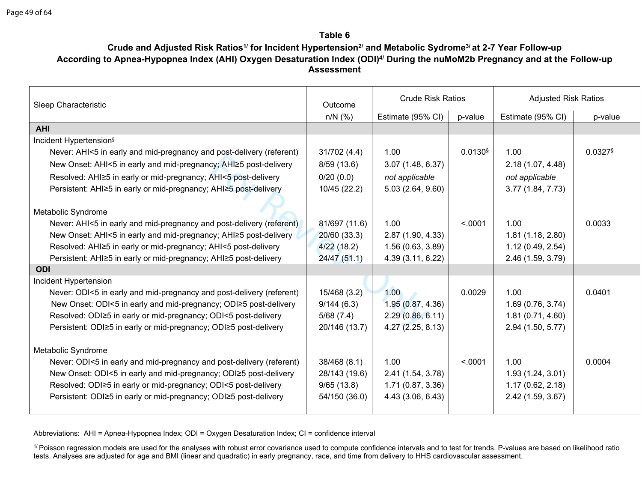**Table 6**

# **Crude and Adjusted Risk Ratios1/ for Incident Hypertension2/ and Metabolic Sydrome3/ at 2-7 Year Follow-up According to Apnea-Hypopnea Index (AHI) Oxygen Desaturation Index (ODI)4/ During the nuMoM2b Pregnancy and at the Follow-up Assessment**

|                                                                      |               | <b>Crude Risk Ratios</b> |         | <b>Adjusted Risk Ratios</b> |         |
|----------------------------------------------------------------------|---------------|--------------------------|---------|-----------------------------|---------|
| Sleep Characteristic                                                 | Outcome       |                          |         |                             |         |
|                                                                      | $n/N$ (%)     | Estimate (95% CI)        | p-value | Estimate (95% CI)           | p-value |
| <b>AHI</b>                                                           |               |                          |         |                             |         |
| Incident Hypertension <sup>§</sup>                                   |               |                          |         |                             |         |
| Never: AHI<5 in early and mid-pregnancy and post-delivery (referent) | 31/702(4.4)   | 1.00                     | 0.0130  | 1.00                        | 0.0327§ |
| New Onset: AHI<5 in early and mid-pregnancy; AHI≥5 post-delivery     | 8/59(13.6)    | 3.07(1.48, 6.37)         |         | 2.18 (1.07, 4.48)           |         |
| Resolved: AHI≥5 in early or mid-pregnancy; AHI<5 post-delivery       | 0/20(0.0)     | not applicable           |         | not applicable              |         |
| Persistent: AHI≥5 in early or mid-pregnancy; AHI≥5 post-delivery     | 10/45 (22.2)  | 5.03 (2.64, 9.60)        |         | 3.77(1.84, 7.73)            |         |
|                                                                      |               |                          |         |                             |         |
| Metabolic Syndrome                                                   |               |                          |         |                             |         |
| Never: AHI<5 in early and mid-pregnancy and post-delivery (referent) | 81/697 (11.6) | 1.00                     | < .0001 | 1.00                        | 0.0033  |
| New Onset: AHI<5 in early and mid-pregnancy; AHI≥5 post-delivery     | 20/60 (33.3)  | 2.87 (1.90, 4.33)        |         | 1.81(1.18, 2.80)            |         |
| Resolved: AHI≥5 in early or mid-pregnancy; AHI<5 post-delivery       | 4/22(18.2)    | 1.56(0.63, 3.89)         |         | 1.12(0.49, 2.54)            |         |
| Persistent: AHI≥5 in early or mid-pregnancy; AHI≥5 post-delivery     | 24/47(51.1)   | 4.39 (3.11, 6.22)        |         | 2.46 (1.59, 3.79)           |         |
| <b>ODI</b>                                                           |               |                          |         |                             |         |
| Incident Hypertension                                                |               |                          |         |                             |         |
| Never: ODI<5 in early and mid-pregnancy and post-delivery (referent) | 15/468 (3.2)  | 1.00                     | 0.0029  | 1.00                        | 0.0401  |
| New Onset: ODI<5 in early and mid-pregnancy; ODI≥5 post-delivery     | 9/144(6.3)    | 1.95(0.87, 4.36)         |         | 1.69(0.76, 3.74)            |         |
| Resolved: ODI≥5 in early or mid-pregnancy; ODI<5 post-delivery       | 5/68(7.4)     | 2.29(0.86, 6.11)         |         | 1.81(0.71, 4.60)            |         |
| Persistent: ODI≥5 in early or mid-pregnancy; ODI≥5 post-delivery     | 20/146 (13.7) | 4.27(2.25, 8.13)         |         | 2.94 (1.50, 5.77)           |         |
|                                                                      |               |                          |         |                             |         |
| Metabolic Syndrome                                                   |               |                          |         |                             |         |
| Never: ODI<5 in early and mid-pregnancy and post-delivery (referent) | 38/468 (8.1)  | 1.00                     | < 0.001 | 1.00                        | 0.0004  |
| New Onset: ODI<5 in early and mid-pregnancy; ODI≥5 post-delivery     | 28/143 (19.6) | 2.41 (1.54, 3.78)        |         | 1.93(1.24, 3.01)            |         |
| Resolved: ODI≥5 in early or mid-pregnancy; ODI<5 post-delivery       | 9/65(13.8)    | 1.71(0.87, 3.36)         |         | 1.17(0.62, 2.18)            |         |
| Persistent: ODI≥5 in early or mid-pregnancy; ODI≥5 post-delivery     | 54/150 (36.0) | 4.43 (3.06, 6.43)        |         | 2.42 (1.59, 3.67)           |         |
|                                                                      |               |                          |         |                             |         |

Abbreviations: AHI = Apnea-Hypopnea Index; ODI = Oxygen Desaturation Index; CI = confidence interval

<sup>1/</sup> Poisson regression models are used for the analyses with robust error covariance used to compute confidence intervals and to test for trends. P-values are based on likelihood ratio tests. Analyses are adjusted for age and BMI (linear and quadratic) in early pregnancy, race, and time from delivery to HHS cardiovascular assessment.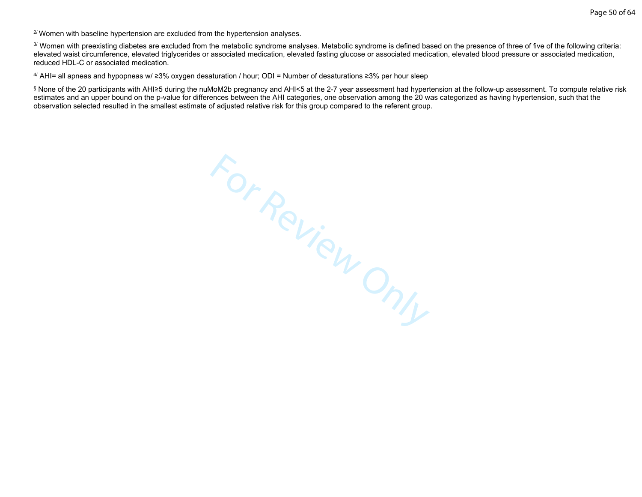Page 50 of 64

 $2^{\prime}$  Women with baseline hypertension are excluded from the hypertension analyses.

3/ Women with preexisting diabetes are excluded from the metabolic syndrome analyses. Metabolic syndrome is defined based on the presence of three of five of the following criteria: elevated waist circumference, elevated triglycerides or associated medication, elevated fasting glucose or associated medication, elevated blood pressure or associated medication, reduced HDL-C or associated medication.

4/ AHI= all apneas and hypopneas w/ ≥3% oxygen desaturation / hour; ODI = Number of desaturations ≥3% per hour sleep

§ None of the 20 participants with AHI≥5 during the nuMoM2b pregnancy and AHI<5 at the 2-7 year assessment had hypertension at the follow-up assessment. To compute relative risk estimates and an upper bound on the p-value for differences between the AHI categories, one observation among the 20 was categorized as having hypertension, such that the observation selected resulted in the smallest estimate of adjusted relative risk for this group compared to the referent group.

For Review Only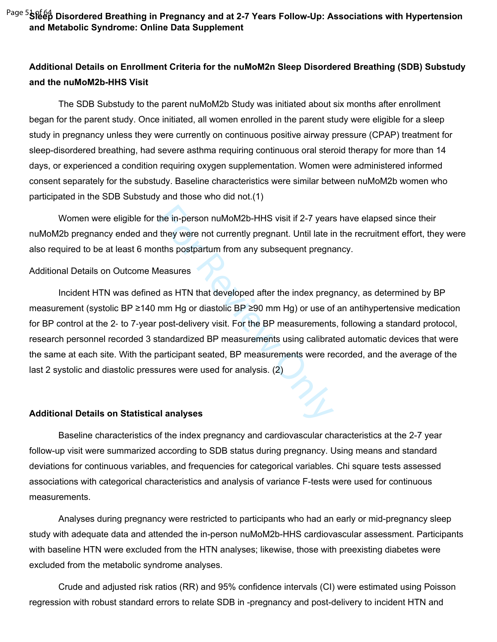<sup>Page 5</sup>Sfeep Disordered Breathing in Pregnancy and at 2-7 Years Follow-Up: Associations with Hypertension **and Metabolic Syndrome: Online Data Supplement**

# **Additional Details on Enrollment Criteria for the nuMoM2n Sleep Disordered Breathing (SDB) Substudy and the nuMoM2b-HHS Visit**

The SDB Substudy to the parent nuMoM2b Study was initiated about six months after enrollment began for the parent study. Once initiated, all women enrolled in the parent study were eligible for a sleep study in pregnancy unless they were currently on continuous positive airway pressure (CPAP) treatment for sleep-disordered breathing, had severe asthma requiring continuous oral steroid therapy for more than 14 days, or experienced a condition requiring oxygen supplementation. Women were administered informed consent separately for the substudy. Baseline characteristics were similar between nuMoM2b women who participated in the SDB Substudy and those who did not.(1)

Women were eligible for the in-person nuMoM2b-HHS visit if 2-7 years have elapsed since their nuMoM2b pregnancy ended and they were not currently pregnant. Until late in the recruitment effort, they were also required to be at least 6 months postpartum from any subsequent pregnancy.

#### Additional Details on Outcome Measures

the in-person nuMoM2b-HHS visit if 2-7 years<br>they were not currently pregnant. Until late in<br>this postpartum from any subsequent pregna<br>leasures<br>dasures<br>das HTN that developed after the index preg<br>mm Hg or diastolic BP ≥9 Incident HTN was defined as HTN that developed after the index pregnancy, as determined by BP measurement (systolic BP ≥140 mm Hg or diastolic BP ≥90 mm Hg) or use of an antihypertensive medication for BP control at the 2‐ to 7‐year post-delivery visit. For the BP measurements, following a standard protocol, research personnel recorded 3 standardized BP measurements using calibrated automatic devices that were the same at each site. With the participant seated, BP measurements were recorded, and the average of the last 2 systolic and diastolic pressures were used for analysis. (2)

#### **Additional Details on Statistical analyses**

Baseline characteristics of the index pregnancy and cardiovascular characteristics at the 2-7 year follow-up visit were summarized according to SDB status during pregnancy. Using means and standard deviations for continuous variables, and frequencies for categorical variables. Chi square tests assessed associations with categorical characteristics and analysis of variance F-tests were used for continuous measurements.

Analyses during pregnancy were restricted to participants who had an early or mid-pregnancy sleep study with adequate data and attended the in-person nuMoM2b-HHS cardiovascular assessment. Participants with baseline HTN were excluded from the HTN analyses; likewise, those with preexisting diabetes were excluded from the metabolic syndrome analyses.

Crude and adjusted risk ratios (RR) and 95% confidence intervals (CI) were estimated using Poisson regression with robust standard errors to relate SDB in -pregnancy and post-delivery to incident HTN and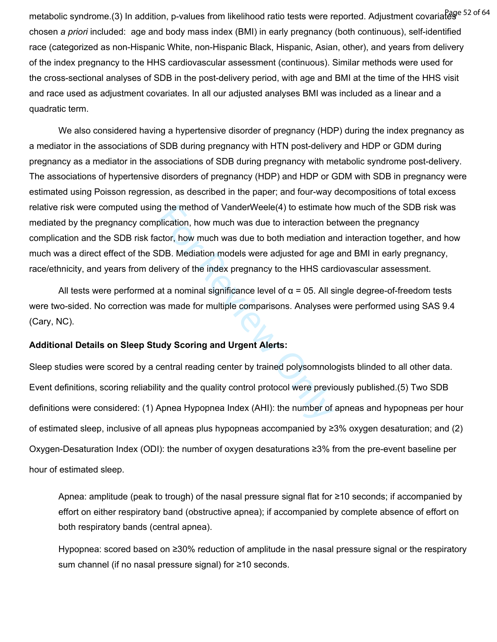metabolic syndrome.(3) In addition, p-values from likelihood ratio tests were reported. Adjustment covariates chosen *a priori* included: age and body mass index (BMI) in early pregnancy (both continuous), self-identified race (categorized as non-Hispanic White, non-Hispanic Black, Hispanic, Asian, other), and years from delivery of the index pregnancy to the HHS cardiovascular assessment (continuous). Similar methods were used for the cross-sectional analyses of SDB in the post-delivery period, with age and BMI at the time of the HHS visit and race used as adjustment covariates. In all our adjusted analyses BMI was included as a linear and a quadratic term.

g the method of VanderWeele(4) to estimate<br>plication, how much was due to interaction be<br>ctor, how much was due to both mediation at<br>DB. Mediation models were adjusted for age<br>livery of the index pregnancy to the HHS can<br> We also considered having a hypertensive disorder of pregnancy (HDP) during the index pregnancy as a mediator in the associations of SDB during pregnancy with HTN post-delivery and HDP or GDM during pregnancy as a mediator in the associations of SDB during pregnancy with metabolic syndrome post-delivery. The associations of hypertensive disorders of pregnancy (HDP) and HDP or GDM with SDB in pregnancy were estimated using Poisson regression, as described in the paper; and four-way decompositions of total excess relative risk were computed using the method of VanderWeele(4) to estimate how much of the SDB risk was mediated by the pregnancy complication, how much was due to interaction between the pregnancy complication and the SDB risk factor, how much was due to both mediation and interaction together, and how much was a direct effect of the SDB. Mediation models were adjusted for age and BMI in early pregnancy, race/ethnicity, and years from delivery of the index pregnancy to the HHS cardiovascular assessment.

All tests were performed at a nominal significance level of  $\alpha$  = 05. All single degree-of-freedom tests were two-sided. No correction was made for multiple comparisons. Analyses were performed using SAS 9.4 (Cary, NC).

#### **Additional Details on Sleep Study Scoring and Urgent Alerts:**

Sleep studies were scored by a central reading center by trained polysomnologists blinded to all other data. Event definitions, scoring reliability and the quality control protocol were previously published.(5) Two SDB definitions were considered: (1) Apnea Hypopnea Index (AHI): the number of apneas and hypopneas per hour of estimated sleep, inclusive of all apneas plus hypopneas accompanied by ≥3% oxygen desaturation; and (2) Oxygen-Desaturation Index (ODI): the number of oxygen desaturations ≥3% from the pre-event baseline per hour of estimated sleep.

Apnea: amplitude (peak to trough) of the nasal pressure signal flat for ≥10 seconds; if accompanied by effort on either respiratory band (obstructive apnea); if accompanied by complete absence of effort on both respiratory bands (central apnea).

Hypopnea: scored based on ≥30% reduction of amplitude in the nasal pressure signal or the respiratory sum channel (if no nasal pressure signal) for ≥10 seconds.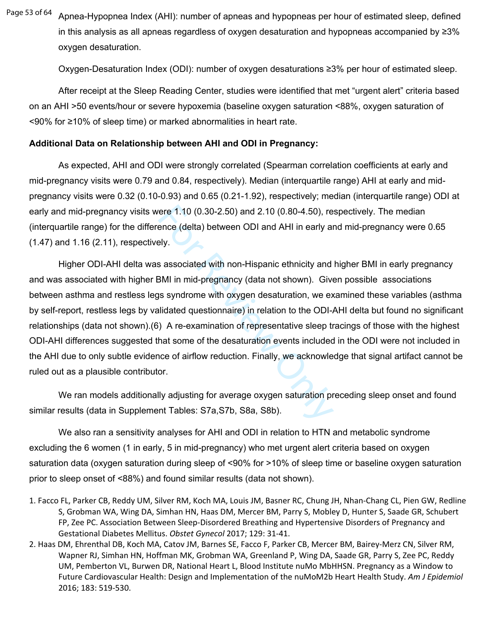Apnea-Hypopnea Index (AHI): number of apneas and hypopneas per hour of estimated sleep, defined in this analysis as all apneas regardless of oxygen desaturation and hypopneas accompanied by ≥3% oxygen desaturation. Page 53 of 64

Oxygen-Desaturation Index (ODI): number of oxygen desaturations ≥3% per hour of estimated sleep.

After receipt at the Sleep Reading Center, studies were identified that met "urgent alert" criteria based on an AHI >50 events/hour or severe hypoxemia (baseline oxygen saturation <88%, oxygen saturation of <90% for ≥10% of sleep time) or marked abnormalities in heart rate.

### **Additional Data on Relationship between AHI and ODI in Pregnancy:**

As expected, AHI and ODI were strongly correlated (Spearman correlation coefficients at early and mid-pregnancy visits were 0.79 and 0.84, respectively). Median (interquartile range) AHI at early and midpregnancy visits were 0.32 (0.10-0.93) and 0.65 (0.21-1.92), respectively; median (interquartile range) ODI at early and mid-pregnancy visits were 1.10 (0.30-2.50) and 2.10 (0.80-4.50), respectively. The median (interquartile range) for the difference (delta) between ODI and AHI in early and mid-pregnancy were 0.65 (1.47) and 1.16 (2.11), respectively.

ere 1.10 (0.30-2.50) and 2.10 (0.80-4.50), re<br>ence (delta) between ODI and AHI in early an<br>ely.<br>s associated with non-Hispanic ethnicity and<br>BMI in mid-pregnancy (data not shown). Give<br>us syndrome with oxygen desaturation, Higher ODI-AHI delta was associated with non-Hispanic ethnicity and higher BMI in early pregnancy and was associated with higher BMI in mid-pregnancy (data not shown). Given possible associations between asthma and restless legs syndrome with oxygen desaturation, we examined these variables (asthma by self-report, restless legs by validated questionnaire) in relation to the ODI-AHI delta but found no significant relationships (data not shown).(6) A re-examination of representative sleep tracings of those with the highest ODI-AHI differences suggested that some of the desaturation events included in the ODI were not included in the AHI due to only subtle evidence of airflow reduction. Finally, we acknowledge that signal artifact cannot be ruled out as a plausible contributor.

We ran models additionally adjusting for average oxygen saturation preceding sleep onset and found similar results (data in Supplement Tables: S7a,S7b, S8a, S8b).

We also ran a sensitivity analyses for AHI and ODI in relation to HTN and metabolic syndrome excluding the 6 women (1 in early, 5 in mid-pregnancy) who met urgent alert criteria based on oxygen saturation data (oxygen saturation during sleep of <90% for >10% of sleep time or baseline oxygen saturation prior to sleep onset of <88%) and found similar results (data not shown).

- 1. Facco FL, Parker CB, Reddy UM, Silver RM, Koch MA, Louis JM, Basner RC, Chung JH, Nhan-Chang CL, Pien GW, Redline S, Grobman WA, Wing DA, Simhan HN, Haas DM, Mercer BM, Parry S, Mobley D, Hunter S, Saade GR, Schubert FP, Zee PC. Association Between Sleep-Disordered Breathing and Hypertensive Disorders of Pregnancy and Gestational Diabetes Mellitus. *Obstet Gynecol* 2017; 129: 31-41.
- 2. Haas DM, Ehrenthal DB, Koch MA, Catov JM, Barnes SE, Facco F, Parker CB, Mercer BM, Bairey-Merz CN, Silver RM, Wapner RJ, Simhan HN, Hoffman MK, Grobman WA, Greenland P, Wing DA, Saade GR, Parry S, Zee PC, Reddy UM, Pemberton VL, Burwen DR, National Heart L, Blood Institute nuMo MbHHSN. Pregnancy as a Window to Future Cardiovascular Health: Design and Implementation of the nuMoM2b Heart Health Study. *Am J Epidemiol*  2016; 183: 519-530.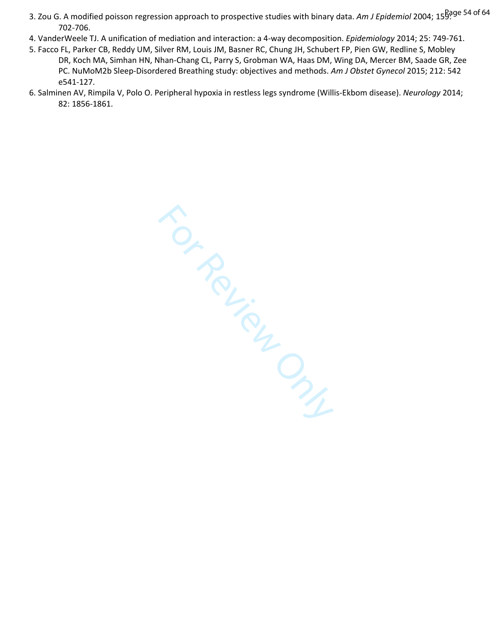- 3. Zou G. A modified poisson regression approach to prospective studies with binary data. *Am J Epidemiol* 2004; 15<sup>8age 54 of 64</sup> 702-706.
- 4. VanderWeele TJ. A unification of mediation and interaction: a 4-way decomposition. *Epidemiology* 2014; 25: 749-761.
- 5. Facco FL, Parker CB, Reddy UM, Silver RM, Louis JM, Basner RC, Chung JH, Schubert FP, Pien GW, Redline S, Mobley DR, Koch MA, Simhan HN, Nhan-Chang CL, Parry S, Grobman WA, Haas DM, Wing DA, Mercer BM, Saade GR, Zee PC. NuMoM2b Sleep-Disordered Breathing study: objectives and methods. *Am J Obstet Gynecol* 2015; 212: 542 e541-127.
- 6. Salminen AV, Rimpila V, Polo O. Peripheral hypoxia in restless legs syndrome (Willis-Ekbom disease). *Neurology* 2014; 82: 1856-1861.

For Review Only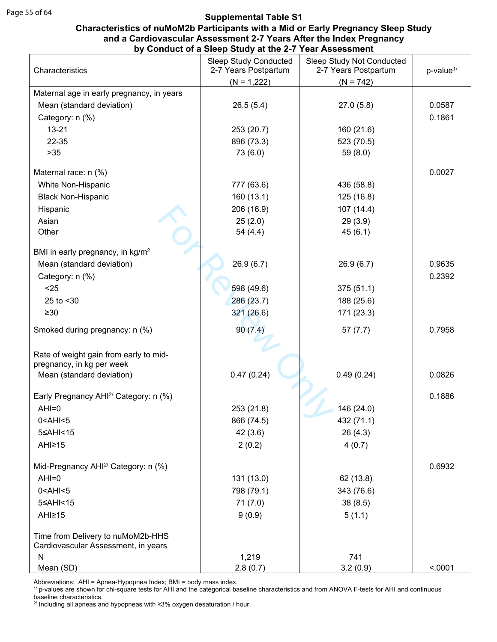#### **Characteristics of nuMoM2b Participants with a Mid or Early Pregnancy Sleep Study and a Cardiovascular Assessment 2-7 Years After the Index Pregnancy by Conduct of a Sleep Study at the 2-7 Year Assessment**

| Characteristics                                   | <b>Sleep Study Conducted</b><br>2-7 Years Postpartum | Sleep Study Not Conducted<br>2-7 Years Postpartum | p-value <sup>1/</sup> |
|---------------------------------------------------|------------------------------------------------------|---------------------------------------------------|-----------------------|
|                                                   | $(N = 1,222)$                                        | $(N = 742)$                                       |                       |
| Maternal age in early pregnancy, in years         |                                                      |                                                   |                       |
| Mean (standard deviation)                         | 26.5(5.4)                                            | 27.0(5.8)                                         | 0.0587                |
| Category: n (%)                                   |                                                      |                                                   | 0.1861                |
| $13 - 21$                                         | 253 (20.7)                                           | 160 (21.6)                                        |                       |
| 22-35                                             | 896 (73.3)                                           | 523 (70.5)                                        |                       |
| $>35$                                             | 73 (6.0)                                             | 59 $(8.0)$                                        |                       |
| Maternal race: n (%)                              |                                                      |                                                   | 0.0027                |
| White Non-Hispanic                                | 777 (63.6)                                           | 436 (58.8)                                        |                       |
| <b>Black Non-Hispanic</b>                         | 160 (13.1)                                           | 125 (16.8)                                        |                       |
| Hispanic                                          | 206 (16.9)                                           | 107 (14.4)                                        |                       |
| Asian                                             | 25(2.0)                                              | 29(3.9)                                           |                       |
| Other                                             | 54 (4.4)                                             | 45(6.1)                                           |                       |
|                                                   |                                                      |                                                   |                       |
| BMI in early pregnancy, in kg/m <sup>2</sup>      |                                                      |                                                   |                       |
| Mean (standard deviation)                         | 26.9(6.7)                                            | 26.9(6.7)                                         | 0.9635                |
| Category: n (%)                                   |                                                      |                                                   | 0.2392                |
| $25$                                              | 598 (49.6)                                           | 375(51.1)                                         |                       |
| 25 to $<$ 30                                      | 286 (23.7)                                           | 188 (25.6)                                        |                       |
| $\geq 30$                                         | 321 (26.6)                                           | 171 (23.3)                                        |                       |
| Smoked during pregnancy: n (%)                    | 90(7.4)                                              | 57(7.7)                                           | 0.7958                |
|                                                   |                                                      |                                                   |                       |
| Rate of weight gain from early to mid-            |                                                      |                                                   |                       |
| pregnancy, in kg per week                         |                                                      |                                                   |                       |
| Mean (standard deviation)                         | 0.47(0.24)                                           | 0.49(0.24)                                        | 0.0826                |
| Early Pregnancy AHI <sup>2/</sup> Category: n (%) |                                                      |                                                   | 0.1886                |
| $AHI=0$                                           | 253 (21.8)                                           | 146 (24.0)                                        |                       |
| $0$ < AHI < $5$                                   | 866 (74.5)                                           | 432 (71.1)                                        |                       |
| 5≤AHI<15                                          | 42 (3.6)                                             | 26(4.3)                                           |                       |
| AHI≥15                                            | 2(0.2)                                               | 4(0.7)                                            |                       |
|                                                   |                                                      |                                                   |                       |
| Mid-Pregnancy AHI <sup>2/</sup> Category: n (%)   |                                                      |                                                   | 0.6932                |
| $AHI=0$                                           | 131 (13.0)                                           | 62 (13.8)                                         |                       |
| $0$ < AHI < $5$                                   | 798 (79.1)                                           | 343 (76.6)                                        |                       |
| 5≤AHI<15                                          | 71(7.0)                                              | 38(8.5)                                           |                       |
| AHI≥15                                            | 9(0.9)                                               | 5(1.1)                                            |                       |
| Time from Delivery to nuMoM2b-HHS                 |                                                      |                                                   |                       |
| Cardiovascular Assessment, in years               |                                                      |                                                   |                       |
| N                                                 | 1,219                                                | 741                                               |                       |
| Mean (SD)                                         | 2.8(0.7)                                             | 3.2(0.9)                                          | < .0001               |

Abbreviations: AHI = Apnea-Hypopnea Index; BMI = body mass index.

1/ p-values are shown for chi-square tests for AHI and the categorical baseline characteristics and from ANOVA F-tests for AHI and continuous baseline characteristics.

<sup>2/</sup> Including all apneas and hypopneas with ≥3% oxygen desaturation / hour.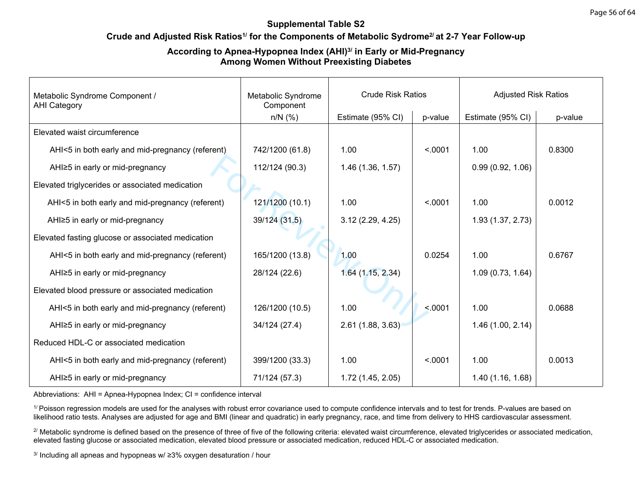## **Crude and Adjusted Risk Ratios1/ for the Components of Metabolic Sydrome2/ at 2-7 Year Follow-up**

### **According to Apnea-Hypopnea Index (AHI)3/ in Early or Mid-Pregnancy Among Women Without Preexisting Diabetes**

| Metabolic Syndrome Component /<br><b>AHI Category</b> | Metabolic Syndrome<br>Component |                   | <b>Crude Risk Ratios</b> |                   | <b>Adjusted Risk Ratios</b> |  |
|-------------------------------------------------------|---------------------------------|-------------------|--------------------------|-------------------|-----------------------------|--|
|                                                       | $n/N$ (%)                       | Estimate (95% CI) | p-value                  | Estimate (95% CI) | p-value                     |  |
| Elevated waist circumference                          |                                 |                   |                          |                   |                             |  |
| AHI<5 in both early and mid-pregnancy (referent)      | 742/1200 (61.8)                 | 1.00              | < 0001                   | 1.00              | 0.8300                      |  |
| AHI≥5 in early or mid-pregnancy                       | 112/124 (90.3)                  | 1.46(1.36, 1.57)  |                          | 0.99(0.92, 1.06)  |                             |  |
| Elevated triglycerides or associated medication       |                                 |                   |                          |                   |                             |  |
| AHI<5 in both early and mid-pregnancy (referent)      | 121/1200 (10.1)                 | 1.00              | < .0001                  | 1.00              | 0.0012                      |  |
| AHI≥5 in early or mid-pregnancy                       | 39/124 (31.5)                   | 3.12(2.29, 4.25)  |                          | 1.93 (1.37, 2.73) |                             |  |
| Elevated fasting glucose or associated medication     |                                 |                   |                          |                   |                             |  |
| AHI<5 in both early and mid-pregnancy (referent)      | 165/1200 (13.8)                 | 1.00              | 0.0254                   | 1.00              | 0.6767                      |  |
| AHI≥5 in early or mid-pregnancy                       | 28/124 (22.6)                   | 1.64(1.15, 2.34)  |                          | 1.09(0.73, 1.64)  |                             |  |
| Elevated blood pressure or associated medication      |                                 |                   |                          |                   |                             |  |
| AHI<5 in both early and mid-pregnancy (referent)      | 126/1200 (10.5)                 | 1.00              | < .0001                  | 1.00              | 0.0688                      |  |
| AHI≥5 in early or mid-pregnancy                       | 34/124 (27.4)                   | 2.61(1.88, 3.63)  |                          | 1.46(1.00, 2.14)  |                             |  |
| Reduced HDL-C or associated medication                |                                 |                   |                          |                   |                             |  |
| AHI<5 in both early and mid-pregnancy (referent)      | 399/1200 (33.3)                 | 1.00              | < 0.001                  | 1.00              | 0.0013                      |  |
| AHI≥5 in early or mid-pregnancy                       | 71/124 (57.3)                   | 1.72(1.45, 2.05)  |                          | 1.40(1.16, 1.68)  |                             |  |

Abbreviations: AHI = Apnea-Hypopnea Index; CI = confidence interval

<sup>1/</sup> Poisson regression models are used for the analyses with robust error covariance used to compute confidence intervals and to test for trends. P-values are based on likelihood ratio tests. Analyses are adjusted for age and BMI (linear and quadratic) in early pregnancy, race, and time from delivery to HHS cardiovascular assessment.

<sup>2/</sup> Metabolic syndrome is defined based on the presence of three of five of the following criteria: elevated waist circumference, elevated triglycerides or associated medication, elevated fasting glucose or associated medication, elevated blood pressure or associated medication, reduced HDL-C or associated medication.

3/ Including all apneas and hypopneas w/ ≥3% oxygen desaturation / hour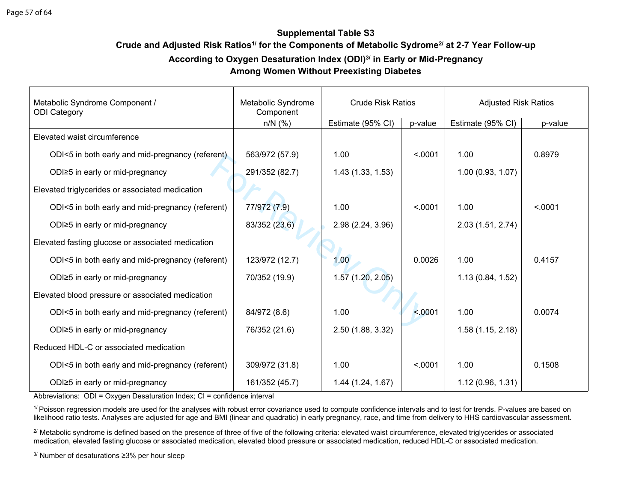# **Crude and Adjusted Risk Ratios1/ for the Components of Metabolic Sydrome2/ at 2-7 Year Follow-up According to Oxygen Desaturation Index (ODI)3/ in Early or Mid-Pregnancy**

# **Among Women Without Preexisting Diabetes**

| Metabolic Syndrome Component /<br><b>ODI Category</b> | Metabolic Syndrome<br>Component | <b>Crude Risk Ratios</b> |         | <b>Adjusted Risk Ratios</b> |         |
|-------------------------------------------------------|---------------------------------|--------------------------|---------|-----------------------------|---------|
|                                                       | $n/N$ (%)                       | Estimate (95% CI)        | p-value | Estimate (95% CI)           | p-value |
| Elevated waist circumference                          |                                 |                          |         |                             |         |
| ODI<5 in both early and mid-pregnancy (referent)      | 563/972 (57.9)                  | 1.00                     | < .0001 | 1.00                        | 0.8979  |
| ODI≥5 in early or mid-pregnancy                       | 291/352 (82.7)                  | 1.43(1.33, 1.53)         |         | 1.00(0.93, 1.07)            |         |
| Elevated triglycerides or associated medication       |                                 |                          |         |                             |         |
| ODI<5 in both early and mid-pregnancy (referent)      | 77/972 (7.9)                    | 1.00                     | < .0001 | 1.00                        | < .0001 |
| ODI≥5 in early or mid-pregnancy                       | 83/352 (23.6)                   | 2.98 (2.24, 3.96)        |         | 2.03(1.51, 2.74)            |         |
| Elevated fasting glucose or associated medication     |                                 |                          |         |                             |         |
| ODI<5 in both early and mid-pregnancy (referent)      | 123/972 (12.7)                  | 1.00                     | 0.0026  | 1.00                        | 0.4157  |
| ODI≥5 in early or mid-pregnancy                       | 70/352 (19.9)                   | 1.57(1.20, 2.05)         |         | 1.13(0.84, 1.52)            |         |
| Elevated blood pressure or associated medication      |                                 |                          |         |                             |         |
| ODI<5 in both early and mid-pregnancy (referent)      | 84/972 (8.6)                    | 1.00                     | < 0.001 | 1.00                        | 0.0074  |
| ODI≥5 in early or mid-pregnancy                       | 76/352 (21.6)                   | 2.50 (1.88, 3.32)        |         | 1.58(1.15, 2.18)            |         |
| Reduced HDL-C or associated medication                |                                 |                          |         |                             |         |
| ODI<5 in both early and mid-pregnancy (referent)      | 309/972 (31.8)                  | 1.00                     | < .0001 | 1.00                        | 0.1508  |
| ODI≥5 in early or mid-pregnancy                       | 161/352 (45.7)                  | 1.44(1.24, 1.67)         |         | 1.12(0.96, 1.31)            |         |

Abbreviations: ODI = Oxygen Desaturation Index; CI = confidence interval

<sup>1/</sup> Poisson regression models are used for the analyses with robust error covariance used to compute confidence intervals and to test for trends. P-values are based on likelihood ratio tests. Analyses are adjusted for age and BMI (linear and quadratic) in early pregnancy, race, and time from delivery to HHS cardiovascular assessment.

<sup>2/</sup> Metabolic syndrome is defined based on the presence of three of five of the following criteria: elevated waist circumference, elevated triglycerides or associated medication, elevated fasting glucose or associated medication, elevated blood pressure or associated medication, reduced HDL-C or associated medication.

3/ Number of desaturations ≥3% per hour sleep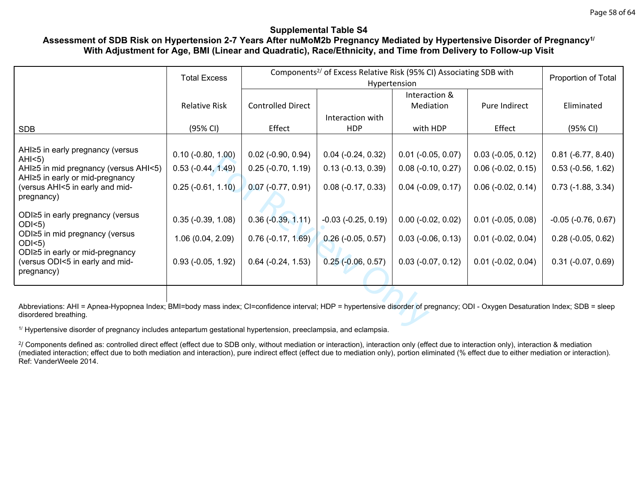# **Assessment of SDB Risk on Hypertension 2-7 Years After nuMoM2b Pregnancy Mediated by Hypertensive Disorder of Pregnancy1/ With Adjustment for Age, BMI (Linear and Quadratic), Race/Ethnicity, and Time from Delivery to Follow-up Visit**

|                                                                                                                                                                                                         | <b>Total Excess</b>  | Components <sup>2/</sup> of Excess Relative Risk (95% CI) Associating SDB with |                         |                      |                      | Proportion of Total     |
|---------------------------------------------------------------------------------------------------------------------------------------------------------------------------------------------------------|----------------------|--------------------------------------------------------------------------------|-------------------------|----------------------|----------------------|-------------------------|
|                                                                                                                                                                                                         |                      |                                                                                |                         | Hypertension         |                      |                         |
|                                                                                                                                                                                                         |                      |                                                                                |                         | Interaction &        |                      |                         |
|                                                                                                                                                                                                         | <b>Relative Risk</b> | <b>Controlled Direct</b>                                                       |                         | Mediation            | Pure Indirect        | Eliminated              |
|                                                                                                                                                                                                         |                      |                                                                                | Interaction with        |                      |                      |                         |
| <b>SDB</b>                                                                                                                                                                                              | (95% CI)             | Effect                                                                         | <b>HDP</b>              | with HDP             | Effect               | (95% CI)                |
|                                                                                                                                                                                                         |                      |                                                                                |                         |                      |                      |                         |
| AHI≥5 in early pregnancy (versus<br>AHS)                                                                                                                                                                | $0.10 (-0.80, 1.00)$ | $0.02$ (-0.90, 0.94)                                                           | $0.04$ (-0.24, 0.32)    | $0.01$ (-0.05, 0.07) | $0.03$ (-0.05, 0.12) | $0.81$ (-6.77, 8.40)    |
| AHI≥5 in mid pregnancy (versus AHI<5)                                                                                                                                                                   | $0.53(-0.44, 1.49)$  | $0.25$ (-0.70, 1.19)                                                           | $0.13(-0.13, 0.39)$     | $0.08$ (-0.10, 0.27) | $0.06$ (-0.02, 0.15) | $0.53$ (-0.56, 1.62)    |
| AHI≥5 in early or mid-pregnancy<br>(versus AHI<5 in early and mid-<br>pregnancy)                                                                                                                        | $0.25$ (-0.61, 1.10) | $0.07$ (-0.77, 0.91)                                                           | $0.08$ (-0.17, 0.33)    | $0.04$ (-0.09, 0.17) | $0.06$ (-0.02, 0.14) | $0.73$ (-1.88, 3.34)    |
| ODI≥5 in early pregnancy (versus<br>$ODI<5$ )                                                                                                                                                           | $0.35$ (-0.39, 1.08) | $0.36(-0.39, 1.11)$                                                            | $-0.03$ $(-0.25, 0.19)$ | $0.00$ (-0.02, 0.02) | $0.01$ (-0.05, 0.08) | $-0.05$ $(-0.76, 0.67)$ |
| ODI≥5 in mid pregnancy (versus<br>$ODI<5$ )                                                                                                                                                             | 1.06 (0.04, 2.09)    | $0.76(-0.17, 1.69)$                                                            | $0.26$ (-0.05, 0.57)    | $0.03$ (-0.06, 0.13) | $0.01$ (-0.02, 0.04) | $0.28$ (-0.05, 0.62)    |
| ODI≥5 in early or mid-pregnancy<br>(versus ODI<5 in early and mid-<br>pregnancy)                                                                                                                        | $0.93$ (-0.05, 1.92) | $0.64$ ( $-0.24$ , 1.53)                                                       | $0.25$ (-0.06, 0.57)    | $0.03$ (-0.07, 0.12) | $0.01$ (-0.02, 0.04) | $0.31$ (-0.07, 0.69)    |
|                                                                                                                                                                                                         |                      |                                                                                |                         |                      |                      |                         |
| Abbreviations: AHI = Apnea-Hypopnea Index; BMI=body mass index; CI=confidence interval; HDP = hypertensive disorder of pregnancy; ODI - Oxygen Desaturation Index; SDB = sleep<br>disordered breathing. |                      |                                                                                |                         |                      |                      |                         |
| <sup>1/</sup> Hypertensive disorder of pregnancy includes antepartum gestational hypertension, preeclampsia, and eclampsia.                                                                             |                      |                                                                                |                         |                      |                      |                         |

2/ Components defined as: controlled direct effect (effect due to SDB only, without mediation or interaction), interaction only (effect due to interaction only), interaction & mediation (mediated interaction; effect due to both mediation and interaction), pure indirect effect (effect due to mediation only), portion eliminated (% effect due to either mediation or interaction). Ref: VanderWeele 2014.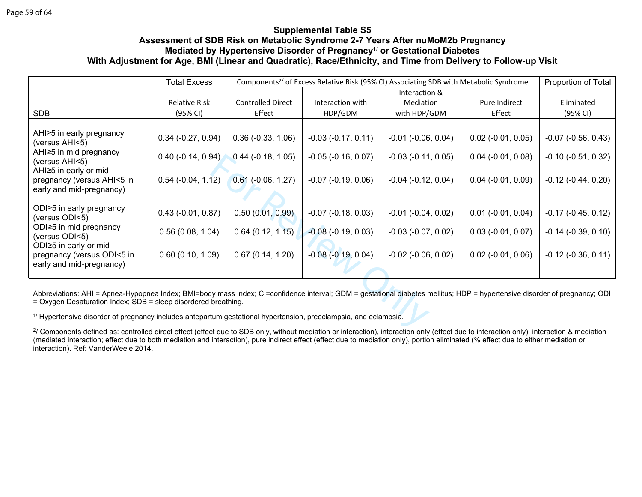### **Supplemental Table S5 Assessment of SDB Risk on Metabolic Syndrome 2-7 Years After nuMoM2b Pregnancy Mediated by Hypertensive Disorder of Pregnancy1/ or Gestational Diabetes With Adjustment for Age, BMI (Linear and Quadratic), Race/Ethnicity, and Time from Delivery to Follow-up Visit**

|                                                                                                                                                                                                                                              | <b>Total Excess</b>  |                             |                              | Components <sup>2/</sup> of Excess Relative Risk (95% CI) Associating SDB with Metabolic Syndrome |                      | Proportion of Total     |
|----------------------------------------------------------------------------------------------------------------------------------------------------------------------------------------------------------------------------------------------|----------------------|-----------------------------|------------------------------|---------------------------------------------------------------------------------------------------|----------------------|-------------------------|
|                                                                                                                                                                                                                                              |                      |                             |                              | Interaction &                                                                                     |                      |                         |
|                                                                                                                                                                                                                                              | <b>Relative Risk</b> | <b>Controlled Direct</b>    | Interaction with             | Mediation                                                                                         | Pure Indirect        | Eliminated              |
| <b>SDB</b>                                                                                                                                                                                                                                   | (95% CI)             | Effect                      | HDP/GDM                      | with HDP/GDM                                                                                      | Effect               | (95% CI)                |
| AHI≥5 in early pregnancy<br>(versus AHI<5)<br>AHI≥5 in mid pregnancy                                                                                                                                                                         | $0.34$ (-0.27, 0.94) | $0.36$ ( $-0.33$ , $1.06$ ) | $-0.03$ $(-0.17, 0.11)$      | $-0.01$ $(-0.06, 0.04)$                                                                           | $0.02$ (-0.01, 0.05) | $-0.07$ $(-0.56, 0.43)$ |
| (versus AHI<5)                                                                                                                                                                                                                               | $0.40$ (-0.14, 0.94) | $0.44$ ( $-0.18$ , $1.05$ ) | $-0.05$ $(-0.16, 0.07)$      | $-0.03$ $(-0.11, 0.05)$                                                                           | $0.04$ (-0.01, 0.08) | $-0.10$ $(-0.51, 0.32)$ |
| AHI≥5 in early or mid-<br>pregnancy (versus AHI<5 in<br>early and mid-pregnancy)                                                                                                                                                             | $0.54$ (-0.04, 1.12) | $0.61$ (-0.06, 1.27)        | $-0.07$ $(-0.19, 0.06)$      | $-0.04$ $(-0.12, 0.04)$                                                                           | $0.04$ (-0.01, 0.09) | $-0.12$ $(-0.44, 0.20)$ |
| ODI $\geq$ 5 in early pregnancy<br>(versus ODI<5)                                                                                                                                                                                            | $0.43$ (-0.01, 0.87) | 0.50(0.01, 0.99)            | $-0.07$ $(-0.18, 0.03)$      | $-0.01$ $(-0.04, 0.02)$                                                                           | $0.01$ (-0.01, 0.04) | $-0.17$ $(-0.45, 0.12)$ |
| ODI≥5 in mid pregnancy<br>(versus ODI<5)                                                                                                                                                                                                     | 0.56(0.08, 1.04)     | 0.64(0.12, 1.15)            | $-0.08$ ( $-0.19$ , $0.03$ ) | $-0.03$ $(-0.07, 0.02)$                                                                           | $0.03$ (-0.01, 0.07) | $-0.14$ $(-0.39, 0.10)$ |
| ODI≥5 in early or mid-<br>pregnancy (versus ODI<5 in<br>early and mid-pregnancy)                                                                                                                                                             | 0.60(0.10, 1.09)     | 0.67(0.14, 1.20)            | $-0.08$ $(-0.19, 0.04)$      | $-0.02$ $(-0.06, 0.02)$                                                                           | $0.02$ (-0.01, 0.06) | $-0.12$ $(-0.36, 0.11)$ |
| Abbreviations: AHI = Apnea-Hypopnea Index; BMI=body mass index; CI=confidence interval; GDM = gestational diabetes mellitus; HDP = hypertensive disorder of pregnancy; ODI<br>= Oxygen Desaturation Index; SDB = sleep disordered breathing. |                      |                             |                              |                                                                                                   |                      |                         |
| <sup>1/</sup> Hypertensive disorder of pregnancy includes antepartum gestational hypertension, preeclampsia, and eclampsia.                                                                                                                  |                      |                             |                              |                                                                                                   |                      |                         |
| <sup>2</sup> / Components defined as: controlled direct effect (effect due to SDB only, without mediation or interaction), interaction only (effect due to interaction only), interaction & mediation                                        |                      |                             |                              |                                                                                                   |                      |                         |

2/ Components defined as: controlled direct effect (effect due to SDB only, without mediation or interaction), interaction only (effect due to interaction only), interaction & mediation (mediated interaction; effect due to both mediation and interaction), pure indirect effect (effect due to mediation only), portion eliminated (% effect due to either mediation or interaction). Ref: VanderWeele 2014.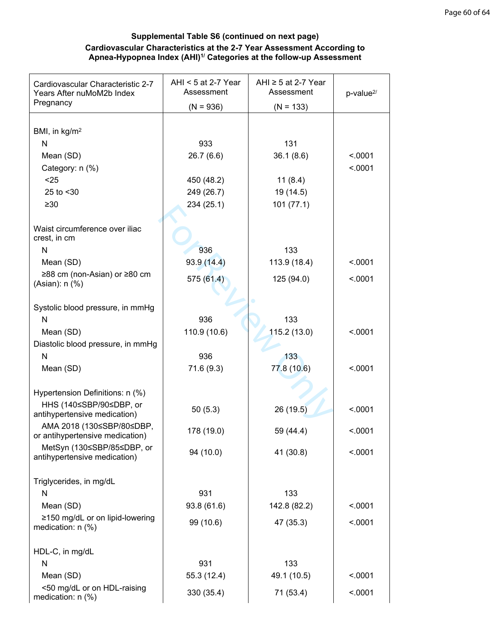# **Supplemental Table S6 (continued on next page) Cardiovascular Characteristics at the 2-7 Year Assessment According to Apnea-Hypopnea Index (AHI)1/ Categories at the follow-up Assessment**

| Cardiovascular Characteristic 2-7<br>Years After nuMoM2b Index | AHI < $5$ at 2-7 Year<br>Assessment | AHI $\ge$ 5 at 2-7 Year<br>Assessment | p-value <sup>2/</sup> |
|----------------------------------------------------------------|-------------------------------------|---------------------------------------|-----------------------|
| Pregnancy                                                      | $(N = 936)$                         | $(N = 133)$                           |                       |
|                                                                |                                     |                                       |                       |
| BMI, in $kg/m2$                                                |                                     |                                       |                       |
| N                                                              | 933                                 | 131                                   |                       |
| Mean (SD)                                                      | 26.7(6.6)                           | 36.1(8.6)                             | < 0.001               |
| Category: n (%)                                                |                                     |                                       | < .0001               |
| $25$                                                           | 450 (48.2)                          | 11(8.4)                               |                       |
| 25 to <30                                                      | 249 (26.7)                          | 19 (14.5)                             |                       |
| $\geq 30$                                                      | 234 (25.1)                          | 101(77.1)                             |                       |
|                                                                |                                     |                                       |                       |
| Waist circumference over iliac<br>crest, in cm                 |                                     |                                       |                       |
| N                                                              | 936                                 | 133                                   |                       |
| Mean (SD)                                                      | 93.9(14.4)                          | 113.9 (18.4)                          | < .0001               |
| ≥88 cm (non-Asian) or ≥80 cm                                   |                                     |                                       |                       |
| (Asian): n (%)                                                 | 575 (61.4)                          | 125 (94.0)                            | < .0001               |
|                                                                |                                     |                                       |                       |
| Systolic blood pressure, in mmHg                               |                                     |                                       |                       |
| N                                                              | 936                                 | 133                                   |                       |
| Mean (SD)                                                      | 110.9 (10.6)                        | 115.2 (13.0)                          | < .0001               |
| Diastolic blood pressure, in mmHg                              |                                     |                                       |                       |
| $\mathsf{N}$                                                   | 936                                 | 133                                   |                       |
| Mean (SD)                                                      | 71.6 (9.3)                          | 77.8 (10.6)                           | < .0001               |
|                                                                |                                     |                                       |                       |
| Hypertension Definitions: n (%)                                |                                     |                                       |                       |
| HHS (140≤SBP/90≤DBP, or                                        | 50(5.3)                             | 26 (19.5)                             | < .0001               |
| antihypertensive medication)                                   |                                     |                                       |                       |
| AMA 2018 (130≤SBP/80≤DBP,<br>or antihypertensive medication)   | 178 (19.0)                          | 59 (44.4)                             | < .0001               |
| MetSyn (130≤SBP/85≤DBP, or                                     |                                     |                                       |                       |
| antihypertensive medication)                                   | 94 (10.0)                           | 41 (30.8)                             | < .0001               |
|                                                                |                                     |                                       |                       |
| Triglycerides, in mg/dL                                        |                                     |                                       |                       |
| N                                                              | 931                                 | 133                                   |                       |
| Mean (SD)                                                      | 93.8 (61.6)                         | 142.8 (82.2)                          | < .0001               |
| ≥150 mg/dL or on lipid-lowering                                | 99 (10.6)                           | 47 (35.3)                             | < .0001               |
| medication: n (%)                                              |                                     |                                       |                       |
|                                                                |                                     |                                       |                       |
| HDL-C, in mg/dL                                                |                                     |                                       |                       |
| N                                                              | 931                                 | 133                                   |                       |
| Mean (SD)                                                      | 55.3 (12.4)                         | 49.1 (10.5)                           | < .0001               |
| <50 mg/dL or on HDL-raising<br>medication: n (%)               | 330 (35.4)                          | 71 (53.4)                             | < .0001               |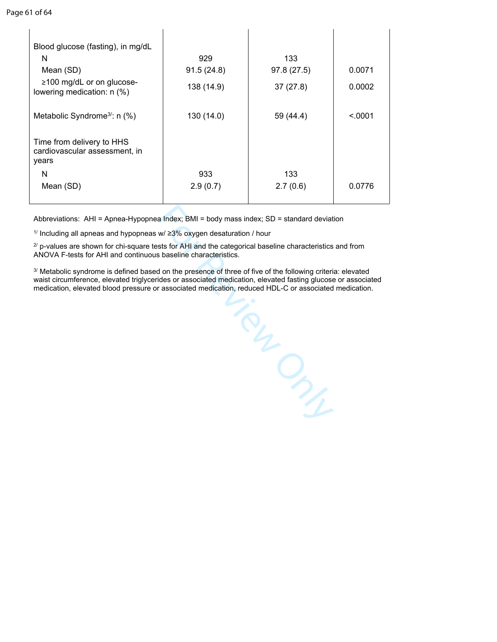| Blood glucose (fasting), in mg/dL                                   |            |             |         |
|---------------------------------------------------------------------|------------|-------------|---------|
| N                                                                   | 929        | 133         |         |
| Mean (SD)                                                           | 91.5(24.8) | 97.8 (27.5) | 0.0071  |
| ≥100 mg/dL or on glucose-<br>lowering medication: n (%)             | 138 (14.9) | 37(27.8)    | 0.0002  |
| Metabolic Syndrome <sup>3</sup> : n (%)                             | 130 (14.0) | 59 (44.4)   | < 0.001 |
| Time from delivery to HHS<br>cardiovascular assessment, in<br>years |            |             |         |
| N                                                                   | 933        | 133         |         |
| Mean (SD)                                                           | 2.9(0.7)   | 2.7(0.6)    | 0.0776  |
|                                                                     |            |             |         |

Abbreviations: AHI = Apnea-Hypopnea Index; BMI = body mass index; SD = standard deviation

<sup>1/</sup> Including all apneas and hypopneas w/ ≥3% oxygen desaturation / hour

 $2^{7}$  p-values are shown for chi-square tests for AHI and the categorical baseline characteristics and from ANOVA F-tests for AHI and continuous baseline characteristics.

3/ Metabolic syndrome is defined based on the presence of three of five of the following criteria: elevated waist circumference, elevated triglycerides or associated medication, elevated fasting glucose or associated medication, elevated blood pressure or associated medication, reduced HDL-C or associated medication.

For Review Only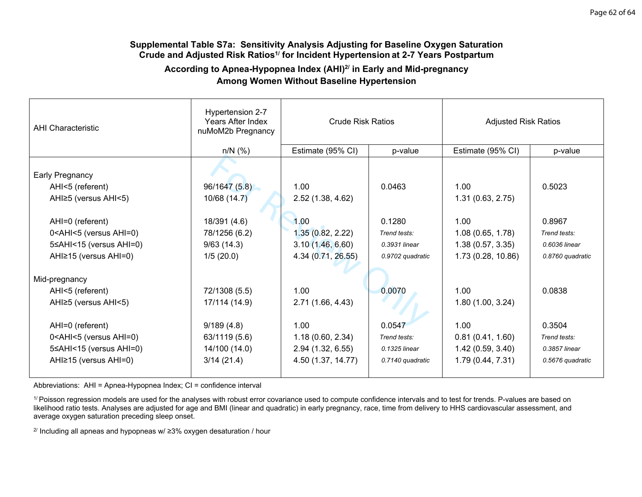#### **Supplemental Table S7a: Sensitivity Analysis Adjusting for Baseline Oxygen Saturation Crude and Adjusted Risk Ratios1/ for Incident Hypertension at 2-7 Years Postpartum**

# **According to Apnea-Hypopnea Index (AHI)2/ in Early and Mid-pregnancy Among Women Without Baseline Hypertension**

| <b>AHI Characteristic</b>                                                                                                                                      | Hypertension 2-7<br>Years After Index<br>nuMoM2b Pregnancy | <b>Crude Risk Ratios</b> |                  | <b>Adjusted Risk Ratios</b> |                  |
|----------------------------------------------------------------------------------------------------------------------------------------------------------------|------------------------------------------------------------|--------------------------|------------------|-----------------------------|------------------|
|                                                                                                                                                                | $n/N$ (%)                                                  | Estimate (95% CI)        | p-value          | Estimate (95% CI)           | p-value          |
| Early Pregnancy                                                                                                                                                |                                                            |                          |                  |                             |                  |
| AHI<5 (referent)                                                                                                                                               | 96/1647 (5.8)                                              | 1.00                     | 0.0463           | 1.00                        | 0.5023           |
| AHI≥5 (versus AHI<5)                                                                                                                                           | 10/68 (14.7)                                               | 2.52(1.38, 4.62)         |                  | 1.31(0.63, 2.75)            |                  |
|                                                                                                                                                                |                                                            |                          |                  |                             |                  |
| AHI=0 (referent)                                                                                                                                               | 18/391 (4.6)                                               | 1.00                     | 0.1280           | 1.00                        | 0.8967           |
| 0 <ahi<5 (versus="" ahi="0)&lt;/td"><td>78/1256 (6.2)</td><td>1.35(0.82, 2.22)</td><td>Trend tests:</td><td>1.08(0.65, 1.78)</td><td>Trend tests:</td></ahi<5> | 78/1256 (6.2)                                              | 1.35(0.82, 2.22)         | Trend tests:     | 1.08(0.65, 1.78)            | Trend tests:     |
| 5≤AHI<15 (versus AHI=0)                                                                                                                                        | 9/63(14.3)                                                 | 3.10(1.46, 6.60)         | 0.3931 linear    | 1.38(0.57, 3.35)            | 0.6036 linear    |
| AHI≥15 (versus AHI=0)                                                                                                                                          | 1/5(20.0)                                                  | 4.34 (0.71, 26.55)       | 0.9702 quadratic | 1.73 (0.28, 10.86)          | 0.8760 quadratic |
|                                                                                                                                                                |                                                            |                          |                  |                             |                  |
| Mid-pregnancy                                                                                                                                                  |                                                            |                          |                  |                             |                  |
| AHI<5 (referent)                                                                                                                                               | 72/1308 (5.5)                                              | 1.00                     | 0.0070           | 1.00                        | 0.0838           |
| AHI≥5 (versus AHI<5)                                                                                                                                           | 17/114 (14.9)                                              | 2.71 (1.66, 4.43)        |                  | 1.80(1.00, 3.24)            |                  |
|                                                                                                                                                                |                                                            |                          |                  |                             |                  |
| AHI=0 (referent)                                                                                                                                               | 9/189(4.8)                                                 | 1.00                     | 0.0547           | 1.00                        | 0.3504           |
| 0 <ahi<5 (versus="" ahi="0)&lt;/td"><td>63/1119 (5.6)</td><td>1.18(0.60, 2.34)</td><td>Trend tests:</td><td>0.81(0.41, 1.60)</td><td>Trend tests:</td></ahi<5> | 63/1119 (5.6)                                              | 1.18(0.60, 2.34)         | Trend tests:     | 0.81(0.41, 1.60)            | Trend tests:     |
| 5≤AHI<15 (versus AHI=0)                                                                                                                                        | 14/100 (14.0)                                              | 2.94 (1.32, 6.55)        | 0.1325 linear    | 1.42(0.59, 3.40)            | 0.3857 linear    |
| AHI≥15 (versus AHI=0)                                                                                                                                          | 3/14(21.4)                                                 | 4.50 (1.37, 14.77)       | 0.7140 quadratic | 1.79(0.44, 7.31)            | 0.5676 quadratic |
|                                                                                                                                                                |                                                            |                          |                  |                             |                  |

Abbreviations: AHI = Apnea-Hypopnea Index; CI = confidence interval

<sup>1/</sup> Poisson regression models are used for the analyses with robust error covariance used to compute confidence intervals and to test for trends. P-values are based on likelihood ratio tests. Analyses are adjusted for age and BMI (linear and quadratic) in early pregnancy, race, time from delivery to HHS cardiovascular assessment, and average oxygen saturation preceding sleep onset.

<sup>2/</sup> Including all apneas and hypopneas w/ ≥3% oxygen desaturation / hour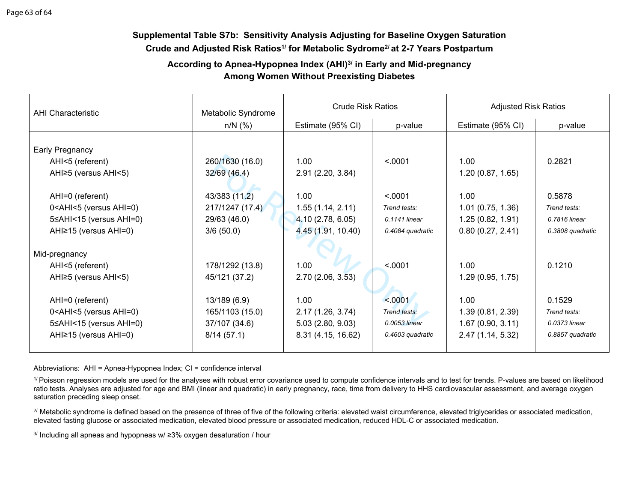# **Supplemental Table S7b: Sensitivity Analysis Adjusting for Baseline Oxygen Saturation Crude and Adjusted Risk Ratios1/ for Metabolic Sydrome2/ at 2-7 Years Postpartum**

# **According to Apnea-Hypopnea Index (AHI)3/ in Early and Mid-pregnancy Among Women Without Preexisting Diabetes**

| <b>AHI Characteristic</b>                                                                                                                                        | Metabolic Syndrome | <b>Crude Risk Ratios</b> |                  | <b>Adjusted Risk Ratios</b> |                  |
|------------------------------------------------------------------------------------------------------------------------------------------------------------------|--------------------|--------------------------|------------------|-----------------------------|------------------|
|                                                                                                                                                                  | $n/N$ (%)          | Estimate (95% CI)        | p-value          | Estimate (95% CI)           | p-value          |
|                                                                                                                                                                  |                    |                          |                  |                             |                  |
| Early Pregnancy                                                                                                                                                  |                    |                          |                  |                             |                  |
| AHI<5 (referent)                                                                                                                                                 | 260/1630 (16.0)    | 1.00                     | < .0001          | 1.00                        | 0.2821           |
| AHI≥5 (versus AHI<5)                                                                                                                                             | 32/69 (46.4)       | 2.91(2.20, 3.84)         |                  | 1.20(0.87, 1.65)            |                  |
| AHI=0 (referent)                                                                                                                                                 | 43/383 (11.2)      | 1.00                     | < .0001          | 1.00                        | 0.5878           |
| 0 <ahi<5 (versus="" ahi="0)&lt;/td"><td>217/1247 (17.4)</td><td>1.55(1.14, 2.11)</td><td>Trend tests:</td><td>1.01(0.75, 1.36)</td><td>Trend tests:</td></ahi<5> | 217/1247 (17.4)    | 1.55(1.14, 2.11)         | Trend tests:     | 1.01(0.75, 1.36)            | Trend tests:     |
| 5≤AHI<15 (versus AHI=0)                                                                                                                                          | 29/63 (46.0)       | 4.10 (2.78, 6.05)        | 0.1141 linear    | 1.25(0.82, 1.91)            | 0.7816 linear    |
| AHI≥15 (versus AHI=0)                                                                                                                                            | 3/6(50.0)          | 4.45 (1.91, 10.40)       | 0.4084 quadratic | 0.80(0.27, 2.41)            | 0.3808 quadratic |
| Mid-pregnancy                                                                                                                                                    |                    |                          |                  |                             |                  |
| AHI<5 (referent)                                                                                                                                                 | 178/1292 (13.8)    | 1.00                     | < .0001          | 1.00                        | 0.1210           |
| AHI≥5 (versus AHI<5)                                                                                                                                             | 45/121 (37.2)      | 2.70(2.06, 3.53)         |                  | 1.29(0.95, 1.75)            |                  |
| AHI=0 (referent)                                                                                                                                                 | 13/189 (6.9)       | 1.00                     | < 0001           | 1.00                        | 0.1529           |
|                                                                                                                                                                  |                    |                          | Trend tests:     |                             | Trend tests:     |
| 0 <ahi<5 (versus="" ahi="0)&lt;/td"><td>165/1103 (15.0)</td><td>2.17(1.26, 3.74)</td><td></td><td>1.39(0.81, 2.39)</td><td></td></ahi<5>                         | 165/1103 (15.0)    | 2.17(1.26, 3.74)         |                  | 1.39(0.81, 2.39)            |                  |
| 5≤AHI<15 (versus AHI=0)                                                                                                                                          | 37/107 (34.6)      | 5.03(2.80, 9.03)         | 0.0053 linear    | 1.67(0.90, 3.11)            | 0.0373 linear    |
| AHI≥15 (versus AHI=0)                                                                                                                                            | 8/14(57.1)         | 8.31 (4.15, 16.62)       | 0.4603 quadratic | 2.47 (1.14, 5.32)           | 0.8857 quadratic |

Abbreviations: AHI = Apnea-Hypopnea Index; CI = confidence interval

<sup>1/</sup> Poisson regression models are used for the analyses with robust error covariance used to compute confidence intervals and to test for trends. P-values are based on likelihood ratio tests. Analyses are adjusted for age and BMI (linear and quadratic) in early pregnancy, race, time from delivery to HHS cardiovascular assessment, and average oxygen saturation preceding sleep onset.

<sup>2/</sup> Metabolic syndrome is defined based on the presence of three of five of the following criteria: elevated waist circumference, elevated triglycerides or associated medication, elevated fasting glucose or associated medication, elevated blood pressure or associated medication, reduced HDL-C or associated medication.

 $3/$  Including all apneas and hypopneas w/  $\geq$ 3% oxygen desaturation / hour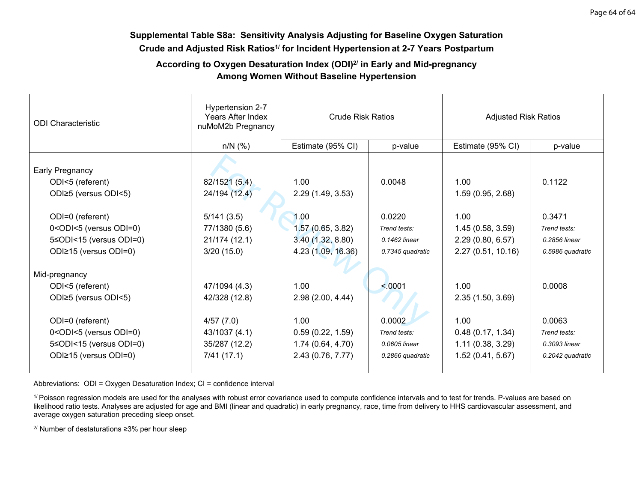# **Supplemental Table S8a: Sensitivity Analysis Adjusting for Baseline Oxygen Saturation Crude and Adjusted Risk Ratios1/ for Incident Hypertension at 2-7 Years Postpartum**

# **According to Oxygen Desaturation Index (ODI)2/ in Early and Mid-pregnancy Among Women Without Baseline Hypertension**

| <b>ODI</b> Characteristic                                                                                                                                      | Hypertension 2-7<br>Years After Index<br>nuMoM2b Pregnancy | <b>Crude Risk Ratios</b> |                  | <b>Adjusted Risk Ratios</b> |                  |
|----------------------------------------------------------------------------------------------------------------------------------------------------------------|------------------------------------------------------------|--------------------------|------------------|-----------------------------|------------------|
|                                                                                                                                                                |                                                            |                          |                  |                             |                  |
|                                                                                                                                                                | $n/N$ (%)                                                  | Estimate (95% CI)        | p-value          | Estimate (95% CI)           | p-value          |
| Early Pregnancy                                                                                                                                                |                                                            |                          |                  |                             |                  |
| ODI<5 (referent)                                                                                                                                               | 82/1521 (5.4)                                              | 1.00                     | 0.0048           | 1.00                        | 0.1122           |
| ODI≥5 (versus ODI<5)                                                                                                                                           | 24/194 (12.4)                                              | 2.29(1.49, 3.53)         |                  | 1.59(0.95, 2.68)            |                  |
| ODI=0 (referent)                                                                                                                                               | 5/141(3.5)                                                 | 1.00                     | 0.0220           | 1.00                        | 0.3471           |
| 0 <odi<5 (versus="" odi="0)&lt;/td"><td>77/1380 (5.6)</td><td>1.57(0.65, 3.82)</td><td>Trend tests:</td><td>1.45(0.58, 3.59)</td><td>Trend tests:</td></odi<5> | 77/1380 (5.6)                                              | 1.57(0.65, 3.82)         | Trend tests:     | 1.45(0.58, 3.59)            | Trend tests:     |
| 5≤ODI<15 (versus ODI=0)                                                                                                                                        | 21/174 (12.1)                                              | 3.40(1.32, 8.80)         | 0.1462 linear    | 2.29(0.80, 6.57)            | 0.2856 linear    |
| ODI≥15 (versus ODI=0)                                                                                                                                          | 3/20(15.0)                                                 | 4.23 (1.09, 16.36)       | 0.7345 quadratic | 2.27(0.51, 10.16)           | 0.5986 quadratic |
|                                                                                                                                                                |                                                            |                          |                  |                             |                  |
| Mid-pregnancy                                                                                                                                                  |                                                            |                          |                  |                             |                  |
| ODI<5 (referent)                                                                                                                                               | 47/1094 (4.3)                                              | 1.00                     | < 0001           | 1.00                        | 0.0008           |
| ODI≥5 (versus ODI<5)                                                                                                                                           | 42/328 (12.8)                                              | 2.98(2.00, 4.44)         |                  | 2.35(1.50, 3.69)            |                  |
| ODI=0 (referent)                                                                                                                                               | 4/57(7.0)                                                  | 1.00                     | 0.0002           | 1.00                        | 0.0063           |
| 0 <odi<5 (versus="" odi="0)&lt;/td"><td>43/1037 (4.1)</td><td>0.59(0.22, 1.59)</td><td>Trend tests:</td><td>0.48(0.17, 1.34)</td><td>Trend tests:</td></odi<5> | 43/1037 (4.1)                                              | 0.59(0.22, 1.59)         | Trend tests:     | 0.48(0.17, 1.34)            | Trend tests:     |
| 5≤ODI<15 (versus ODI=0)                                                                                                                                        | 35/287 (12.2)                                              | 1.74(0.64, 4.70)         | 0.0605 linear    | 1.11(0.38, 3.29)            | 0.3093 linear    |
| ODI≥15 (versus ODI=0)                                                                                                                                          | 7/41(17.1)                                                 | 2.43 (0.76, 7.77)        | 0.2866 quadratic | 1.52(0.41, 5.67)            | 0.2042 quadratic |
|                                                                                                                                                                |                                                            |                          |                  |                             |                  |

Abbreviations: ODI = Oxygen Desaturation Index; CI = confidence interval

<sup>1/</sup> Poisson regression models are used for the analyses with robust error covariance used to compute confidence intervals and to test for trends. P-values are based on likelihood ratio tests. Analyses are adjusted for age and BMI (linear and quadratic) in early pregnancy, race, time from delivery to HHS cardiovascular assessment, and average oxygen saturation preceding sleep onset.

2/ Number of destaturations ≥3% per hour sleep